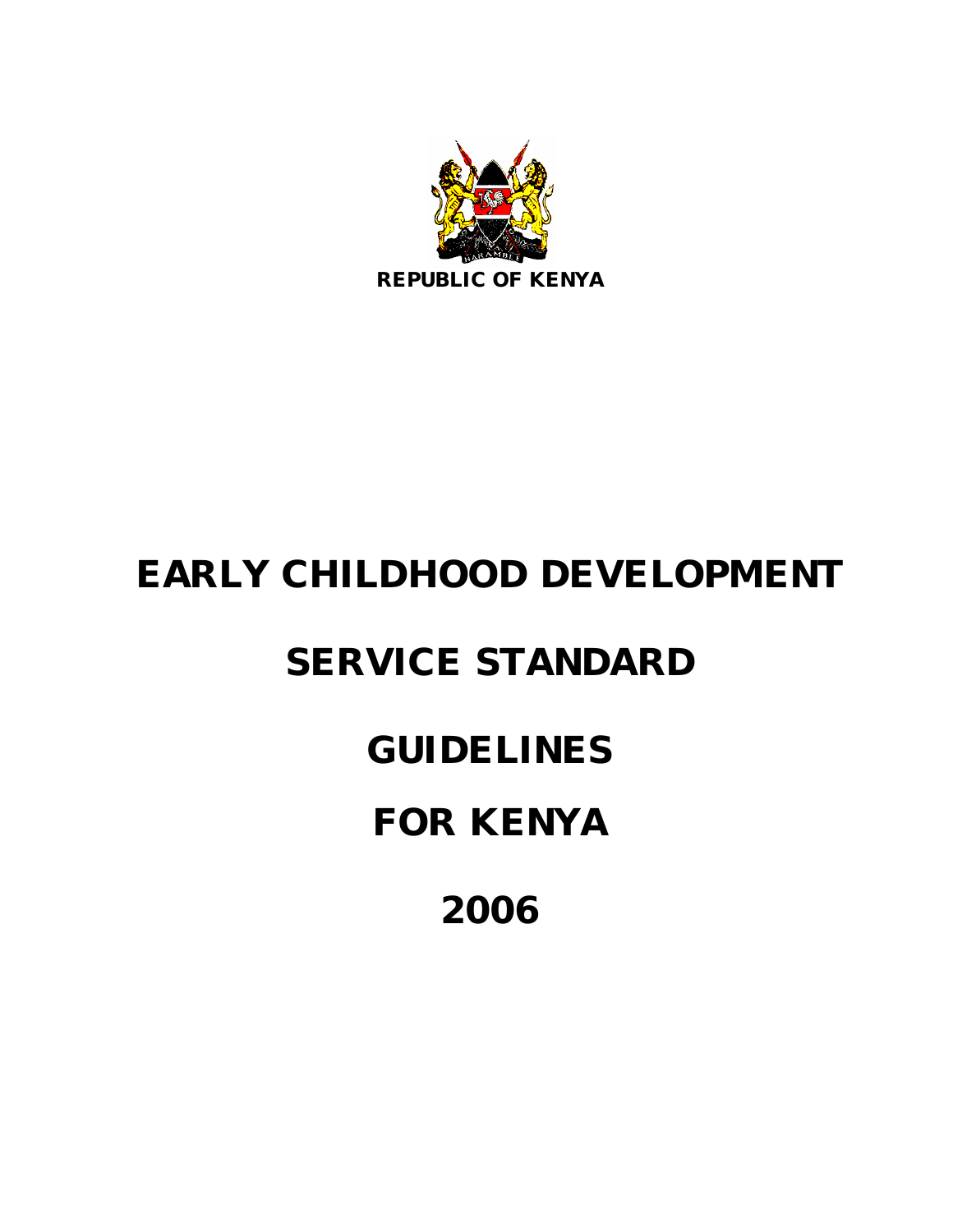

# **EARLY CHILDHOOD DEVELOPMENT**

## **SERVICE STANDARD**

**GUIDELINES**

**FOR KENYA**

**2006**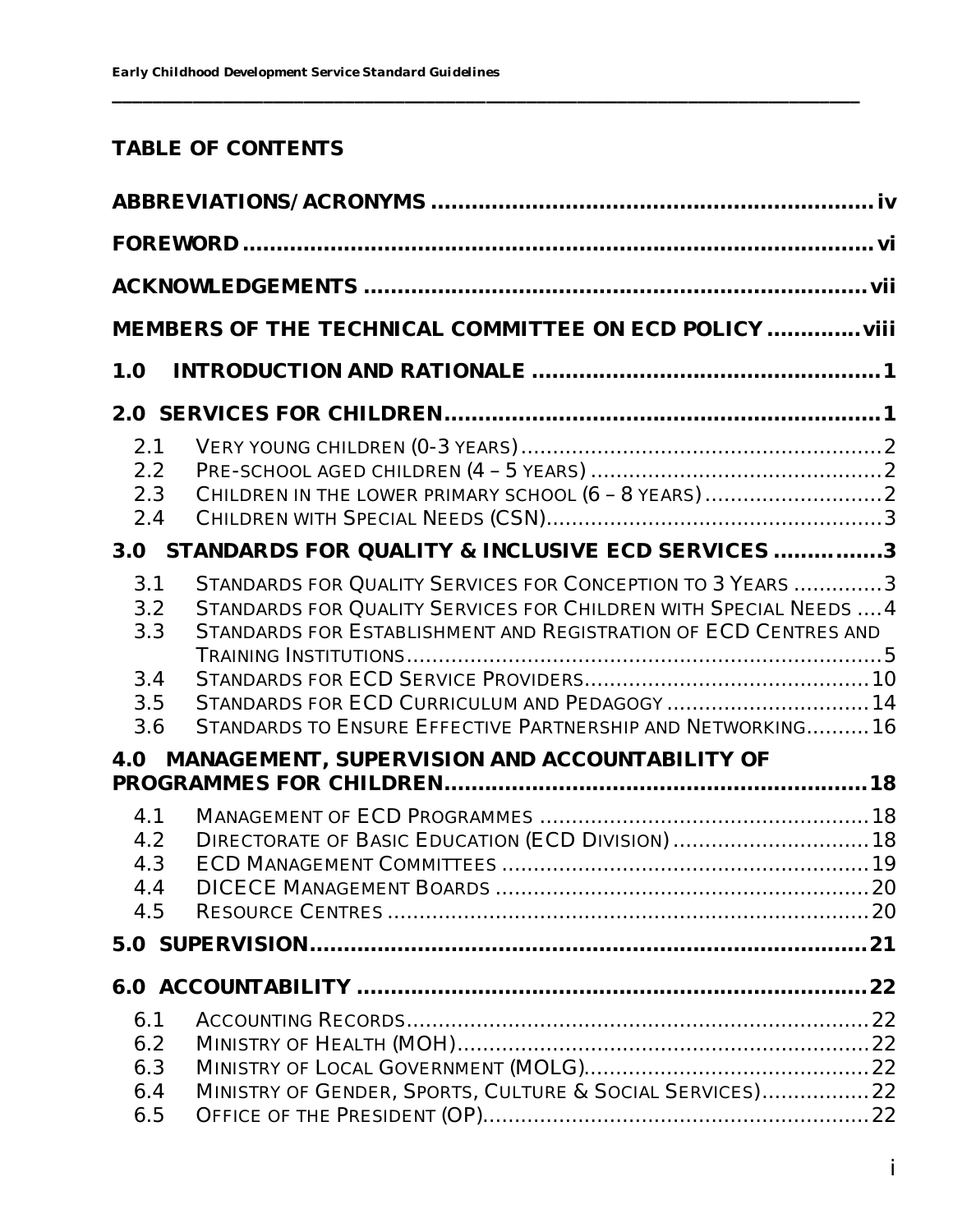## **TABLE OF CONTENTS**

|                                        | MEMBERS OF THE TECHNICAL COMMITTEE ON ECD POLICY  viii                                                                                                                                                                                                                                                            |  |
|----------------------------------------|-------------------------------------------------------------------------------------------------------------------------------------------------------------------------------------------------------------------------------------------------------------------------------------------------------------------|--|
| 1.0                                    |                                                                                                                                                                                                                                                                                                                   |  |
|                                        |                                                                                                                                                                                                                                                                                                                   |  |
| 2.1<br>2.2<br>2.3<br>2.4               |                                                                                                                                                                                                                                                                                                                   |  |
| 3.0                                    | STANDARDS FOR QUALITY & INCLUSIVE ECD SERVICES 3                                                                                                                                                                                                                                                                  |  |
| 3.1<br>3.2<br>3.3<br>3.4<br>3.5<br>3.6 | STANDARDS FOR QUALITY SERVICES FOR CONCEPTION TO 3 YEARS 3<br>STANDARDS FOR QUALITY SERVICES FOR CHILDREN WITH SPECIAL NEEDS  4<br>STANDARDS FOR ESTABLISHMENT AND REGISTRATION OF ECD CENTRES AND<br>STANDARDS FOR ECD CURRICULUM AND PEDAGOGY  14<br>STANDARDS TO ENSURE EFFECTIVE PARTNERSHIP AND NETWORKING16 |  |
| 4.0                                    | MANAGEMENT, SUPERVISION AND ACCOUNTABILITY OF                                                                                                                                                                                                                                                                     |  |
| 4.1<br>4.2<br>4.3<br>4.4<br>4.5        | DIRECTORATE OF BASIC EDUCATION (ECD DIVISION)  18                                                                                                                                                                                                                                                                 |  |
|                                        |                                                                                                                                                                                                                                                                                                                   |  |
|                                        |                                                                                                                                                                                                                                                                                                                   |  |
| 6.1<br>6.2<br>6.3<br>6.4<br>6.5        | MINISTRY OF GENDER, SPORTS, CULTURE & SOCIAL SERVICES)22                                                                                                                                                                                                                                                          |  |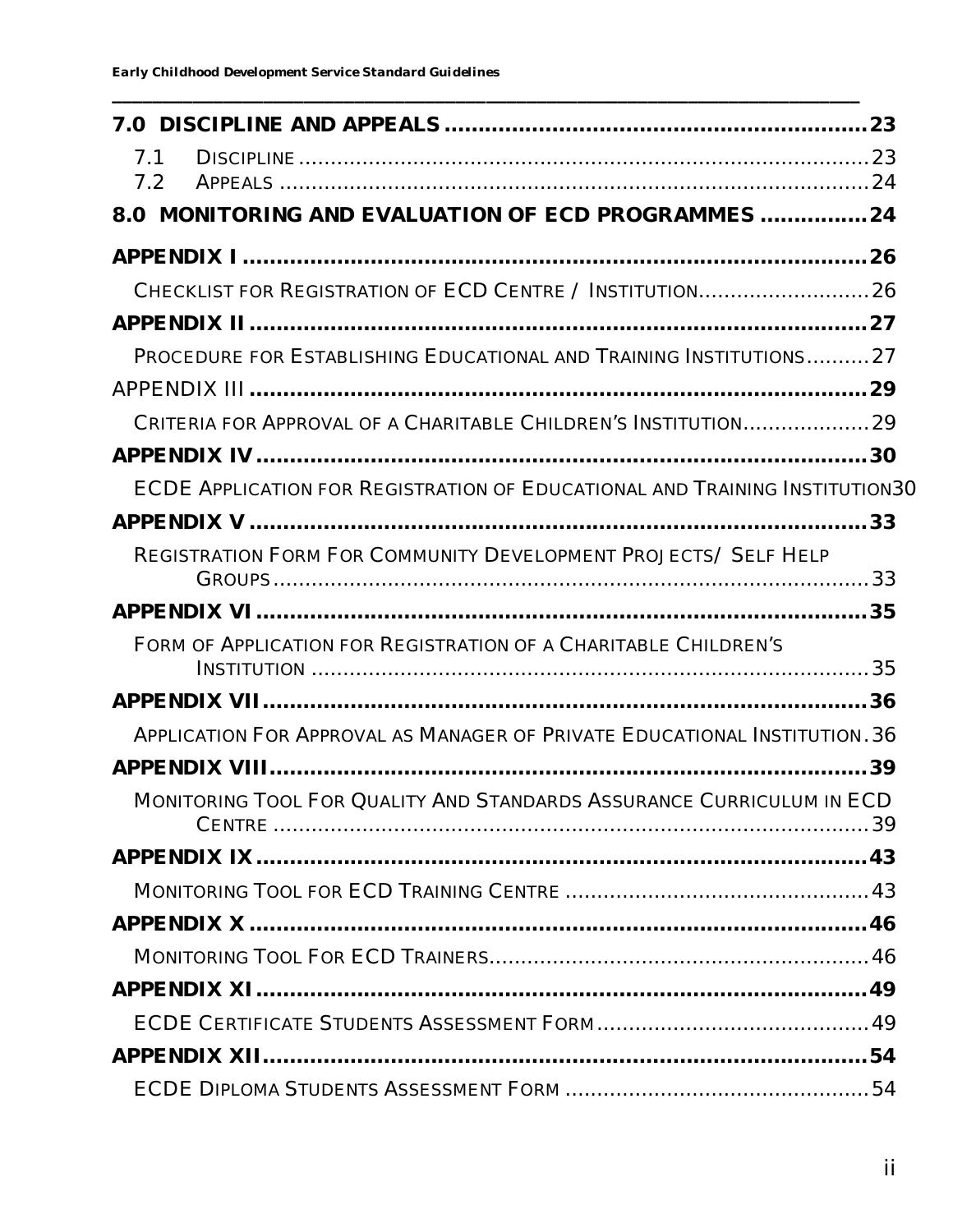| 7.1<br>7.2                                                                  |  |
|-----------------------------------------------------------------------------|--|
| 8.0 MONITORING AND EVALUATION OF ECD PROGRAMMES  24                         |  |
|                                                                             |  |
|                                                                             |  |
|                                                                             |  |
| PROCEDURE FOR ESTABLISHING EDUCATIONAL AND TRAINING INSTITUTIONS27          |  |
|                                                                             |  |
|                                                                             |  |
|                                                                             |  |
| ECDE APPLICATION FOR REGISTRATION OF EDUCATIONAL AND TRAINING INSTITUTION30 |  |
|                                                                             |  |
| <b>REGISTRATION FORM FOR COMMUNITY DEVELOPMENT PROJECTS/ SELF HELP</b>      |  |
|                                                                             |  |
| FORM OF APPLICATION FOR REGISTRATION OF A CHARITABLE CHILDREN'S             |  |
|                                                                             |  |
| APPLICATION FOR APPROVAL AS MANAGER OF PRIVATE EDUCATIONAL INSTITUTION. 36  |  |
|                                                                             |  |
| MONITORING TOOL FOR QUALITY AND STANDARDS ASSURANCE CURRICULUM IN ECD       |  |
|                                                                             |  |
|                                                                             |  |
|                                                                             |  |
|                                                                             |  |
|                                                                             |  |
|                                                                             |  |
|                                                                             |  |
|                                                                             |  |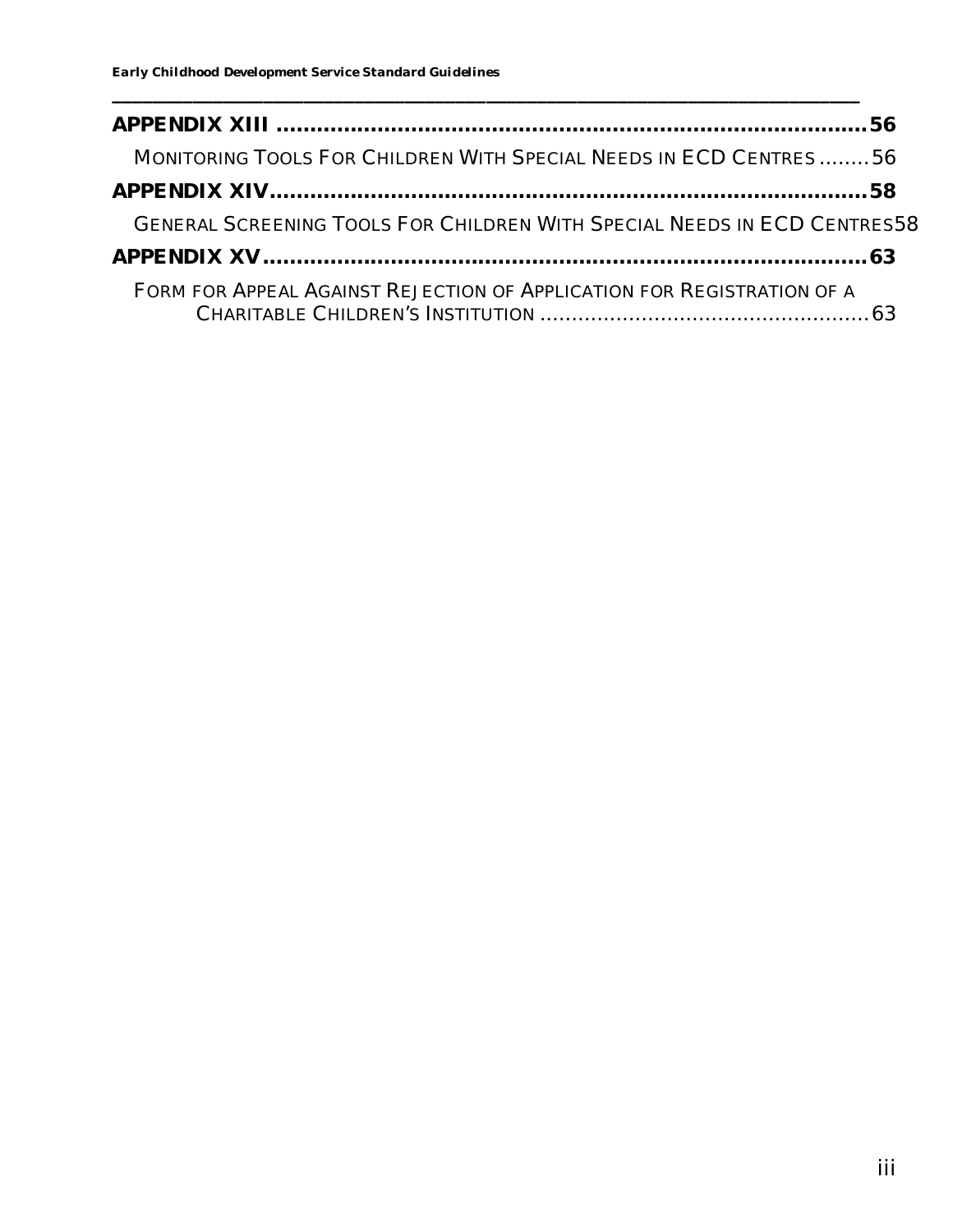| MONITORING TOOLS FOR CHILDREN WITH SPECIAL NEEDS IN ECD CENTRES56               |  |
|---------------------------------------------------------------------------------|--|
|                                                                                 |  |
| <b>GENERAL SCREENING TOOLS FOR CHILDREN WITH SPECIAL NEEDS IN ECD CENTRES58</b> |  |
|                                                                                 |  |
| FORM FOR APPEAL AGAINST REJECTION OF APPLICATION FOR REGISTRATION OF A          |  |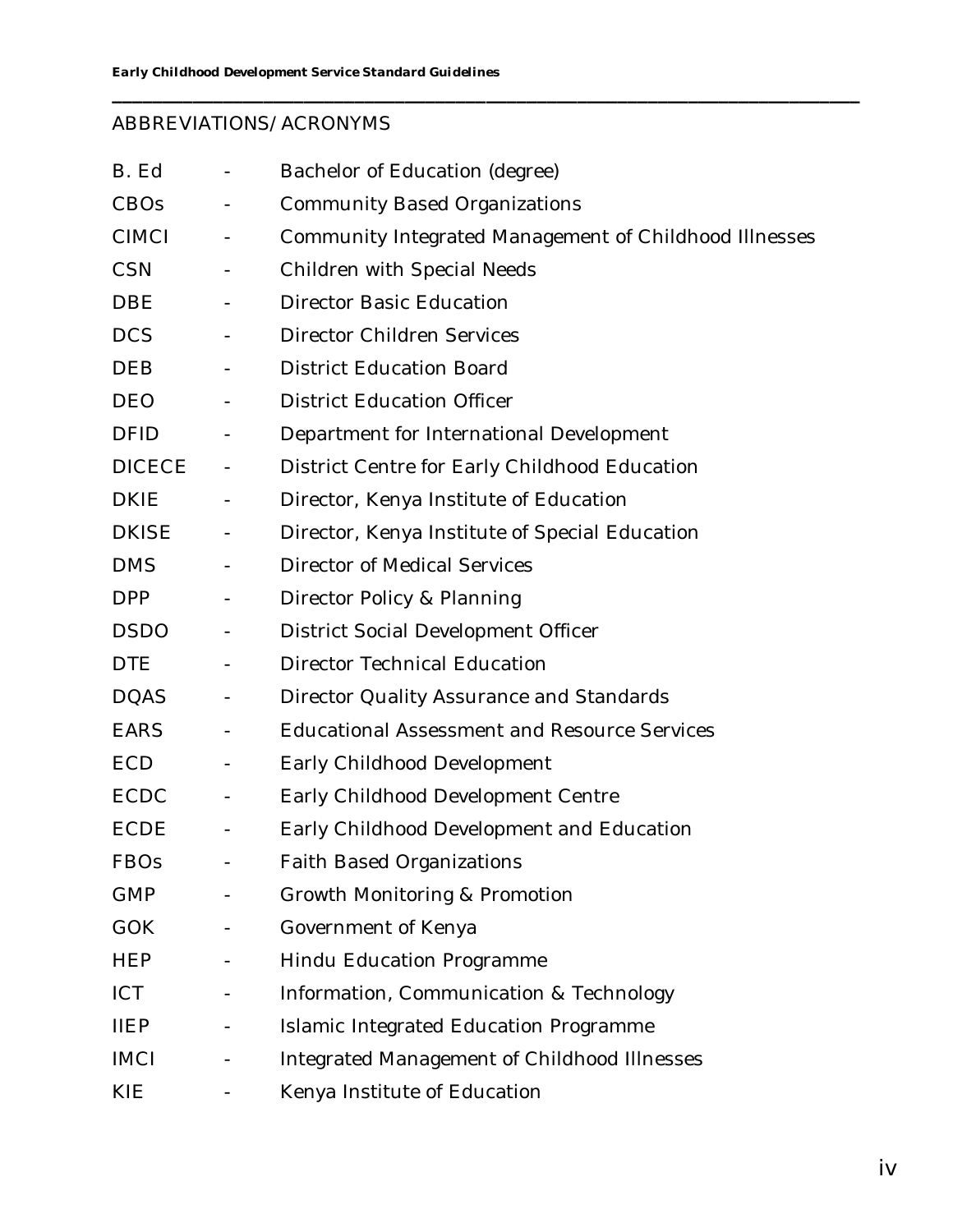## ABBREVIATIONS/ACRONYMS

| B. Ed         | $\blacksquare$               | Bachelor of Education (degree)                         |
|---------------|------------------------------|--------------------------------------------------------|
| CBOs          |                              | <b>Community Based Organizations</b>                   |
| <b>CIMCI</b>  | $\blacksquare$               | Community Integrated Management of Childhood Illnesses |
| <b>CSN</b>    | $\blacksquare$               | <b>Children with Special Needs</b>                     |
| <b>DBE</b>    | $\sim$                       | <b>Director Basic Education</b>                        |
| <b>DCS</b>    |                              | <b>Director Children Services</b>                      |
| <b>DEB</b>    | $\blacksquare$               | <b>District Education Board</b>                        |
| <b>DEO</b>    | $\blacksquare$               | <b>District Education Officer</b>                      |
| <b>DFID</b>   | $\blacksquare$               | Department for International Development               |
| <b>DICECE</b> | $\blacksquare$               | District Centre for Early Childhood Education          |
| <b>DKIE</b>   | $\blacksquare$               | Director, Kenya Institute of Education                 |
| <b>DKISE</b>  | $\blacksquare$               | Director, Kenya Institute of Special Education         |
| <b>DMS</b>    | $\blacksquare$               | <b>Director of Medical Services</b>                    |
| <b>DPP</b>    | $\blacksquare$               | Director Policy & Planning                             |
| <b>DSDO</b>   | $\equiv$                     | District Social Development Officer                    |
| <b>DTE</b>    | $\blacksquare$               | <b>Director Technical Education</b>                    |
| <b>DOAS</b>   | $\blacksquare$               | Director Quality Assurance and Standards               |
| <b>EARS</b>   | $\blacksquare$               | <b>Educational Assessment and Resource Services</b>    |
| <b>ECD</b>    | $\equiv$                     | Early Childhood Development                            |
| <b>ECDC</b>   | $\blacksquare$               | Early Childhood Development Centre                     |
| <b>ECDE</b>   |                              | Early Childhood Development and Education              |
| <b>FBOs</b>   |                              | <b>Faith Based Organizations</b>                       |
| <b>GMP</b>    |                              | Growth Monitoring & Promotion                          |
| <b>GOK</b>    | $\qquad \qquad \blacksquare$ | Government of Kenya                                    |
| <b>HEP</b>    |                              | Hindu Education Programme                              |
| <b>ICT</b>    | $\blacksquare$               | Information, Communication & Technology                |
| <b>IIEP</b>   |                              | Islamic Integrated Education Programme                 |
| <b>IMCI</b>   |                              | Integrated Management of Childhood Illnesses           |
| KIE           |                              | Kenya Institute of Education                           |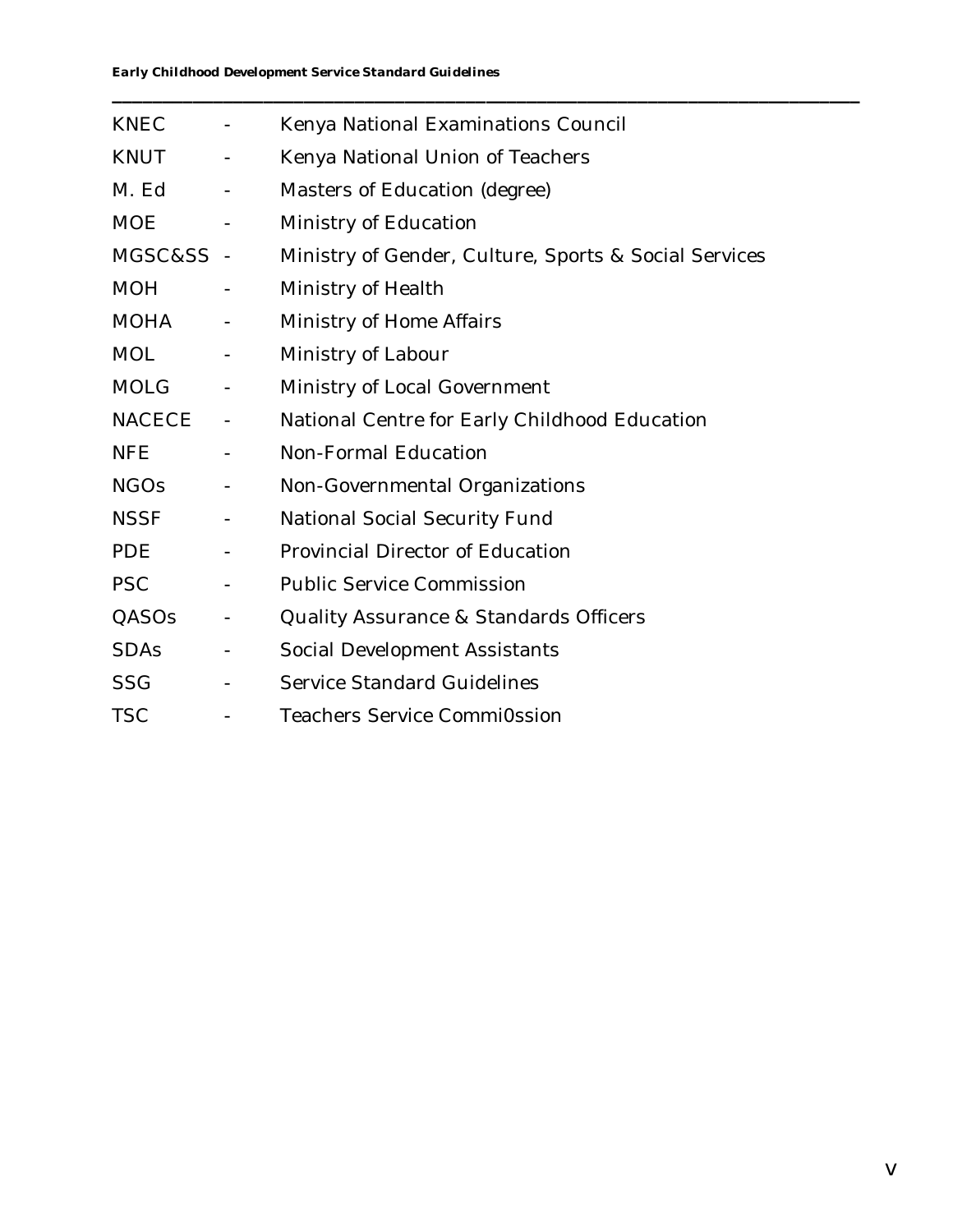| <b>KNEC</b> | $\overline{\phantom{a}}$ | Kenya National Examinations Council                   |
|-------------|--------------------------|-------------------------------------------------------|
| <b>KNUT</b> | $\blacksquare$           | Kenya National Union of Teachers                      |
| M. Ed       | $\blacksquare$           | Masters of Education (degree)                         |
| <b>MOE</b>  | $\blacksquare$           | Ministry of Education                                 |
| MGSC&SS -   |                          | Ministry of Gender, Culture, Sports & Social Services |
| <b>MOH</b>  | $\blacksquare$           | Ministry of Health                                    |
| MOHA        | $\blacksquare$           | Ministry of Home Affairs                              |
| <b>MOL</b>  | $\blacksquare$           | Ministry of Labour                                    |
| <b>MOLG</b> | $\blacksquare$           | Ministry of Local Government                          |
| NACECE      | $\blacksquare$           | National Centre for Early Childhood Education         |
| <b>NFE</b>  |                          | Non-Formal Education                                  |
| <b>NGOs</b> | $\blacksquare$           | Non-Governmental Organizations                        |
| <b>NSSF</b> | $\blacksquare$           | National Social Security Fund                         |
| <b>PDE</b>  | $\sim 100$               | Provincial Director of Education                      |
| <b>PSC</b>  | $\blacksquare$           | <b>Public Service Commission</b>                      |
| QASOs       | $\blacksquare$           | <b>Quality Assurance &amp; Standards Officers</b>     |
| <b>SDAs</b> | $\blacksquare$           | Social Development Assistants                         |
| <b>SSG</b>  | $\blacksquare$           | <b>Service Standard Guidelines</b>                    |
| <b>TSC</b>  |                          | <b>Teachers Service CommiOssion</b>                   |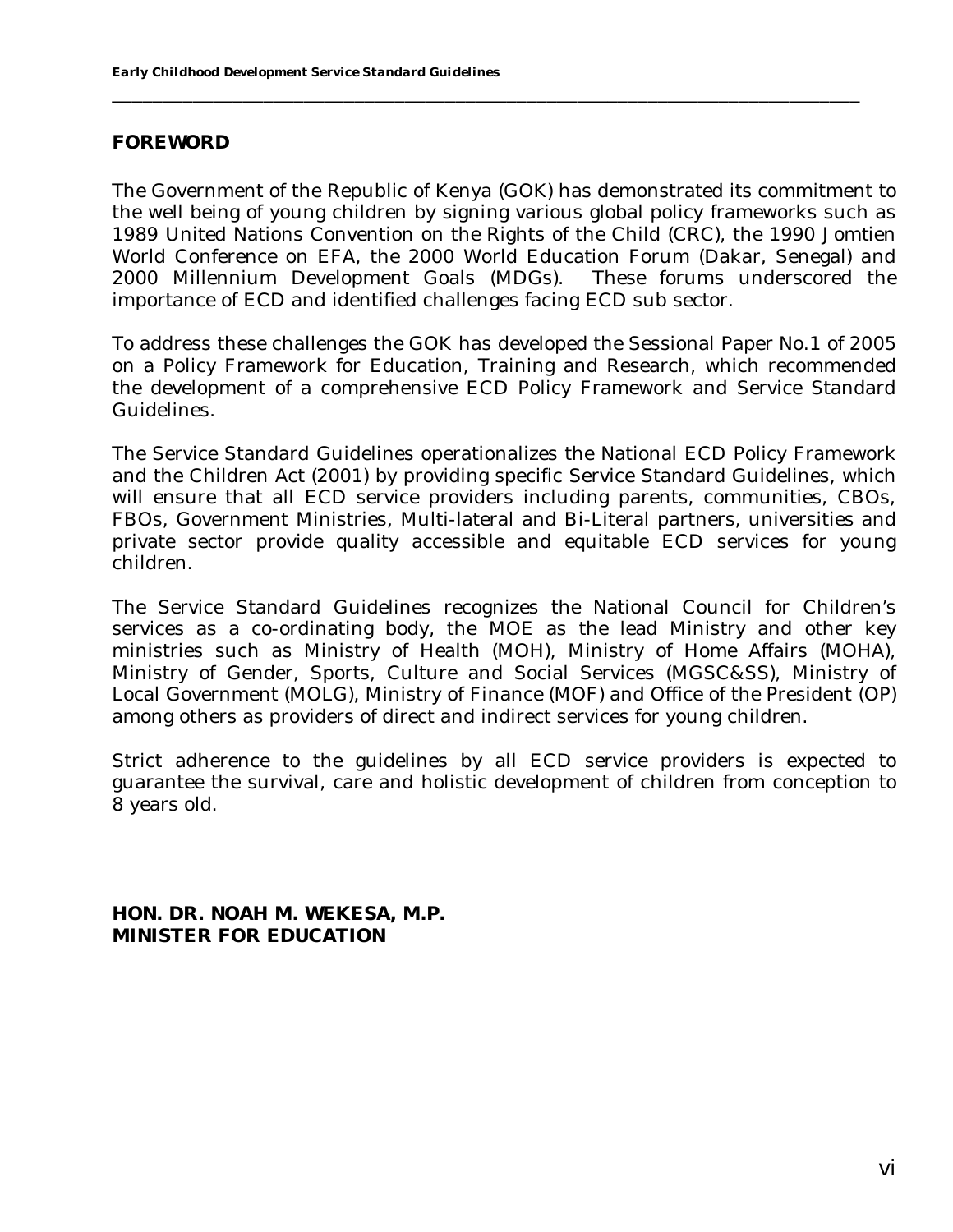#### **FOREWORD**

The Government of the Republic of Kenya (GOK) has demonstrated its commitment to the well being of young children by signing various global policy frameworks such as 1989 United Nations Convention on the Rights of the Child (CRC), the 1990 Jomtien World Conference on EFA, the 2000 World Education Forum (Dakar, Senegal) and 2000 Millennium Development Goals (MDGs). These forums underscored the importance of ECD and identified challenges facing ECD sub sector.

**\_\_\_\_\_\_\_\_\_\_\_\_\_\_\_\_\_\_\_\_\_\_\_\_\_\_\_\_\_\_\_\_\_\_\_\_\_\_\_\_\_\_\_\_\_\_\_\_\_\_\_\_\_\_\_\_\_\_\_\_\_\_\_\_\_\_\_\_\_\_\_\_\_\_**

To address these challenges the GOK has developed the Sessional Paper No.1 of 2005 on a Policy Framework for Education, Training and Research, which recommended the development of a comprehensive ECD Policy Framework and Service Standard Guidelines.

The Service Standard Guidelines operationalizes the National ECD Policy Framework and the Children Act (2001) by providing specific Service Standard Guidelines, which will ensure that all ECD service providers including parents, communities, CBOs, FBOs, Government Ministries, Multi-lateral and Bi-Literal partners, universities and private sector provide quality accessible and equitable ECD services for young children.

The Service Standard Guidelines recognizes the National Council for Children's services as a co-ordinating body, the MOE as the lead Ministry and other key ministries such as Ministry of Health (MOH), Ministry of Home Affairs (MOHA), Ministry of Gender, Sports, Culture and Social Services (MGSC&SS), Ministry of Local Government (MOLG), Ministry of Finance (MOF) and Office of the President (OP) among others as providers of direct and indirect services for young children.

Strict adherence to the guidelines by all ECD service providers is expected to guarantee the survival, care and holistic development of children from conception to 8 years old.

**HON. DR. NOAH M. WEKESA, M.P. MINISTER FOR EDUCATION**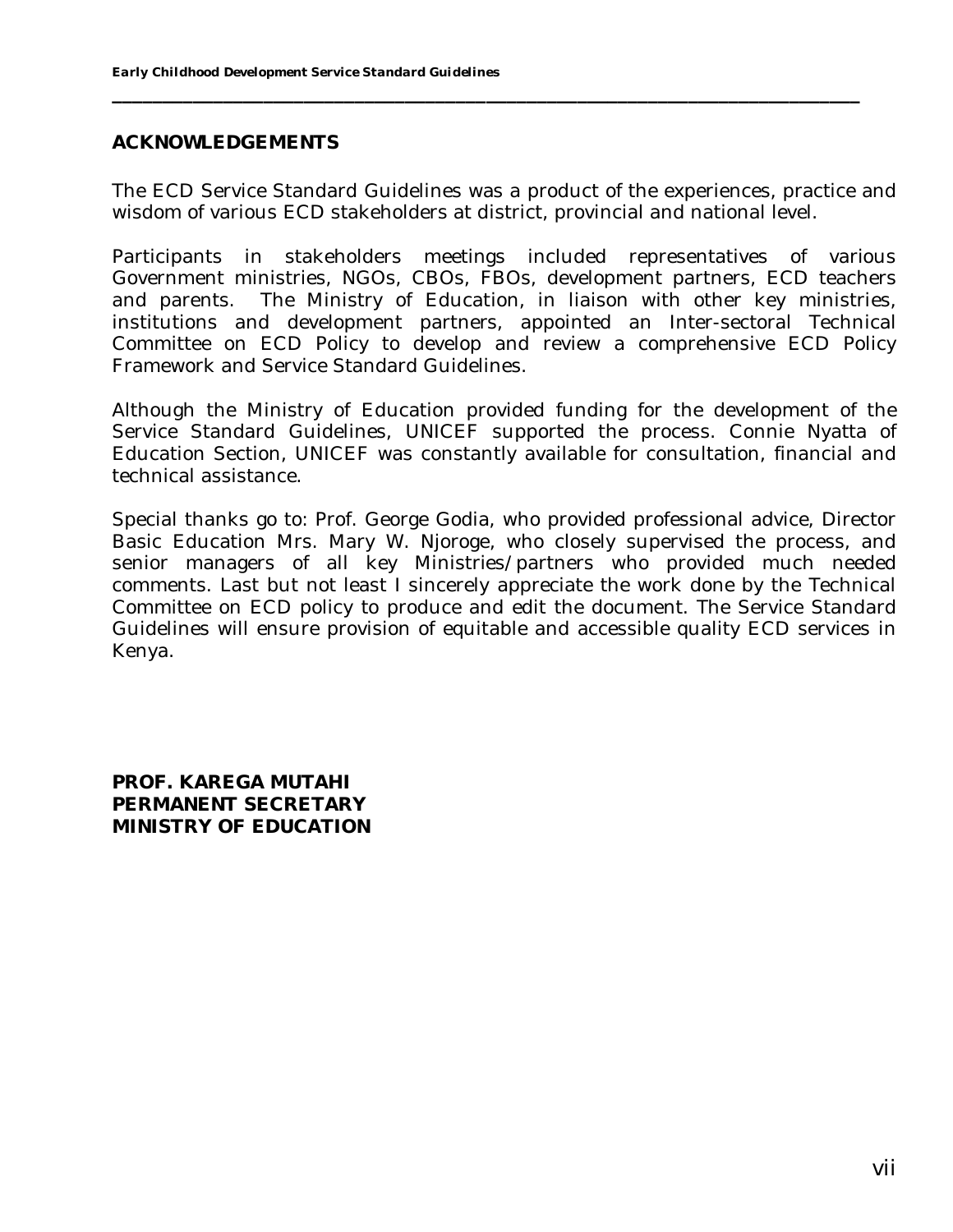## **ACKNOWLEDGEMENTS**

The ECD Service Standard Guidelines was a product of the experiences, practice and wisdom of various ECD stakeholders at district, provincial and national level.

**\_\_\_\_\_\_\_\_\_\_\_\_\_\_\_\_\_\_\_\_\_\_\_\_\_\_\_\_\_\_\_\_\_\_\_\_\_\_\_\_\_\_\_\_\_\_\_\_\_\_\_\_\_\_\_\_\_\_\_\_\_\_\_\_\_\_\_\_\_\_\_\_\_\_**

Participants in stakeholders meetings included representatives of various Government ministries, NGOs, CBOs, FBOs, development partners, ECD teachers and parents. The Ministry of Education, in liaison with other key ministries, institutions and development partners, appointed an Inter-sectoral Technical Committee on ECD Policy to develop and review a comprehensive ECD Policy Framework and Service Standard Guidelines.

Although the Ministry of Education provided funding for the development of the Service Standard Guidelines, UNICEF supported the process. Connie Nyatta of Education Section, UNICEF was constantly available for consultation, financial and technical assistance.

Special thanks go to: Prof. George Godia, who provided professional advice, Director Basic Education Mrs. Mary W. Njoroge, who closely supervised the process, and senior managers of all key Ministries/partners who provided much needed comments. Last but not least I sincerely appreciate the work done by the Technical Committee on ECD policy to produce and edit the document. The Service Standard Guidelines will ensure provision of equitable and accessible quality ECD services in Kenya.

**PROF. KAREGA MUTAHI PERMANENT SECRETARY MINISTRY OF EDUCATION**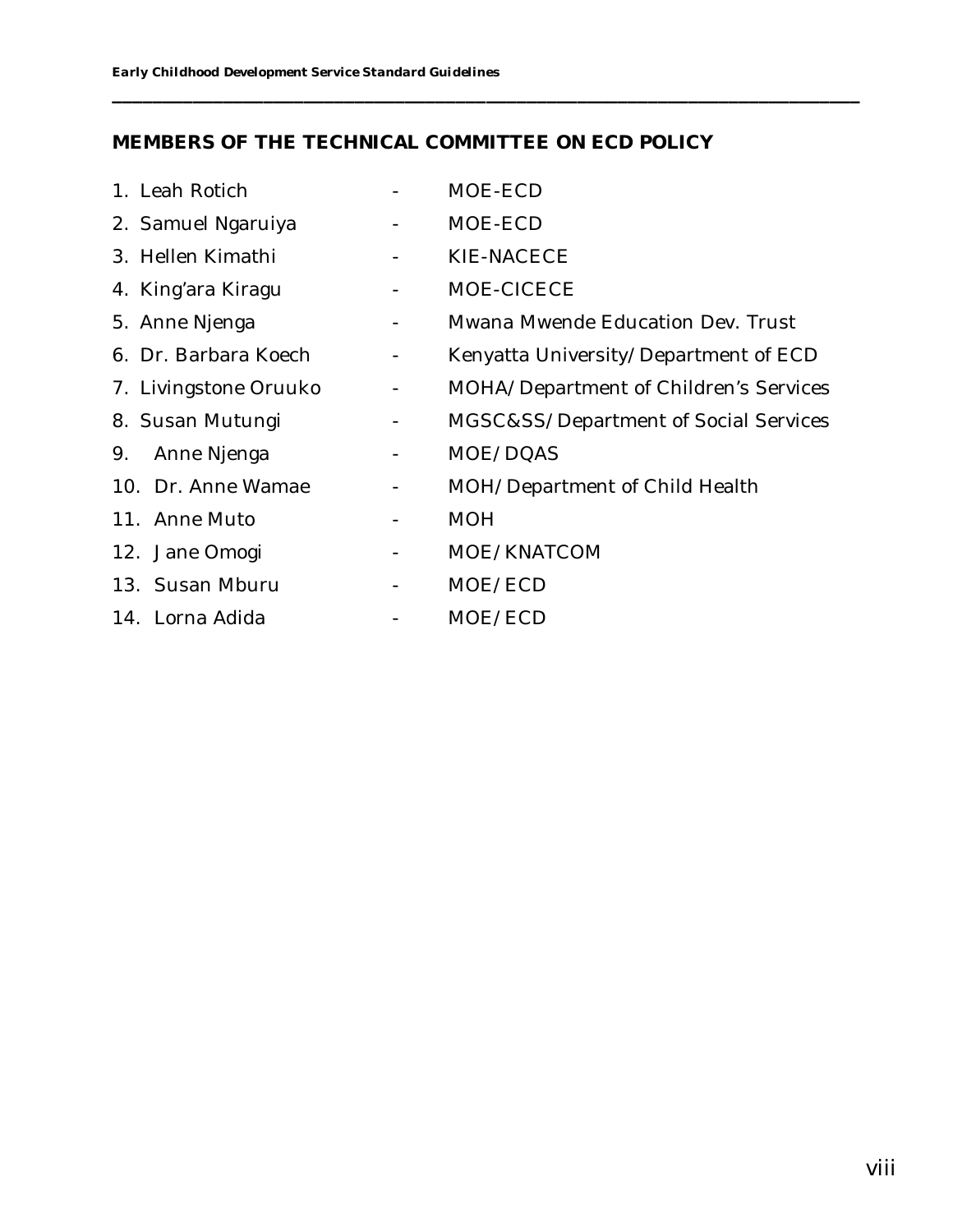## **MEMBERS OF THE TECHNICAL COMMITTEE ON ECD POLICY**

| 1. Leah Rotich        |                | MOE-ECD                                |
|-----------------------|----------------|----------------------------------------|
| 2. Samuel Ngaruiya    |                | MOE-ECD                                |
| 3. Hellen Kimathi     | $\blacksquare$ | KIE-NACECE                             |
| 4. King'ara Kiragu    | $\blacksquare$ | MOE-CICECE                             |
| 5. Anne Njenga        | $\blacksquare$ | Mwana Mwende Education Dev. Trust      |
| 6. Dr. Barbara Koech  | $\equiv$       | Kenyatta University/Department of ECD  |
| 7. Livingstone Oruuko | $\sim$         | MOHA/Department of Children's Services |
| 8. Susan Mutungi      | $\sim$ $-$     | MGSC&SS/Department of Social Services  |
| 9.<br>Anne Njenga     |                | MOE/DQAS                               |
| 10. Dr. Anne Wamae    | $\blacksquare$ | MOH/Department of Child Health         |
| 11. Anne Muto         | ۰              | <b>MOH</b>                             |
| 12. Jane Omogi        | $\blacksquare$ | MOE/KNATCOM                            |
| 13. Susan Mburu       | $\blacksquare$ | MOE/ECD                                |
| 14. Lorna Adida       |                | MOE/ECD                                |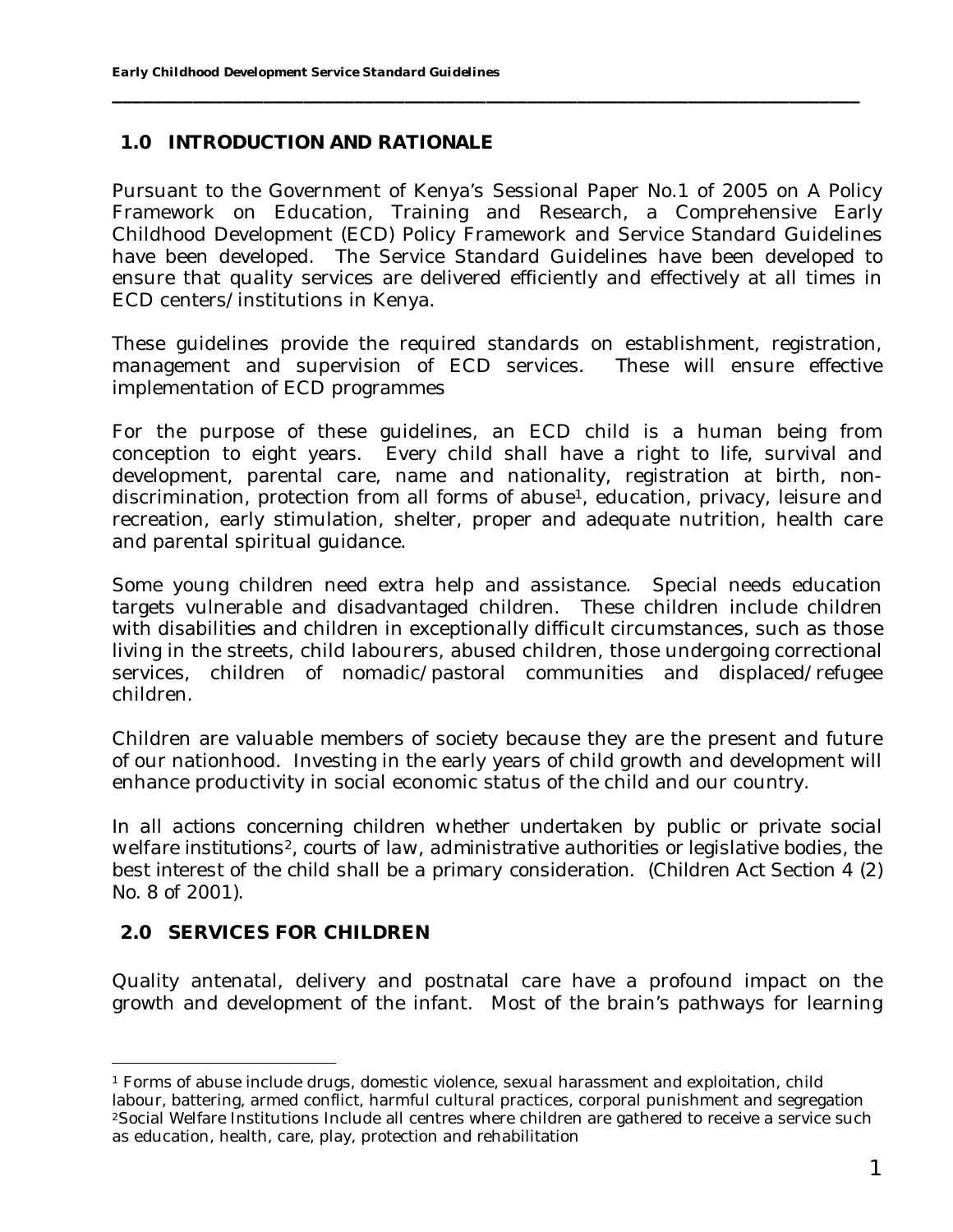## **1.0 INTRODUCTION AND RATIONALE**

Pursuant to the Government of Kenya's Sessional Paper No.1 of 2005 on A Policy Framework on Education, Training and Research, a Comprehensive Early Childhood Development (ECD) Policy Framework and Service Standard Guidelines have been developed. The Service Standard Guidelines have been developed to ensure that quality services are delivered efficiently and effectively at all times in ECD centers/institutions in Kenya.

**\_\_\_\_\_\_\_\_\_\_\_\_\_\_\_\_\_\_\_\_\_\_\_\_\_\_\_\_\_\_\_\_\_\_\_\_\_\_\_\_\_\_\_\_\_\_\_\_\_\_\_\_\_\_\_\_\_\_\_\_\_\_\_\_\_\_\_\_\_\_\_\_\_\_**

These guidelines provide the required standards on establishment, registration, management and supervision of ECD services. These will ensure effective implementation of ECD programmes

For the purpose of these guidelines, an ECD child is a human being from conception to eight years. Every child shall have a right to life, survival and development, parental care, name and nationality, registration at birth, nondiscrimination, protection from all forms of abuse1, education, privacy, leisure and recreation, early stimulation, shelter, proper and adequate nutrition, health care and parental spiritual guidance.

Some young children need extra help and assistance. Special needs education targets vulnerable and disadvantaged children. These children include children with disabilities and children in exceptionally difficult circumstances, such as those living in the streets, child labourers, abused children, those undergoing correctional services, children of nomadic/pastoral communities and displaced/refugee children.

Children are valuable members of society because they are the present and future of our nationhood. Investing in the early years of child growth and development will enhance productivity in social economic status of the child and our country.

*In all actions concerning children whether undertaken by public or private social welfare institutions2, courts of law, administrative authorities or legislative bodies, the best interest of the child shall be a primary consideration. (Children Act Section 4 (2) No. 8 of 2001).*

## **2.0 SERVICES FOR CHILDREN**

Quality antenatal, delivery and postnatal care have a profound impact on the growth and development of the infant. Most of the brain's pathways for learning

<sup>1</sup> Forms of abuse include drugs, domestic violence, sexual harassment and exploitation, child labour, battering, armed conflict, harmful cultural practices, corporal punishment and segregation <sup>2</sup>Social Welfare Institutions Include all centres where children are gathered to receive a service such as education, health, care, play, protection and rehabilitation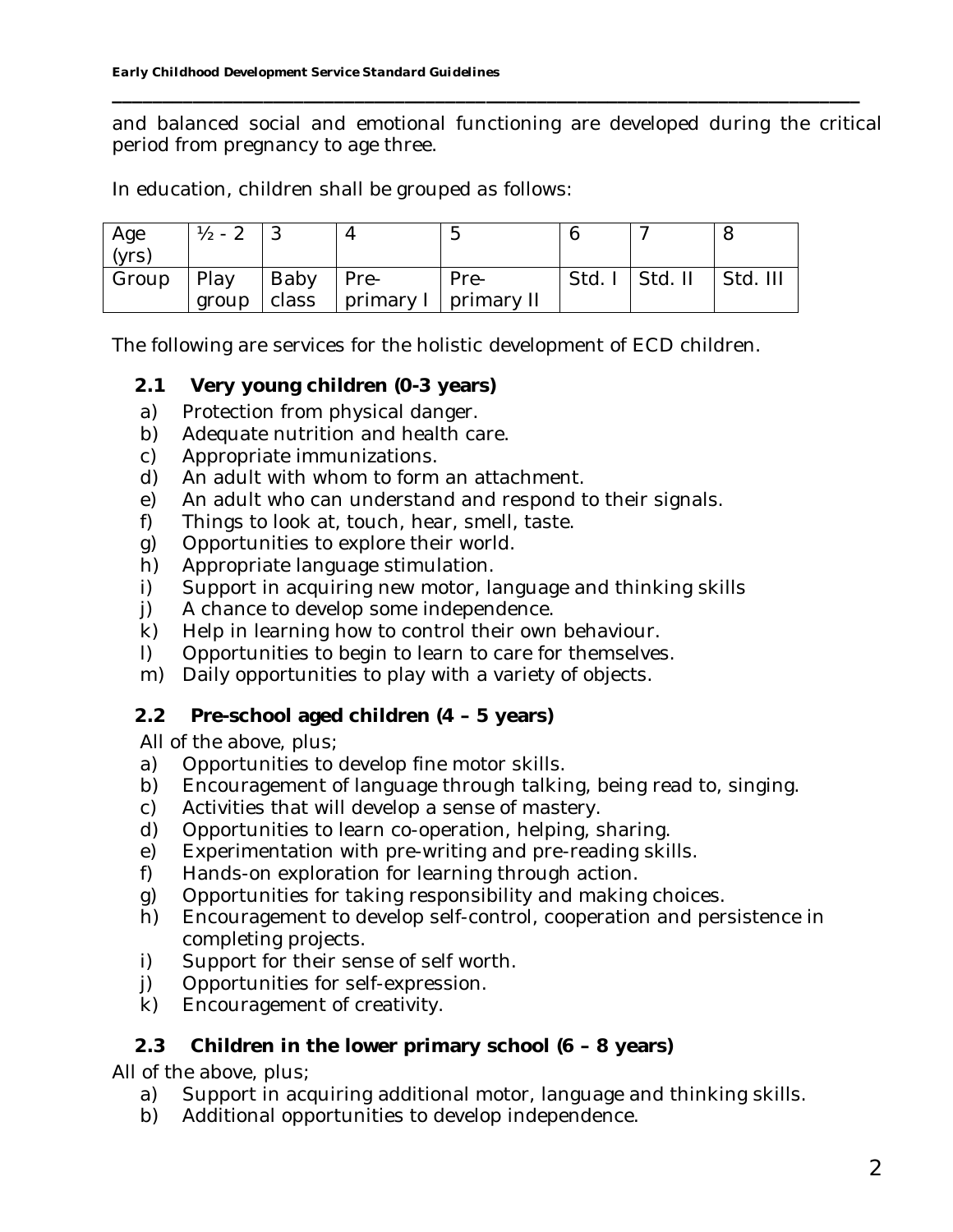and balanced social and emotional functioning are developed during the critical period from pregnancy to age three.

**\_\_\_\_\_\_\_\_\_\_\_\_\_\_\_\_\_\_\_\_\_\_\_\_\_\_\_\_\_\_\_\_\_\_\_\_\_\_\_\_\_\_\_\_\_\_\_\_\_\_\_\_\_\_\_\_\_\_\_\_\_\_\_\_\_\_\_\_\_\_\_\_\_\_**

In education, children shall be grouped as follows:

| Age   | $1/2 - 2$ |       |                        | ∽    |        |         |          |
|-------|-----------|-------|------------------------|------|--------|---------|----------|
| (yrs) |           |       |                        |      |        |         |          |
| Group | Play      | Baby  | I Pre-                 | Pre- | Std. I | Std. II | Std. III |
|       | group     | class | primary I   primary II |      |        |         |          |

The following are services for the holistic development of ECD children.

- **2.1 Very young children (0-3 years)**
- a) Protection from physical danger.
- b) Adequate nutrition and health care.
- c) Appropriate immunizations.
- d) An adult with whom to form an attachment.
- e) An adult who can understand and respond to their signals.
- f) Things to look at, touch, hear, smell, taste.
- g) Opportunities to explore their world.
- h) Appropriate language stimulation.
- i) Support in acquiring new motor, language and thinking skills
- j) A chance to develop some independence.
- k) Help in learning how to control their own behaviour.
- l) Opportunities to begin to learn to care for themselves.
- m) Daily opportunities to play with a variety of objects.
- **2.2 Pre-school aged children (4 5 years)**

All of the above, plus;

- a) Opportunities to develop fine motor skills.
- b) Encouragement of language through talking, being read to, singing.
- c) Activities that will develop a sense of mastery.
- d) Opportunities to learn co-operation, helping, sharing.
- e) Experimentation with pre-writing and pre-reading skills.
- f) Hands-on exploration for learning through action.
- g) Opportunities for taking responsibility and making choices.
- h) Encouragement to develop self-control, cooperation and persistence in completing projects.
- i) Support for their sense of self worth.
- j) Opportunities for self-expression.
- k) Encouragement of creativity.

## **2.3 Children in the lower primary school (6 – 8 years)**

All of the above, plus;

- a) Support in acquiring additional motor, language and thinking skills.
- b) Additional opportunities to develop independence.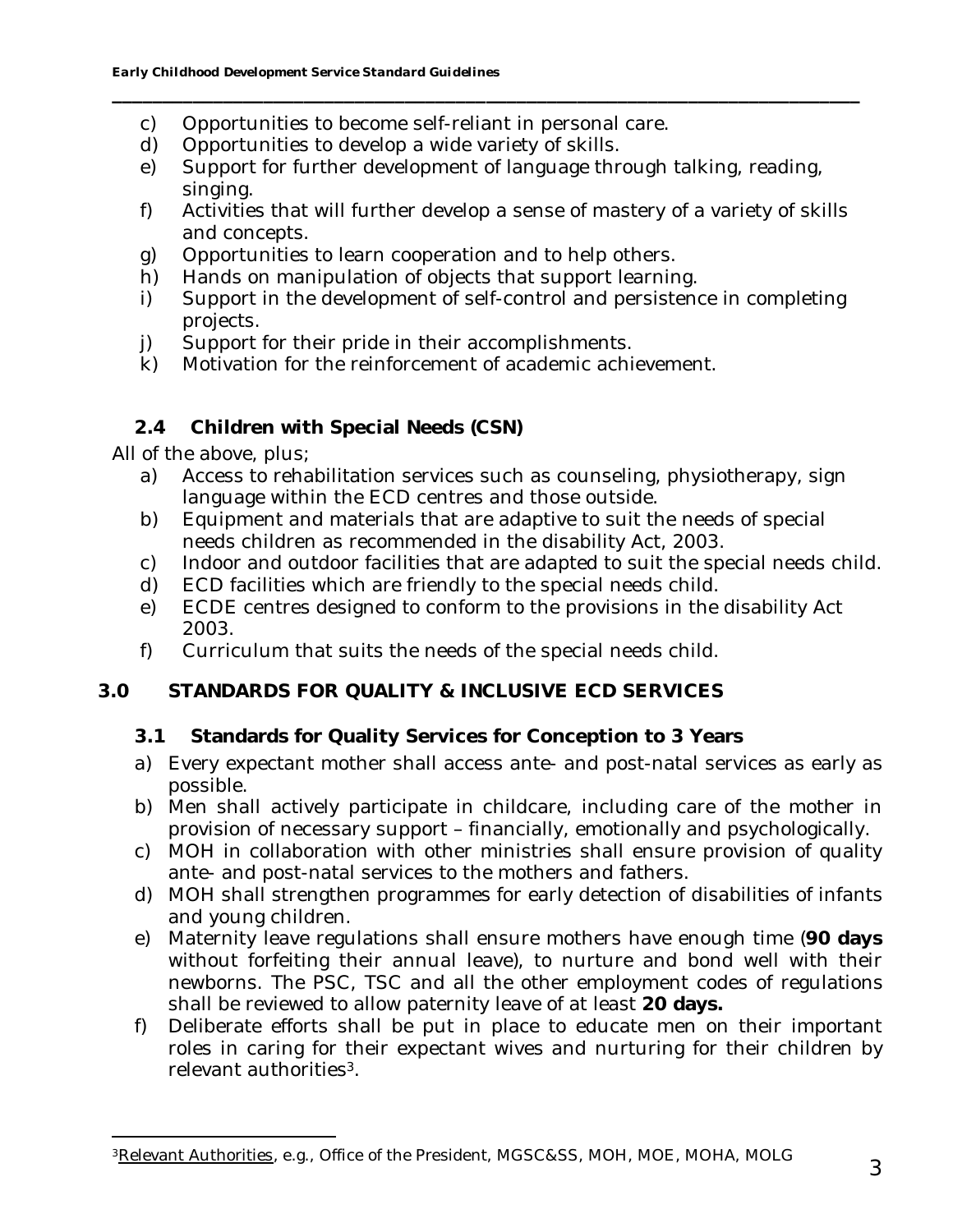- c) Opportunities to become self-reliant in personal care.
- d) Opportunities to develop a wide variety of skills.
- e) Support for further development of language through talking, reading, singing.

**\_\_\_\_\_\_\_\_\_\_\_\_\_\_\_\_\_\_\_\_\_\_\_\_\_\_\_\_\_\_\_\_\_\_\_\_\_\_\_\_\_\_\_\_\_\_\_\_\_\_\_\_\_\_\_\_\_\_\_\_\_\_\_\_\_\_\_\_\_\_\_\_\_\_**

- f) Activities that will further develop a sense of mastery of a variety of skills and concepts.
- g) Opportunities to learn cooperation and to help others.
- h) Hands on manipulation of objects that support learning.
- i) Support in the development of self-control and persistence in completing projects.
- j) Support for their pride in their accomplishments.
- k) Motivation for the reinforcement of academic achievement.

## **2.4 Children with Special Needs (CSN)**

All of the above, plus;

- a) Access to rehabilitation services such as counseling, physiotherapy, sign language within the ECD centres and those outside.
- b) Equipment and materials that are adaptive to suit the needs of special needs children as recommended in the disability Act, 2003.
- c) Indoor and outdoor facilities that are adapted to suit the special needs child.
- d) ECD facilities which are friendly to the special needs child.
- e) ECDE centres designed to conform to the provisions in the disability Act 2003.
- f) Curriculum that suits the needs of the special needs child.

## **3.0 STANDARDS FOR QUALITY & INCLUSIVE ECD SERVICES**

- **3.1 Standards for Quality Services for Conception to 3 Years**
- a) Every expectant mother shall access ante- and post-natal services as early as possible.
- b) Men shall actively participate in childcare, including care of the mother in provision of necessary support – financially, emotionally and psychologically.
- c) MOH in collaboration with other ministries shall ensure provision of quality ante- and post-natal services to the mothers and fathers.
- d) MOH shall strengthen programmes for early detection of disabilities of infants and young children.
- e) Maternity leave regulations shall ensure mothers have enough time (**90 days** without forfeiting their annual leave), to nurture and bond well with their newborns. The PSC, TSC and all the other employment codes of regulations shall be reviewed to allow paternity leave of at least **20 days.**
- f) Deliberate efforts shall be put in place to educate men on their important roles in caring for their expectant wives and nurturing for their children by relevant authorities<sup>3</sup>.

<sup>3</sup>Relevant Authorities, e.g., Office of the President, MGSC&SS, MOH, MOE, MOHA, MOLG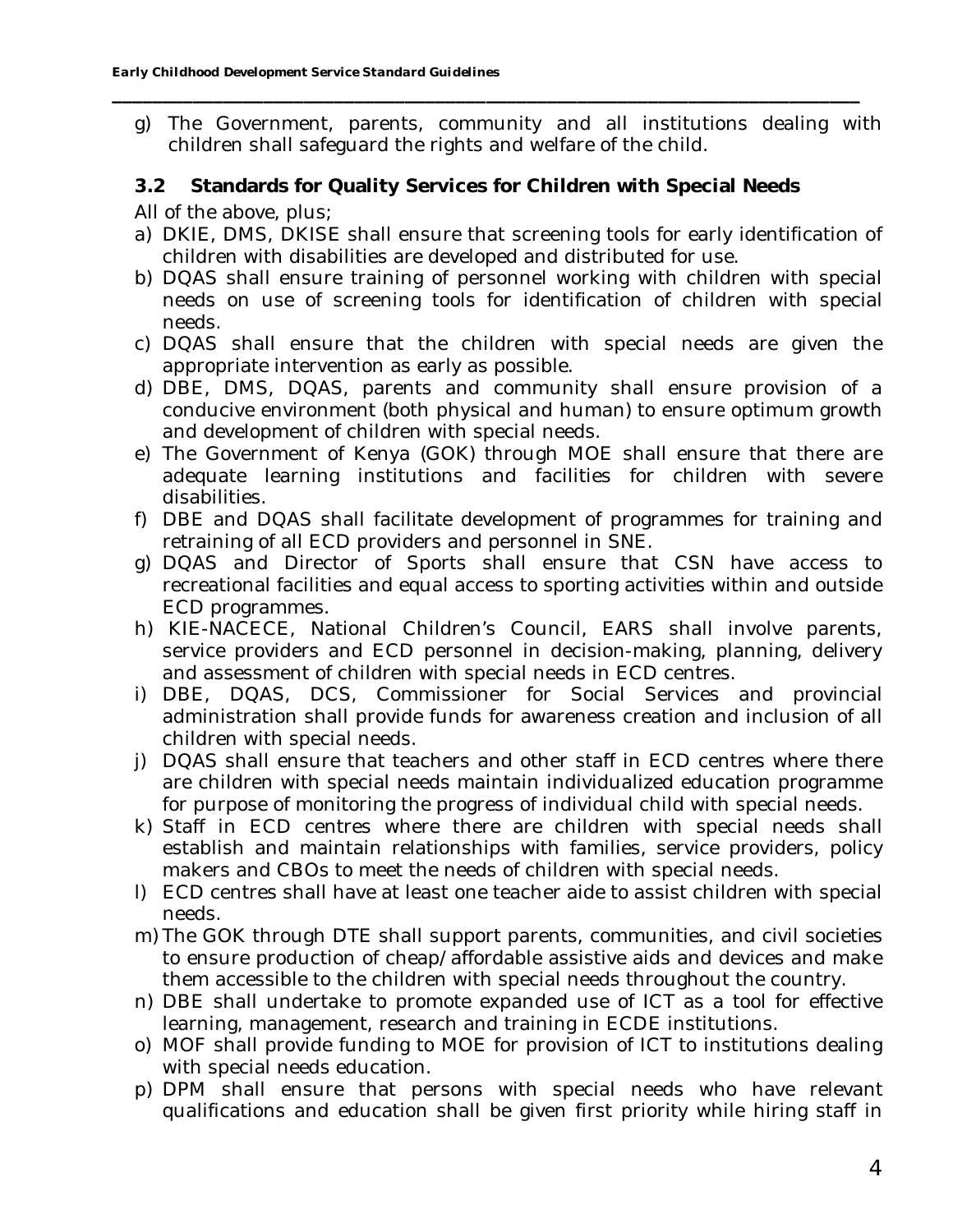g) The Government, parents, community and all institutions dealing with children shall safeguard the rights and welfare of the child.

**\_\_\_\_\_\_\_\_\_\_\_\_\_\_\_\_\_\_\_\_\_\_\_\_\_\_\_\_\_\_\_\_\_\_\_\_\_\_\_\_\_\_\_\_\_\_\_\_\_\_\_\_\_\_\_\_\_\_\_\_\_\_\_\_\_\_\_\_\_\_\_\_\_\_**

**3.2 Standards for Quality Services for Children with Special Needs**

All of the above, plus;

- a) DKIE, DMS, DKISE shall ensure that screening tools for early identification of children with disabilities are developed and distributed for use.
- b) DQAS shall ensure training of personnel working with children with special needs on use of screening tools for identification of children with special needs.
- c) DQAS shall ensure that the children with special needs are given the appropriate intervention as early as possible.
- d) DBE, DMS, DQAS, parents and community shall ensure provision of a conducive environment (both physical and human) to ensure optimum growth and development of children with special needs.
- e) The Government of Kenya (GOK) through MOE shall ensure that there are adequate learning institutions and facilities for children with severe disabilities.
- f) DBE and DQAS shall facilitate development of programmes for training and retraining of all ECD providers and personnel in SNE.
- g) DQAS and Director of Sports shall ensure that CSN have access to recreational facilities and equal access to sporting activities within and outside ECD programmes.
- h) KIE-NACECE, National Children's Council, EARS shall involve parents, service providers and ECD personnel in decision-making, planning, delivery and assessment of children with special needs in ECD centres.
- i) DBE, DQAS, DCS, Commissioner for Social Services and provincial administration shall provide funds for awareness creation and inclusion of all children with special needs.
- j) DQAS shall ensure that teachers and other staff in ECD centres where there are children with special needs maintain individualized education programme for purpose of monitoring the progress of individual child with special needs.
- k) Staff in ECD centres where there are children with special needs shall establish and maintain relationships with families, service providers, policy makers and CBOs to meet the needs of children with special needs.
- l) ECD centres shall have at least one teacher aide to assist children with special needs.
- m) The GOK through DTE shall support parents, communities, and civil societies to ensure production of cheap/affordable assistive aids and devices and make them accessible to the children with special needs throughout the country.
- n) DBE shall undertake to promote expanded use of ICT as a tool for effective learning, management, research and training in ECDE institutions.
- o) MOF shall provide funding to MOE for provision of ICT to institutions dealing with special needs education.
- p) DPM shall ensure that persons with special needs who have relevant qualifications and education shall be given first priority while hiring staff in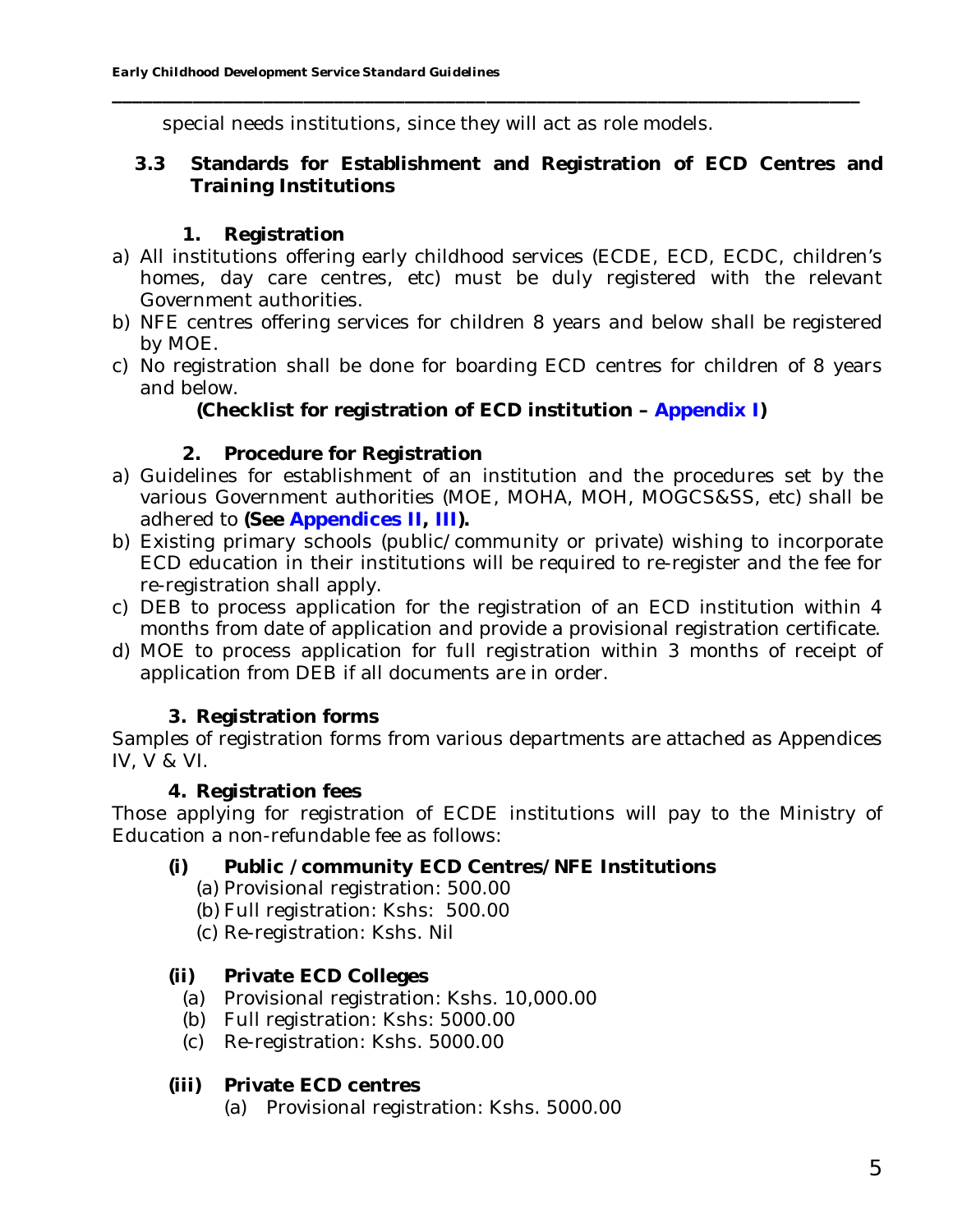special needs institutions, since they will act as role models.

**3.3 Standards for Establishment and Registration of ECD Centres and Training Institutions**

**\_\_\_\_\_\_\_\_\_\_\_\_\_\_\_\_\_\_\_\_\_\_\_\_\_\_\_\_\_\_\_\_\_\_\_\_\_\_\_\_\_\_\_\_\_\_\_\_\_\_\_\_\_\_\_\_\_\_\_\_\_\_\_\_\_\_\_\_\_\_\_\_\_\_**

## **1. Registration**

- a) All institutions offering early childhood services (ECDE, ECD, ECDC, children's homes, day care centres, etc) must be duly registered with the relevant Government authorities.
- b) NFE centres offering services for children 8 years and below shall be registered by MOE.
- c) No registration shall be done for boarding ECD centres for children of 8 years and below.

**(Checklist for registration of ECD institution – Appendix I)**

## **2. Procedure for Registration**

- a) Guidelines for establishment of an institution and the procedures set by the various Government authorities (MOE, MOHA, MOH, MOGCS&SS, etc) shall be adhered to **(See Appendices II, III).**
- b) Existing primary schools (public/community or private) wishing to incorporate ECD education in their institutions will be required to re-register and the fee for re-registration shall apply.
- c) DEB to process application for the registration of an ECD institution within 4 months from date of application and provide a provisional registration certificate.
- d) MOE to process application for full registration within 3 months of receipt of application from DEB if all documents are in order.

## **3. Registration forms**

Samples of registration forms from various departments are attached as Appendices IV, V & VI.

## **4. Registration fees**

Those applying for registration of ECDE institutions will pay to the Ministry of Education a non-refundable fee as follows:

- **(i) Public /community ECD Centres/NFE Institutions**
	- (a) Provisional registration: 500.00
	- (b) Full registration: Kshs: 500.00
	- (c) Re-registration: Kshs. Nil

## **(ii) Private ECD Colleges**

- (a) Provisional registration: Kshs. 10,000.00
- (b) Full registration: Kshs: 5000.00
- (c) Re-registration: Kshs. 5000.00
- **(iii) Private ECD centres**
	- (a) Provisional registration: Kshs. 5000.00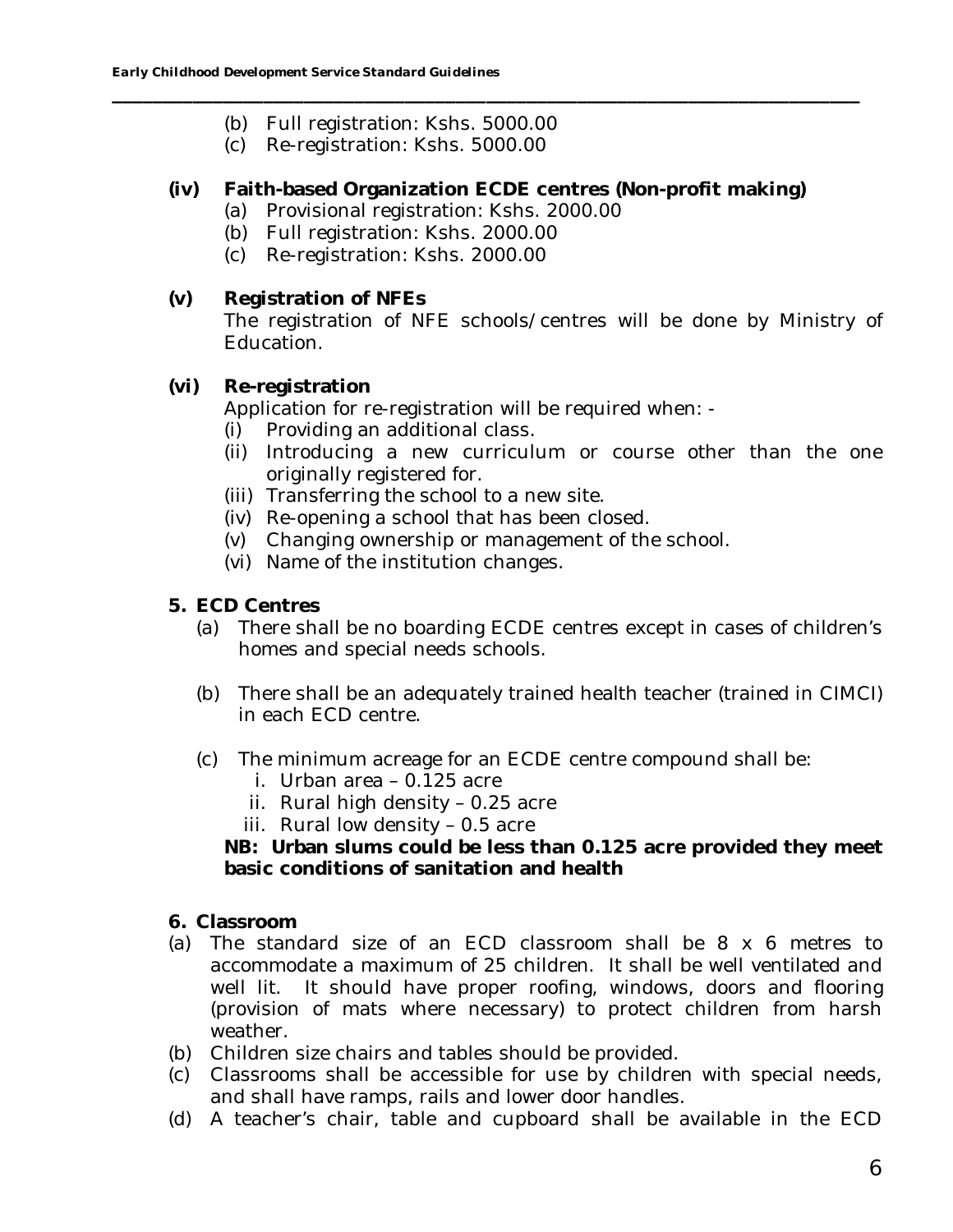- (b) Full registration: Kshs. 5000.00
- (c) Re-registration: Kshs. 5000.00
- **(iv) Faith-based Organization ECDE centres (Non-profit making)**

**\_\_\_\_\_\_\_\_\_\_\_\_\_\_\_\_\_\_\_\_\_\_\_\_\_\_\_\_\_\_\_\_\_\_\_\_\_\_\_\_\_\_\_\_\_\_\_\_\_\_\_\_\_\_\_\_\_\_\_\_\_\_\_\_\_\_\_\_\_\_\_\_\_\_**

- (a) Provisional registration: Kshs. 2000.00
- (b) Full registration: Kshs. 2000.00
- (c) Re-registration: Kshs. 2000.00
- **(v) Registration of NFEs** The registration of NFE schools/centres will be done by Ministry of Education.
- **(vi) Re-registration**

Application for re-registration will be required when: -

- (i) Providing an additional class.
- (ii) Introducing a new curriculum or course other than the one originally registered for.
- (iii) Transferring the school to a new site.
- (iv) Re-opening a school that has been closed.
- (v) Changing ownership or management of the school.
- (vi) Name of the institution changes.
- **5. ECD Centres**
	- (a) There shall be no boarding ECDE centres except in cases of children's homes and special needs schools.
	- (b) There shall be an adequately trained health teacher (trained in CIMCI) in each ECD centre.
	- (c) The minimum acreage for an ECDE centre compound shall be:
		- i. Urban area 0.125 acre
		- ii. Rural high density 0.25 acre
		- iii. Rural low density 0.5 acre

**NB: Urban slums could be less than 0.125 acre provided they meet basic conditions of sanitation and health**

- **6. Classroom**
- (a) The standard size of an ECD classroom shall be 8 x 6 metres to accommodate a maximum of 25 children. It shall be well ventilated and well lit. It should have proper roofing, windows, doors and flooring (provision of mats where necessary) to protect children from harsh weather.
- (b) Children size chairs and tables should be provided.
- (c) Classrooms shall be accessible for use by children with special needs, and shall have ramps, rails and lower door handles.
- (d) A teacher's chair, table and cupboard shall be available in the ECD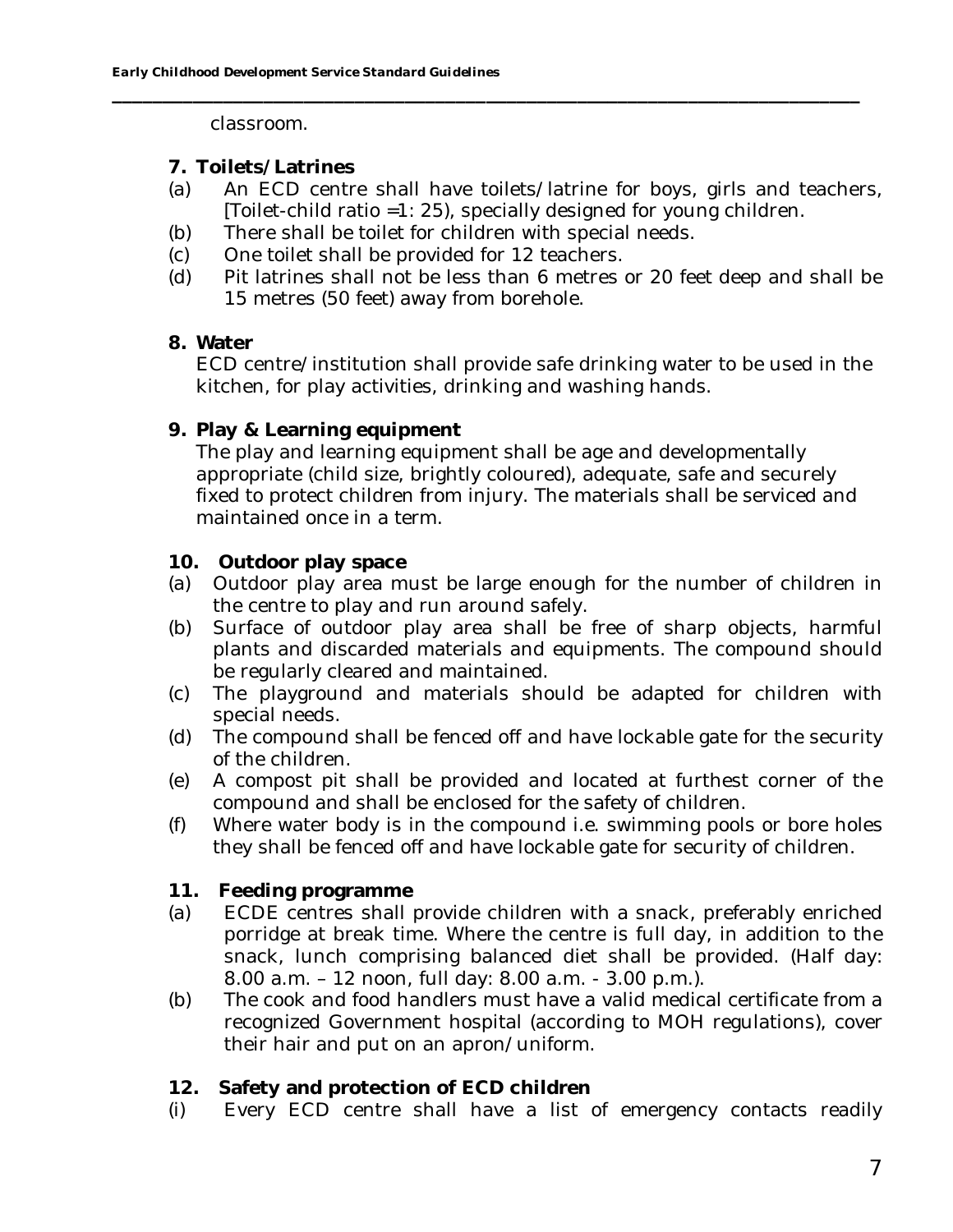classroom.

- **7. Toilets/Latrines**
- (a) An ECD centre shall have toilets/latrine for boys, girls and teachers, [Toilet-child ratio =1: 25), specially designed for young children.

**\_\_\_\_\_\_\_\_\_\_\_\_\_\_\_\_\_\_\_\_\_\_\_\_\_\_\_\_\_\_\_\_\_\_\_\_\_\_\_\_\_\_\_\_\_\_\_\_\_\_\_\_\_\_\_\_\_\_\_\_\_\_\_\_\_\_\_\_\_\_\_\_\_\_**

- (b) There shall be toilet for children with special needs.
- (c) One toilet shall be provided for 12 teachers.
- (d) Pit latrines shall not be less than 6 metres or 20 feet deep and shall be 15 metres (50 feet) away from borehole.
- **8. Water**

ECD centre/institution shall provide safe drinking water to be used in the kitchen, for play activities, drinking and washing hands.

**9. Play & Learning equipment**

The play and learning equipment shall be age and developmentally appropriate (child size, brightly coloured), adequate, safe and securely fixed to protect children from injury. The materials shall be serviced and maintained once in a term.

- **10. Outdoor play space**
- (a) Outdoor play area must be large enough for the number of children in the centre to play and run around safely.
- (b) Surface of outdoor play area shall be free of sharp objects, harmful plants and discarded materials and equipments. The compound should be regularly cleared and maintained.
- (c) The playground and materials should be adapted for children with special needs.
- (d) The compound shall be fenced off and have lockable gate for the security of the children.
- (e) A compost pit shall be provided and located at furthest corner of the compound and shall be enclosed for the safety of children.
- (f) Where water body is in the compound i.e. swimming pools or bore holes they shall be fenced off and have lockable gate for security of children.
- **11. Feeding programme**
- (a) ECDE centres shall provide children with a snack, preferably enriched porridge at break time. Where the centre is full day, in addition to the snack, lunch comprising balanced diet shall be provided. (Half day: 8.00 a.m. – 12 noon, full day: 8.00 a.m. - 3.00 p.m.).
- (b) The cook and food handlers must have a valid medical certificate from a recognized Government hospital (according to MOH regulations), cover their hair and put on an apron/uniform.
- **12. Safety and protection of ECD children**
- (i) Every ECD centre shall have a list of emergency contacts readily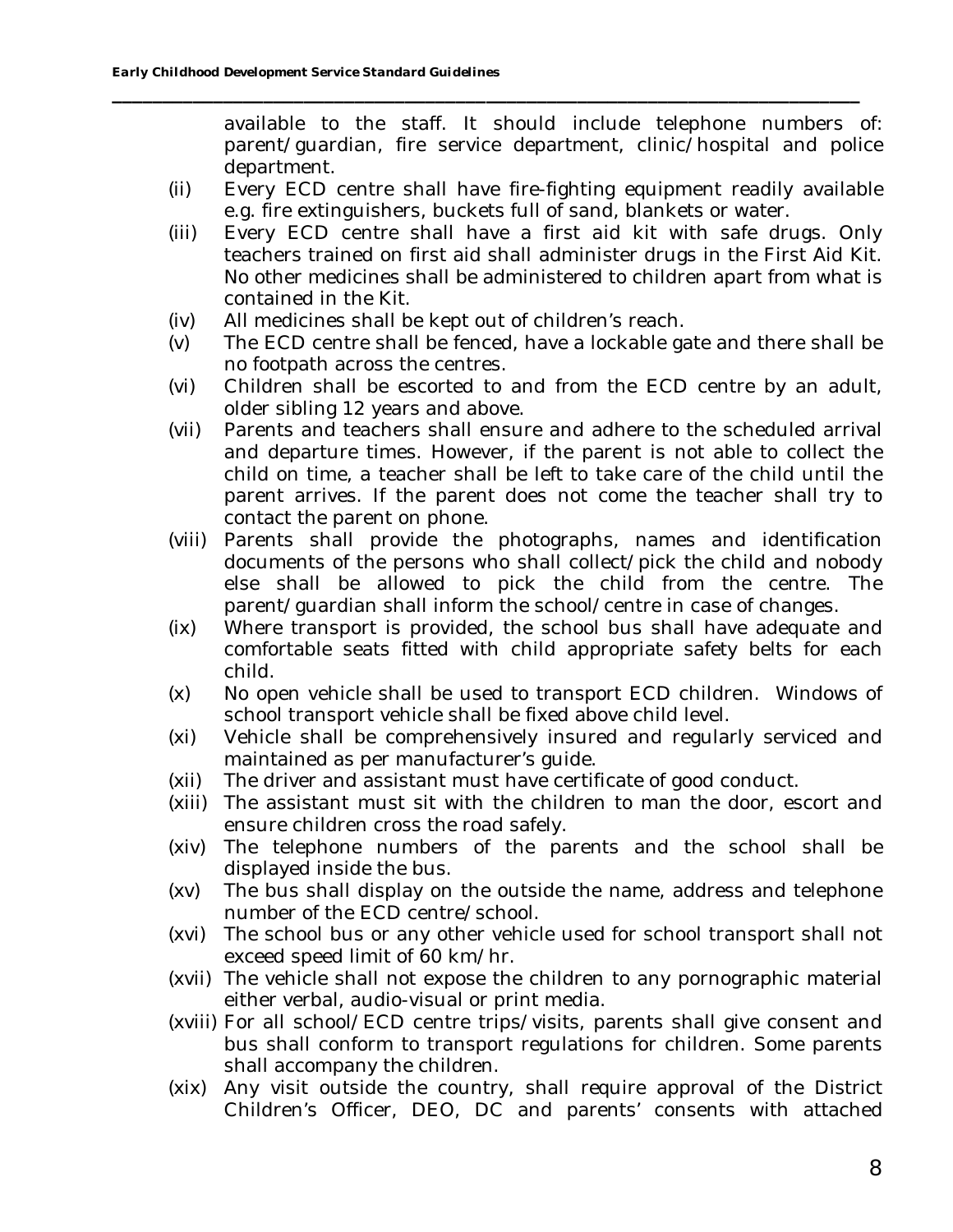available to the staff. It should include telephone numbers of: parent/guardian, fire service department, clinic/hospital and police department.

(ii) Every ECD centre shall have fire-fighting equipment readily available e.g. fire extinguishers, buckets full of sand, blankets or water.

- (iii) Every ECD centre shall have a first aid kit with safe drugs. Only teachers trained on first aid shall administer drugs in the First Aid Kit. No other medicines shall be administered to children apart from what is contained in the Kit.
- (iv) All medicines shall be kept out of children's reach.
- (v) The ECD centre shall be fenced, have a lockable gate and there shall be no footpath across the centres.
- (vi) Children shall be escorted to and from the ECD centre by an adult, older sibling 12 years and above.
- (vii) Parents and teachers shall ensure and adhere to the scheduled arrival and departure times. However, if the parent is not able to collect the child on time, a teacher shall be left to take care of the child until the parent arrives. If the parent does not come the teacher shall try to contact the parent on phone.
- (viii) Parents shall provide the photographs, names and identification documents of the persons who shall collect/pick the child and nobody else shall be allowed to pick the child from the centre. The parent/guardian shall inform the school/centre in case of changes.
- (ix) Where transport is provided, the school bus shall have adequate and comfortable seats fitted with child appropriate safety belts for each child.
- (x) No open vehicle shall be used to transport ECD children. Windows of school transport vehicle shall be fixed above child level.
- (xi) Vehicle shall be comprehensively insured and regularly serviced and maintained as per manufacturer's guide.
- (xii) The driver and assistant must have certificate of good conduct.
- (xiii) The assistant must sit with the children to man the door, escort and ensure children cross the road safely.
- (xiv) The telephone numbers of the parents and the school shall be displayed inside the bus.
- (xv) The bus shall display on the outside the name, address and telephone number of the ECD centre/school.
- (xvi) The school bus or any other vehicle used for school transport shall not exceed speed limit of 60 km/hr.
- (xvii) The vehicle shall not expose the children to any pornographic material either verbal, audio-visual or print media.
- (xviii) For all school/ECD centre trips/visits, parents shall give consent and bus shall conform to transport regulations for children. Some parents shall accompany the children.
- (xix) Any visit outside the country, shall require approval of the District Children's Officer, DEO, DC and parents' consents with attached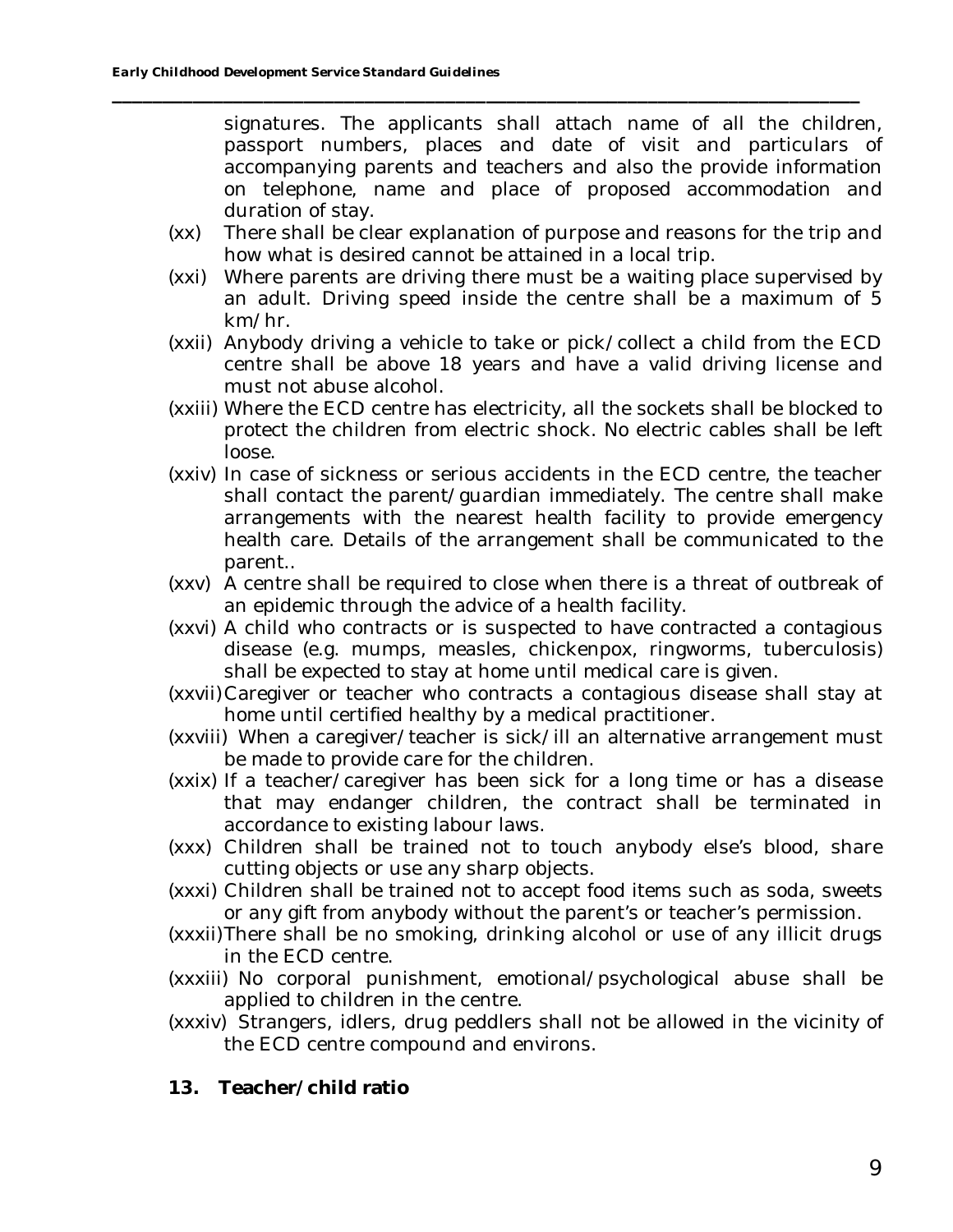signatures. The applicants shall attach name of all the children, passport numbers, places and date of visit and particulars of accompanying parents and teachers and also the provide information on telephone, name and place of proposed accommodation and duration of stay.

(xx) There shall be clear explanation of purpose and reasons for the trip and how what is desired cannot be attained in a local trip.

- (xxi) Where parents are driving there must be a waiting place supervised by an adult. Driving speed inside the centre shall be a maximum of 5 km/hr.
- (xxii) Anybody driving a vehicle to take or pick/collect a child from the ECD centre shall be above 18 years and have a valid driving license and must not abuse alcohol.
- (xxiii) Where the ECD centre has electricity, all the sockets shall be blocked to protect the children from electric shock. No electric cables shall be left loose.
- (xxiv) In case of sickness or serious accidents in the ECD centre, the teacher shall contact the parent/guardian immediately. The centre shall make arrangements with the nearest health facility to provide emergency health care. Details of the arrangement shall be communicated to the parent..
- (xxv) A centre shall be required to close when there is a threat of outbreak of an epidemic through the advice of a health facility.
- (xxvi) A child who contracts or is suspected to have contracted a contagious disease (e.g. mumps, measles, chickenpox, ringworms, tuberculosis) shall be expected to stay at home until medical care is given.
- (xxvii) Caregiver or teacher who contracts a contagious disease shall stay at home until certified healthy by a medical practitioner.
- (xxviii) When a caregiver/teacher is sick/ill an alternative arrangement must be made to provide care for the children.
- (xxix) If a teacher/caregiver has been sick for a long time or has a disease that may endanger children, the contract shall be terminated in accordance to existing labour laws.
- (xxx) Children shall be trained not to touch anybody else's blood, share cutting objects or use any sharp objects.
- (xxxi) Children shall be trained not to accept food items such as soda, sweets or any gift from anybody without the parent's or teacher's permission.
- (xxxii)There shall be no smoking, drinking alcohol or use of any illicit drugs in the ECD centre.
- (xxxiii) No corporal punishment, emotional/psychological abuse shall be applied to children in the centre.
- (xxxiv) Strangers, idlers, drug peddlers shall not be allowed in the vicinity of the ECD centre compound and environs.
- **13. Teacher/child ratio**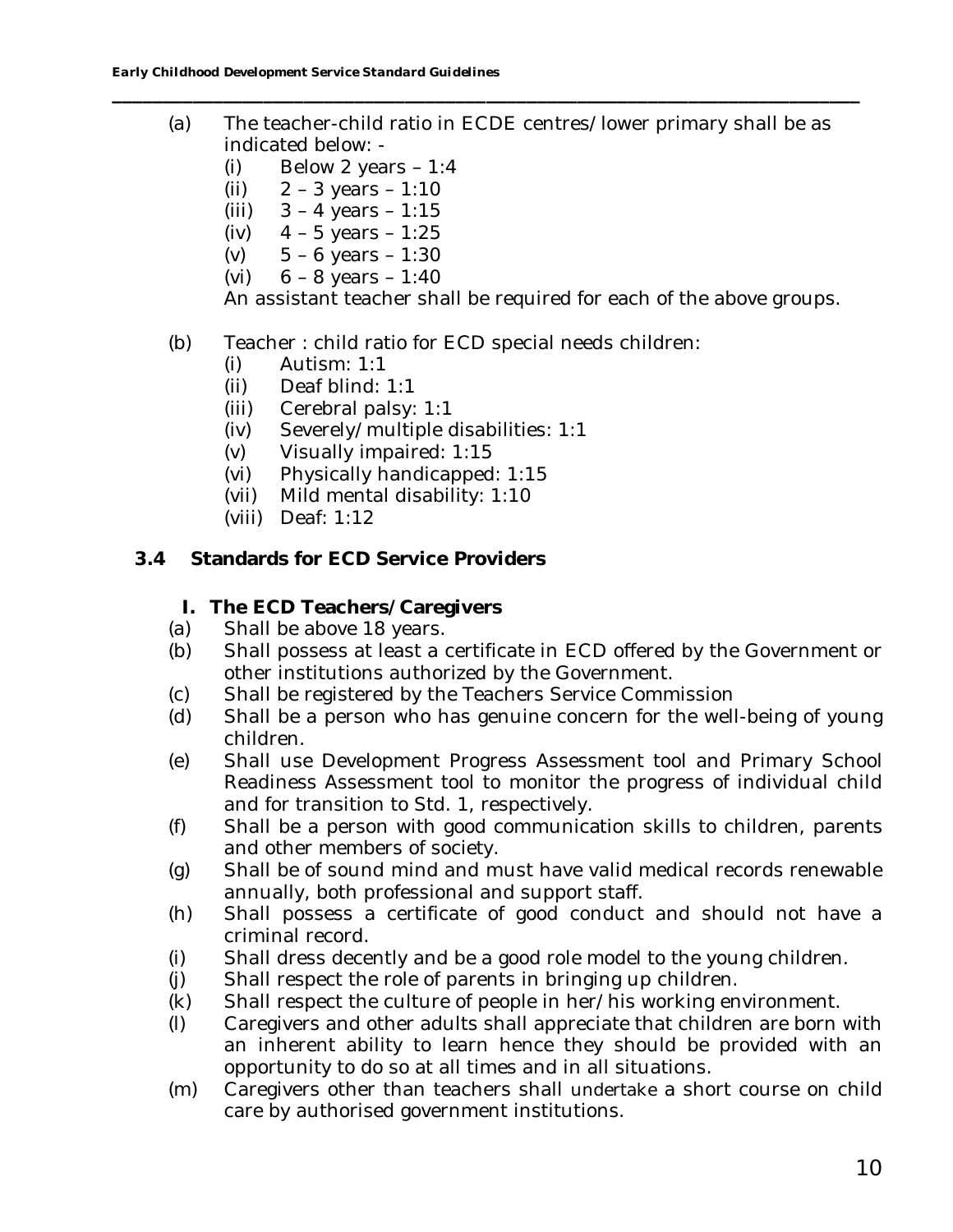(a) The teacher-child ratio in ECDE centres/lower primary shall be as indicated below: -

**\_\_\_\_\_\_\_\_\_\_\_\_\_\_\_\_\_\_\_\_\_\_\_\_\_\_\_\_\_\_\_\_\_\_\_\_\_\_\_\_\_\_\_\_\_\_\_\_\_\_\_\_\_\_\_\_\_\_\_\_\_\_\_\_\_\_\_\_\_\_\_\_\_\_**

- (i) Below 2 years  $-1:4$
- (ii)  $2 3$  years  $1:10$
- (iii)  $3 4$  years  $1:15$
- (iv) 4 5 years 1:25
- (v)  $5 6$  years  $1:30$
- (vi)  $6 8$  years  $1:40$

An assistant teacher shall be required for each of the above groups.

- (b) Teacher : child ratio for ECD special needs children:
	- (i) Autism: 1:1
	- (ii) Deaf blind: 1:1
	- (iii) Cerebral palsy: 1:1
	- (iv) Severely/multiple disabilities: 1:1
	- (v) Visually impaired: 1:15
	- (vi) Physically handicapped: 1:15
	- (vii) Mild mental disability: 1:10
	- (viii) Deaf: 1:12
- **3.4 Standards for ECD Service Providers**
	- **I. The ECD Teachers/Caregivers**
	- (a) Shall be above 18 years.
	- (b) Shall possess at least a certificate in ECD offered by the Government or other institutions authorized by the Government.
	- (c) Shall be registered by the Teachers Service Commission
	- (d) Shall be a person who has genuine concern for the well-being of young children.
	- (e) Shall use Development Progress Assessment tool and Primary School Readiness Assessment tool to monitor the progress of individual child and for transition to Std. 1, respectively.
	- (f) Shall be a person with good communication skills to children, parents and other members of society.
	- (g) Shall be of sound mind and must have valid medical records renewable annually, both professional and support staff.
	- (h) Shall possess a certificate of good conduct and should not have a criminal record.
	- (i) Shall dress decently and be a good role model to the young children.
	- (j) Shall respect the role of parents in bringing up children.
	- (k) Shall respect the culture of people in her/his working environment.
	- (l) Caregivers and other adults shall appreciate that children are born with an inherent ability to learn hence they should be provided with an opportunity to do so at all times and in all situations.
	- (m) Caregivers other than teachers shall undertake a short course on child care by authorised government institutions.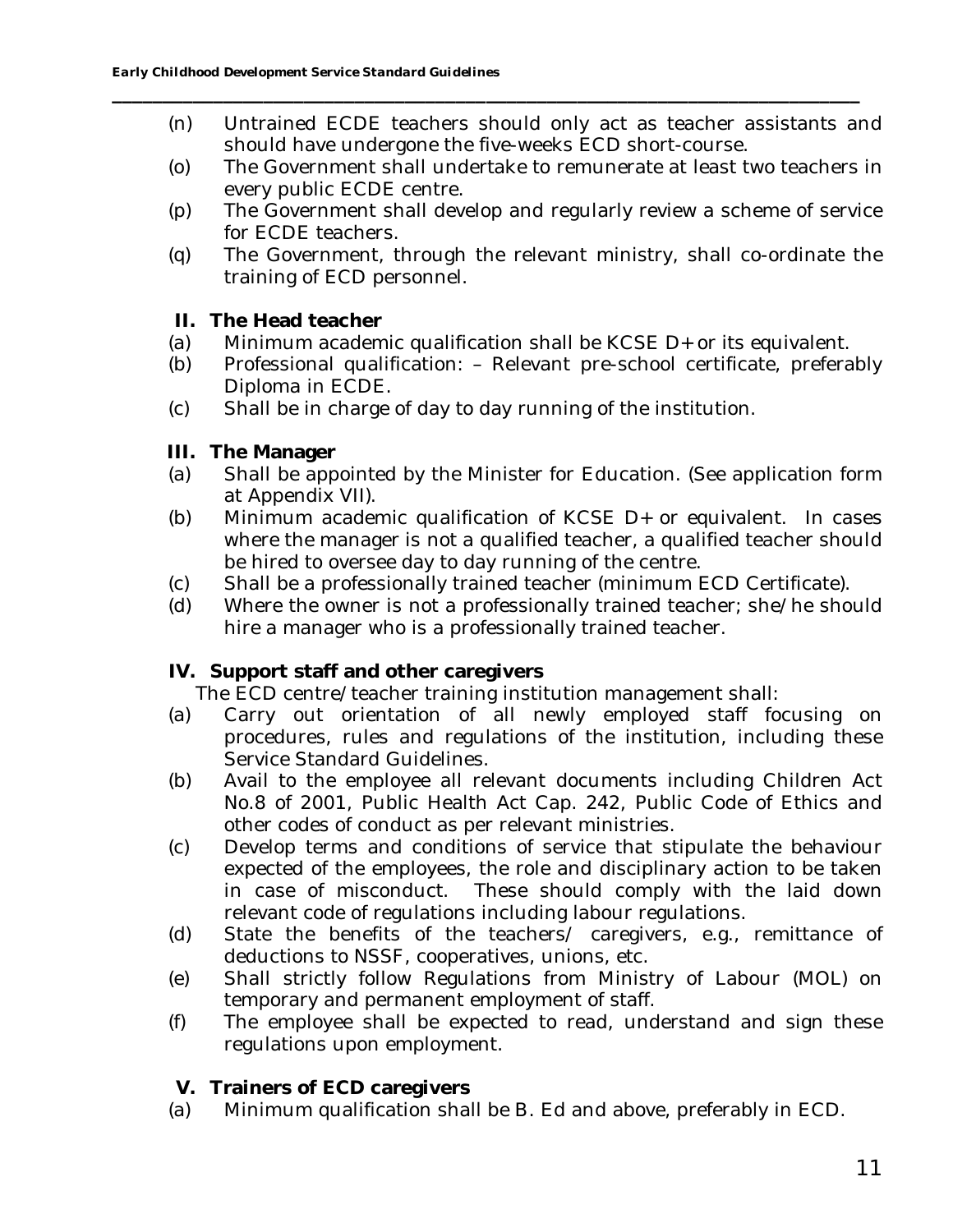(n) Untrained ECDE teachers should only act as teacher assistants and should have undergone the five-weeks ECD short-course.

**\_\_\_\_\_\_\_\_\_\_\_\_\_\_\_\_\_\_\_\_\_\_\_\_\_\_\_\_\_\_\_\_\_\_\_\_\_\_\_\_\_\_\_\_\_\_\_\_\_\_\_\_\_\_\_\_\_\_\_\_\_\_\_\_\_\_\_\_\_\_\_\_\_\_**

- (o) The Government shall undertake to remunerate at least two teachers in every public ECDE centre.
- (p) The Government shall develop and regularly review a scheme of service for ECDE teachers.
- (q) The Government, through the relevant ministry, shall co-ordinate the training of ECD personnel.
- **II. The Head teacher**
- (a) Minimum academic qualification shall be KCSE D+ or its equivalent.
- (b) Professional qualification: Relevant pre-school certificate, preferably Diploma in ECDE.
- (c) Shall be in charge of day to day running of the institution.
- **III. The Manager**
- (a) Shall be appointed by the Minister for Education. (See application form at Appendix VII).
- (b) Minimum academic qualification of KCSE D+ or equivalent. In cases where the manager is not a qualified teacher, a qualified teacher should be hired to oversee day to day running of the centre.
- (c) Shall be a professionally trained teacher (minimum ECD Certificate).
- (d) Where the owner is not a professionally trained teacher; she/he should hire a manager who is a professionally trained teacher.
- **IV. Support staff and other caregivers**

The ECD centre/teacher training institution management shall:

- (a) Carry out orientation of all newly employed staff focusing on procedures, rules and regulations of the institution, including these Service Standard Guidelines.
- (b) Avail to the employee all relevant documents including Children Act No.8 of 2001, Public Health Act Cap. 242, Public Code of Ethics and other codes of conduct as per relevant ministries.
- (c) Develop terms and conditions of service that stipulate the behaviour expected of the employees, the role and disciplinary action to be taken in case of misconduct. These should comply with the laid down relevant code of regulations including labour regulations.
- (d) State the benefits of the teachers/ caregivers, e.g., remittance of deductions to NSSF, cooperatives, unions, etc.
- (e) Shall strictly follow Regulations from Ministry of Labour (MOL) on temporary and permanent employment of staff.
- (f) The employee shall be expected to read, understand and sign these regulations upon employment.
- **V. Trainers of ECD caregivers**
- (a) Minimum qualification shall be B. Ed and above, preferably in ECD.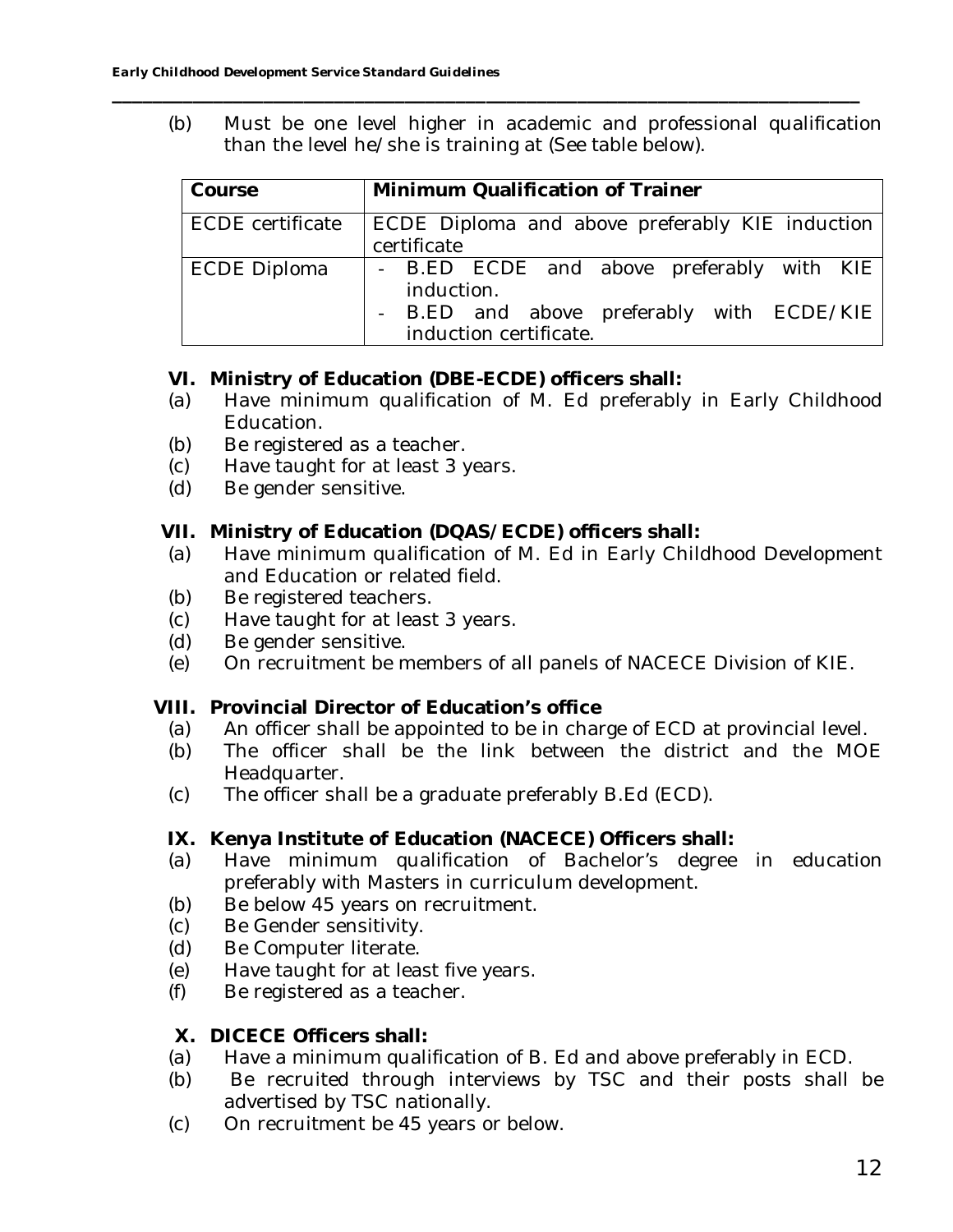(b) Must be one level higher in academic and professional qualification than the level he/she is training at (See table below).

**\_\_\_\_\_\_\_\_\_\_\_\_\_\_\_\_\_\_\_\_\_\_\_\_\_\_\_\_\_\_\_\_\_\_\_\_\_\_\_\_\_\_\_\_\_\_\_\_\_\_\_\_\_\_\_\_\_\_\_\_\_\_\_\_\_\_\_\_\_\_\_\_\_\_**

| Course                  | Minimum Qualification of Trainer                                                                                               |
|-------------------------|--------------------------------------------------------------------------------------------------------------------------------|
| <b>ECDE</b> certificate | ECDE Diploma and above preferably KIE induction<br>certificate                                                                 |
| <b>ECDE Diploma</b>     | - B.ED ECDE and above preferably with KIE<br>induction.<br>- B.ED and above preferably with ECDE/KIE<br>induction certificate. |

- **VI. Ministry of Education (DBE-ECDE) officers shall:**
- (a) Have minimum qualification of M. Ed preferably in Early Childhood Education.
- (b) Be registered as a teacher.
- (c) Have taught for at least 3 years.
- (d) Be gender sensitive.

**VII. Ministry of Education (DQAS/ECDE) officers shall:**

- (a) Have minimum qualification of M. Ed in Early Childhood Development and Education or related field.
- (b) Be registered teachers.
- (c) Have taught for at least 3 years.
- (d) Be gender sensitive.
- (e) On recruitment be members of all panels of NACECE Division of KIE.

**VIII. Provincial Director of Education's office**

- (a) An officer shall be appointed to be in charge of ECD at provincial level.
- (b) The officer shall be the link between the district and the MOE Headquarter.
- (c) The officer shall be a graduate preferably B.Ed (ECD).
- **IX. Kenya Institute of Education (NACECE) Officers shall:**
- (a) Have minimum qualification of Bachelor's degree in education preferably with Masters in curriculum development.
- (b) Be below 45 years on recruitment.
- (c) Be Gender sensitivity.
- (d) Be Computer literate.
- (e) Have taught for at least five years.
- (f) Be registered as a teacher.
- **X. DICECE Officers shall:**
- (a) Have a minimum qualification of B. Ed and above preferably in ECD.
- (b) Be recruited through interviews by TSC and their posts shall be advertised by TSC nationally.
- (c) On recruitment be 45 years or below.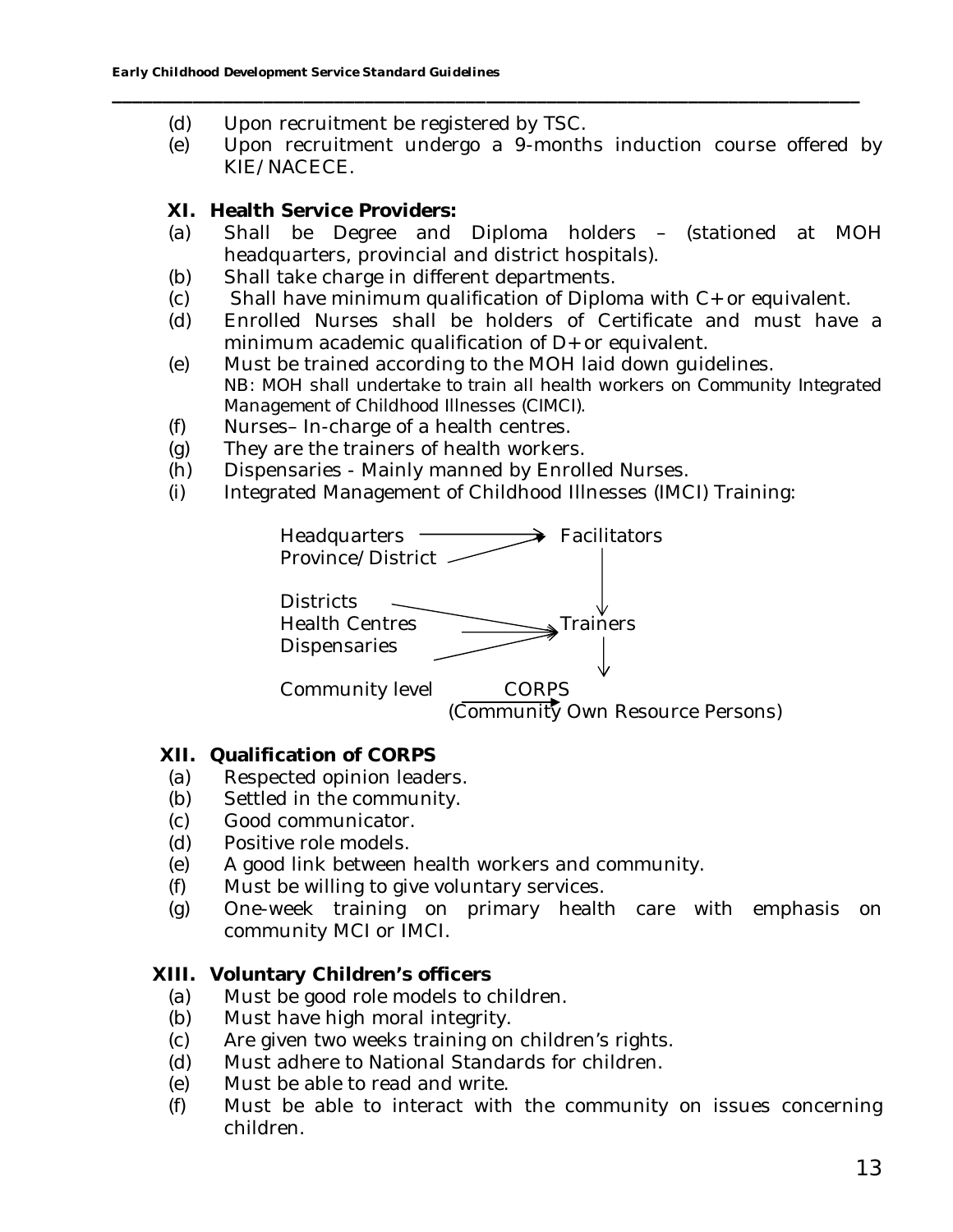- (d) Upon recruitment be registered by TSC.
- (e) Upon recruitment undergo a 9-months induction course offered by KIE/NACECE.

**\_\_\_\_\_\_\_\_\_\_\_\_\_\_\_\_\_\_\_\_\_\_\_\_\_\_\_\_\_\_\_\_\_\_\_\_\_\_\_\_\_\_\_\_\_\_\_\_\_\_\_\_\_\_\_\_\_\_\_\_\_\_\_\_\_\_\_\_\_\_\_\_\_\_**

- **XI. Health Service Providers:**
- (a) Shall be Degree and Diploma holders (stationed at MOH headquarters, provincial and district hospitals).
- (b) Shall take charge in different departments.
- (c) Shall have minimum qualification of Diploma with C+ or equivalent.
- $\overrightarrow{a}$  Enrolled Nurses shall be holders of Certificate and must have a minimum academic qualification of D+ or equivalent.
- (e) Must be trained according to the MOH laid down guidelines. NB: *MOH shall undertake to train all health workers on Community Integrated Management of Childhood Illnesses (CIMCI).*
- (f) Nurses– In-charge of a health centres.
- (g) They are the trainers of health workers.
- (h) Dispensaries Mainly manned by Enrolled Nurses.
- (i) Integrated Management of Childhood Illnesses (IMCI) Training:



- **XII. Qualification of CORPS**
- (a) Respected opinion leaders.
- (b) Settled in the community.
- (c) Good communicator.
- (d) Positive role models.
- (e) A good link between health workers and community.
- (f) Must be willing to give voluntary services.
- (g) One-week training on primary health care with emphasis on community MCI or IMCI.

## **XIII. Voluntary Children's officers**

- (a) Must be good role models to children.
- (b) Must have high moral integrity.
- (c) Are given two weeks training on children's rights.
- (d) Must adhere to National Standards for children.
- (e) Must be able to read and write.
- (f) Must be able to interact with the community on issues concerning children.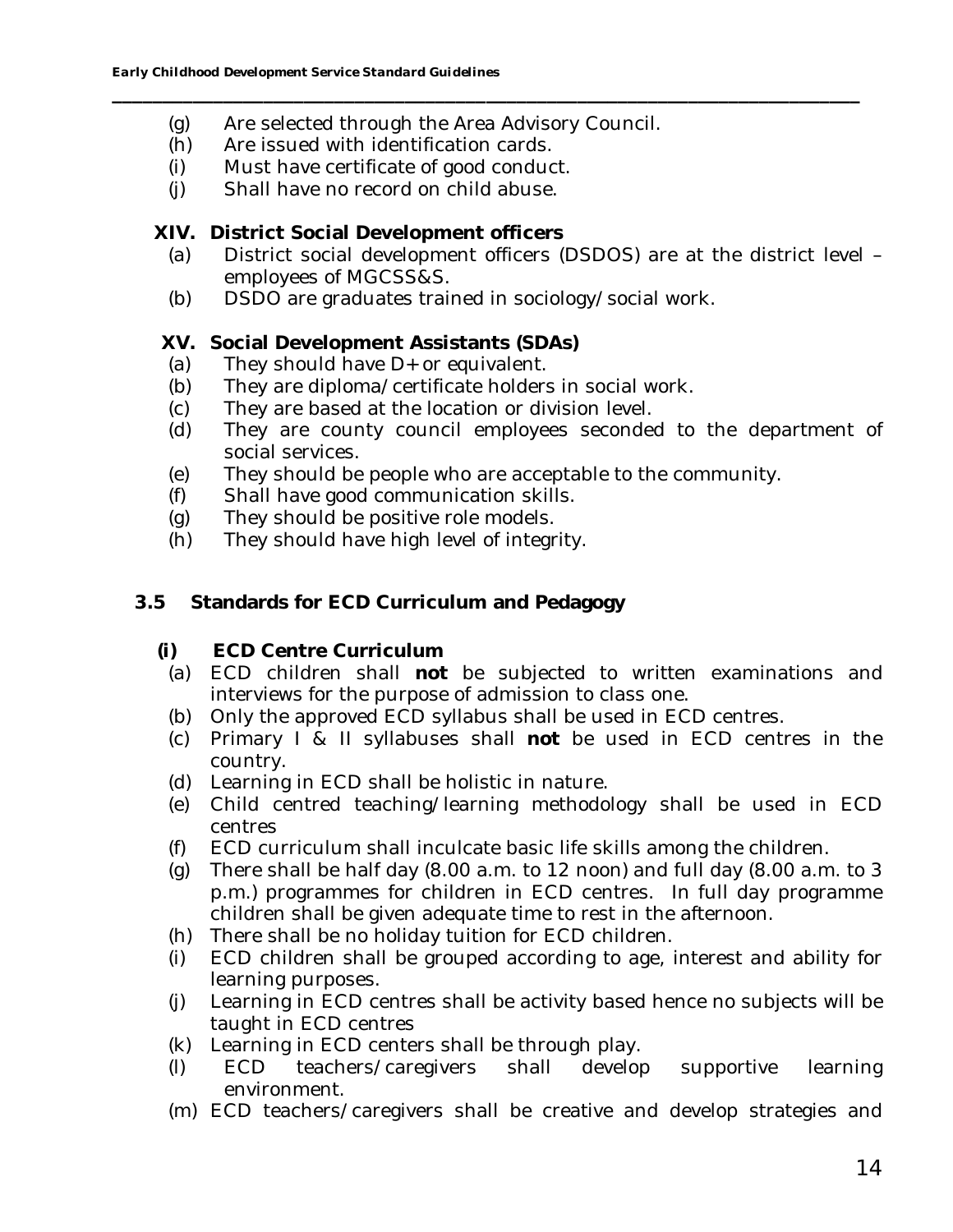- (g) Are selected through the Area Advisory Council.
- (h) Are issued with identification cards.
- (i) Must have certificate of good conduct.
- (j) Shall have no record on child abuse.

**XIV. District Social Development officers**

(a) District social development officers (DSDOS) are at the district level – employees of MGCSS&S.

**\_\_\_\_\_\_\_\_\_\_\_\_\_\_\_\_\_\_\_\_\_\_\_\_\_\_\_\_\_\_\_\_\_\_\_\_\_\_\_\_\_\_\_\_\_\_\_\_\_\_\_\_\_\_\_\_\_\_\_\_\_\_\_\_\_\_\_\_\_\_\_\_\_\_**

(b) DSDO are graduates trained in sociology/social work.

**XV. Social Development Assistants (SDAs)**

- (a) They should have D+ or equivalent.
- (b) They are diploma/certificate holders in social work.
- (c) They are based at the location or division level.
- (d) They are county council employees seconded to the department of social services.
- (e) They should be people who are acceptable to the community.
- (f) Shall have good communication skills.
- (g) They should be positive role models.
- (h) They should have high level of integrity.
- **3.5 Standards for ECD Curriculum and Pedagogy**
	- **(i) ECD Centre Curriculum**
	- (a) ECD children shall **not** be subjected to written examinations and interviews for the purpose of admission to class one.
	- (b) Only the approved ECD syllabus shall be used in ECD centres.
	- (c) Primary I & II syllabuses shall **not** be used in ECD centres in the country.
	- (d) Learning in ECD shall be holistic in nature.
	- (e) Child centred teaching/learning methodology shall be used in ECD centres
	- (f) ECD curriculum shall inculcate basic life skills among the children.
	- (g) There shall be half day (8.00 a.m. to 12 noon) and full day (8.00 a.m. to 3 p.m.) programmes for children in ECD centres. In full day programme children shall be given adequate time to rest in the afternoon.
	- (h) There shall be no holiday tuition for ECD children.
	- (i) ECD children shall be grouped according to age, interest and ability for learning purposes.
	- (j) Learning in ECD centres shall be activity based hence no subjects will be taught in ECD centres
	- (k) Learning in ECD centers shall be through play.
	- (l) ECD teachers/caregivers shall develop supportive learning environment.
	- (m) ECD teachers/caregivers shall be creative and develop strategies and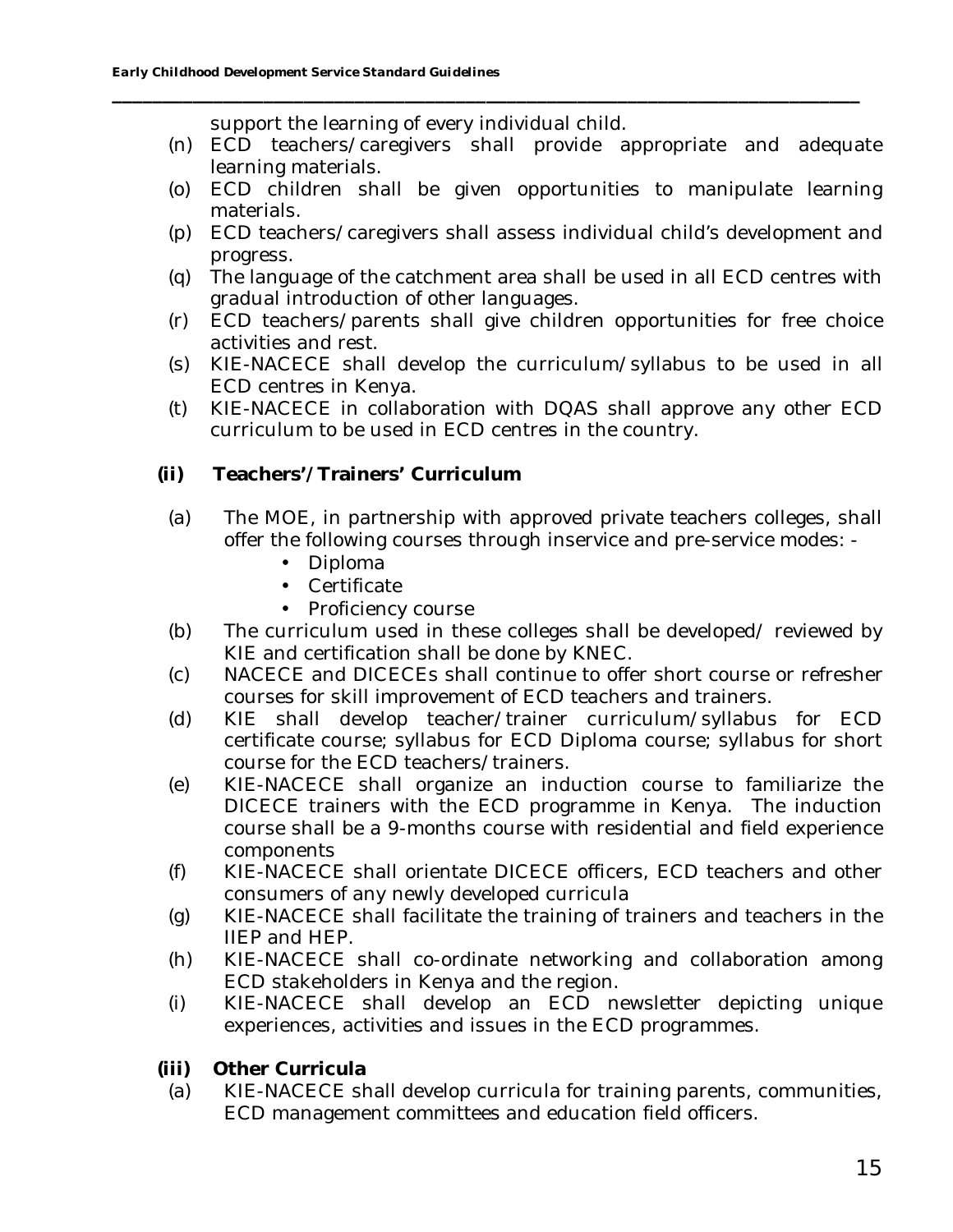support the learning of every individual child.

(n) ECD teachers/caregivers shall provide appropriate and adequate learning materials.

- (o) ECD children shall be given opportunities to manipulate learning materials.
- (p) ECD teachers/caregivers shall assess individual child's development and progress.
- (q) The language of the catchment area shall be used in all ECD centres with gradual introduction of other languages.
- (r) ECD teachers/parents shall give children opportunities for free choice activities and rest.
- (s) KIE-NACECE shall develop the curriculum/syllabus to be used in all ECD centres in Kenya.
- (t) KIE-NACECE in collaboration with DQAS shall approve any other ECD curriculum to be used in ECD centres in the country.
- **(ii) Teachers'/Trainers' Curriculum**
- (a) The MOE, in partnership with approved private teachers colleges, shall offer the following courses through inservice and pre-service modes: -
	- Diploma
	- Certificate
	- Proficiency course
- (b) The curriculum used in these colleges shall be developed/ reviewed by KIE and certification shall be done by KNEC.
- (c) NACECE and DICECEs shall continue to offer short course or refresher courses for skill improvement of ECD teachers and trainers.
- (d) KIE shall develop teacher/trainer curriculum/syllabus for ECD certificate course; syllabus for ECD Diploma course; syllabus for short course for the ECD teachers/trainers.
- (e) KIE-NACECE shall organize an induction course to familiarize the DICECE trainers with the ECD programme in Kenya. The induction course shall be a 9-months course with residential and field experience components
- (f) KIE-NACECE shall orientate DICECE officers, ECD teachers and other consumers of any newly developed curricula
- (g) KIE-NACECE shall facilitate the training of trainers and teachers in the IIEP and HEP.
- (h) KIE-NACECE shall co-ordinate networking and collaboration among ECD stakeholders in Kenya and the region.
- (i) KIE-NACECE shall develop an ECD newsletter depicting unique experiences, activities and issues in the ECD programmes.
- **(iii) Other Curricula**
- (a) KIE-NACECE shall develop curricula for training parents, communities, ECD management committees and education field officers.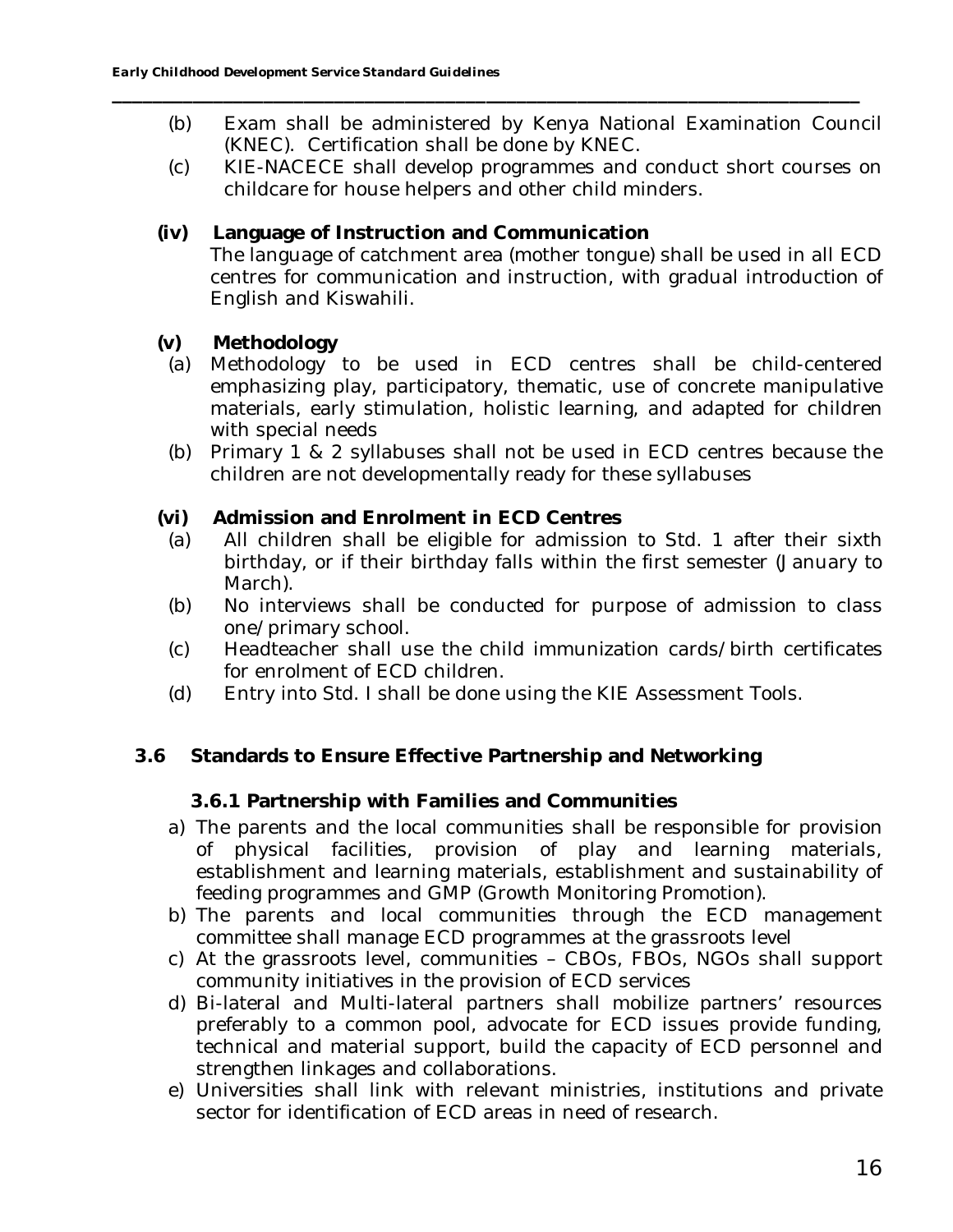(b) Exam shall be administered by Kenya National Examination Council (KNEC). Certification shall be done by KNEC.

**\_\_\_\_\_\_\_\_\_\_\_\_\_\_\_\_\_\_\_\_\_\_\_\_\_\_\_\_\_\_\_\_\_\_\_\_\_\_\_\_\_\_\_\_\_\_\_\_\_\_\_\_\_\_\_\_\_\_\_\_\_\_\_\_\_\_\_\_\_\_\_\_\_\_**

- (c) KIE-NACECE shall develop programmes and conduct short courses on childcare for house helpers and other child minders.
- **(iv) Language of Instruction and Communication** The language of catchment area (mother tongue) shall be used in all ECD centres for communication and instruction, with gradual introduction of English and Kiswahili.
- **(v) Methodology**
- (a) Methodology to be used in ECD centres shall be child-centered emphasizing play, participatory, thematic, use of concrete manipulative materials, early stimulation, holistic learning, and adapted for children with special needs
- (b) Primary 1 & 2 syllabuses shall not be used in ECD centres because the children are not developmentally ready for these syllabuses
- **(vi) Admission and Enrolment in ECD Centres**
	- (a) All children shall be eligible for admission to Std. 1 after their sixth birthday, or if their birthday falls within the first semester (January to March).
	- (b) No interviews shall be conducted for purpose of admission to class one/primary school.
	- (c) Headteacher shall use the child immunization cards/birth certificates for enrolment of ECD children.
	- (d) Entry into Std. I shall be done using the KIE Assessment Tools.
- **3.6 Standards to Ensure Effective Partnership and Networking**

**3.6.1 Partnership with Families and Communities**

- a) The parents and the local communities shall be responsible for provision of physical facilities, provision of play and learning materials, establishment and learning materials, establishment and sustainability of feeding programmes and GMP (Growth Monitoring Promotion).
- b) The parents and local communities through the ECD management committee shall manage ECD programmes at the grassroots level
- c) At the grassroots level, communities CBOs, FBOs, NGOs shall support community initiatives in the provision of ECD services
- d) Bi-lateral and Multi-lateral partners shall mobilize partners' resources preferably to a common pool, advocate for ECD issues provide funding, technical and material support, build the capacity of ECD personnel and strengthen linkages and collaborations.
- e) Universities shall link with relevant ministries, institutions and private sector for identification of ECD areas in need of research.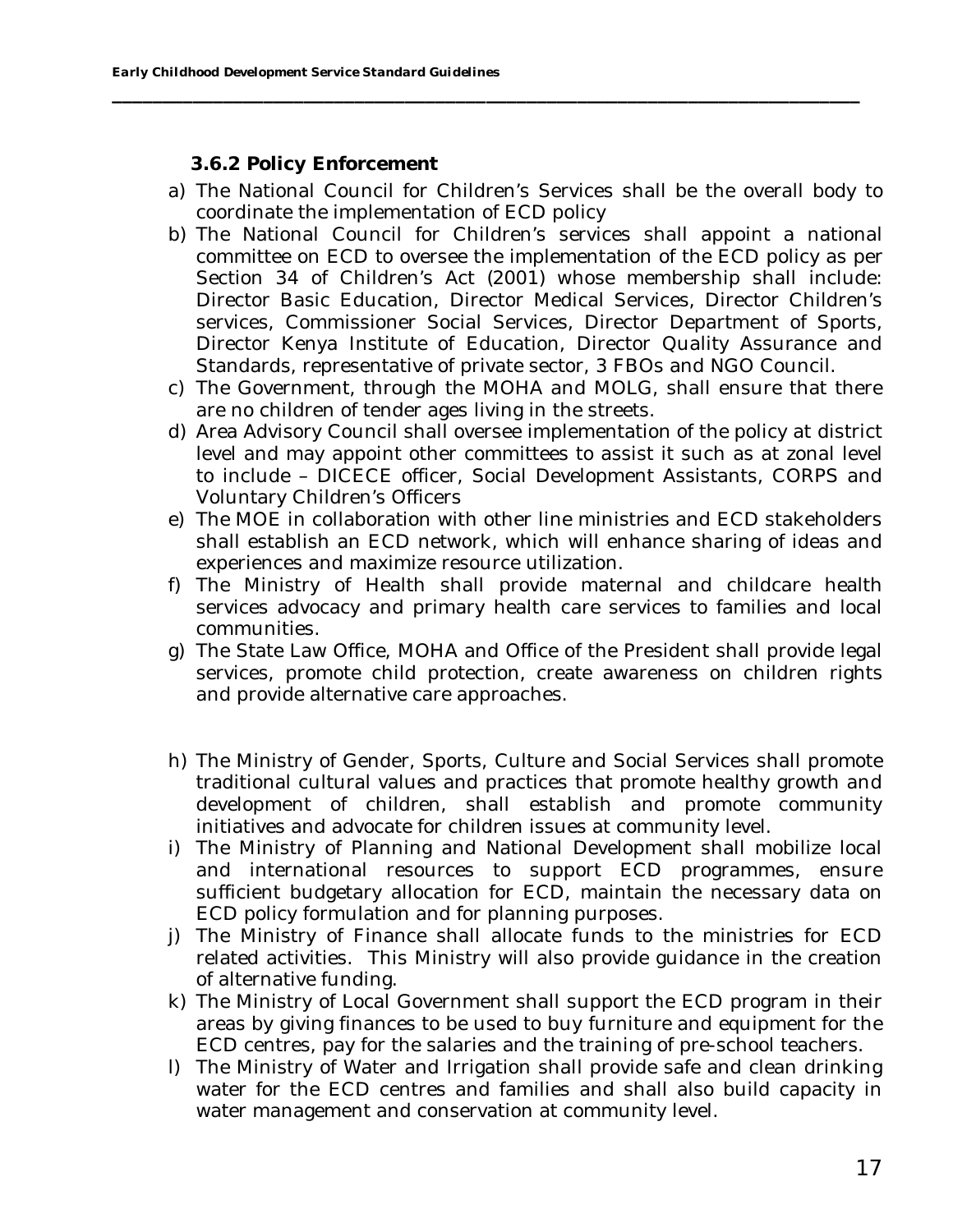**3.6.2 Policy Enforcement**

a) The National Council for Children's Services shall be the overall body to coordinate the implementation of ECD policy

- b) The National Council for Children's services shall appoint a national committee on ECD to oversee the implementation of the ECD policy as per Section 34 of Children's Act (2001) whose membership shall include: Director Basic Education, Director Medical Services, Director Children's services, Commissioner Social Services, Director Department of Sports, Director Kenya Institute of Education, Director Quality Assurance and Standards, representative of private sector, 3 FBOs and NGO Council.
- c) The Government, through the MOHA and MOLG, shall ensure that there are no children of tender ages living in the streets.
- d) Area Advisory Council shall oversee implementation of the policy at district level and may appoint other committees to assist it such as at zonal level to include – DICECE officer, Social Development Assistants, CORPS and Voluntary Children's Officers
- e) The MOE in collaboration with other line ministries and ECD stakeholders shall establish an ECD network, which will enhance sharing of ideas and experiences and maximize resource utilization.
- f) The Ministry of Health shall provide maternal and childcare health services advocacy and primary health care services to families and local communities.
- g) The State Law Office, MOHA and Office of the President shall provide legal services, promote child protection, create awareness on children rights and provide alternative care approaches.
- h) The Ministry of Gender, Sports, Culture and Social Services shall promote traditional cultural values and practices that promote healthy growth and development of children, shall establish and promote community initiatives and advocate for children issues at community level.
- i) The Ministry of Planning and National Development shall mobilize local and international resources to support ECD programmes, ensure sufficient budgetary allocation for ECD, maintain the necessary data on ECD policy formulation and for planning purposes.
- j) The Ministry of Finance shall allocate funds to the ministries for ECD related activities. This Ministry will also provide guidance in the creation of alternative funding.
- k) The Ministry of Local Government shall support the ECD program in their areas by giving finances to be used to buy furniture and equipment for the ECD centres, pay for the salaries and the training of pre-school teachers.
- l) The Ministry of Water and Irrigation shall provide safe and clean drinking water for the ECD centres and families and shall also build capacity in water management and conservation at community level.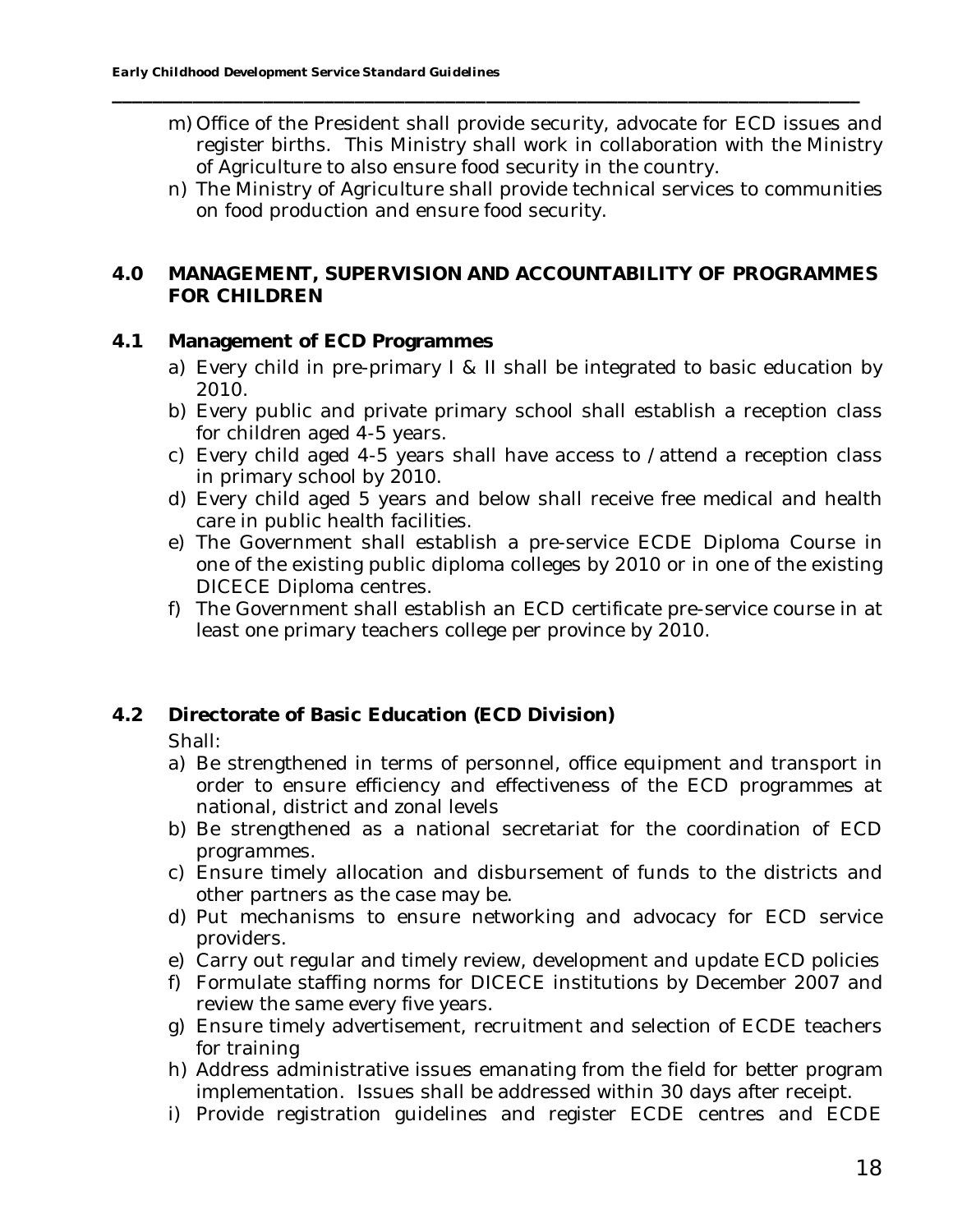- m) Office of the President shall provide security, advocate for ECD issues and register births. This Ministry shall work in collaboration with the Ministry of Agriculture to also ensure food security in the country.
- n) The Ministry of Agriculture shall provide technical services to communities on food production and ensure food security.
- **4.0 MANAGEMENT, SUPERVISION AND ACCOUNTABILITY OF PROGRAMMES FOR CHILDREN**

**\_\_\_\_\_\_\_\_\_\_\_\_\_\_\_\_\_\_\_\_\_\_\_\_\_\_\_\_\_\_\_\_\_\_\_\_\_\_\_\_\_\_\_\_\_\_\_\_\_\_\_\_\_\_\_\_\_\_\_\_\_\_\_\_\_\_\_\_\_\_\_\_\_\_**

## **4.1 Management of ECD Programmes**

- a) Every child in pre-primary I & II shall be integrated to basic education by 2010.
- b) Every public and private primary school shall establish a reception class for children aged 4-5 years.
- c) Every child aged 4-5 years shall have access to /attend a reception class in primary school by 2010.
- d) Every child aged 5 years and below shall receive free medical and health care in public health facilities.
- e) The Government shall establish a pre-service ECDE Diploma Course in one of the existing public diploma colleges by 2010 or in one of the existing DICECE Diploma centres.
- f) The Government shall establish an ECD certificate pre-service course in at least one primary teachers college per province by 2010.

## **4.2 Directorate of Basic Education (ECD Division)**

- Shall:
- a) Be strengthened in terms of personnel, office equipment and transport in order to ensure efficiency and effectiveness of the ECD programmes at national, district and zonal levels
- b) Be strengthened as a national secretariat for the coordination of ECD programmes.
- c) Ensure timely allocation and disbursement of funds to the districts and other partners as the case may be.
- d) Put mechanisms to ensure networking and advocacy for ECD service providers.
- e) Carry out regular and timely review, development and update ECD policies
- f) Formulate staffing norms for DICECE institutions by December 2007 and review the same every five years.
- g) Ensure timely advertisement, recruitment and selection of ECDE teachers for training
- h) Address administrative issues emanating from the field for better program implementation. Issues shall be addressed within 30 days after receipt.
- i) Provide registration guidelines and register ECDE centres and ECDE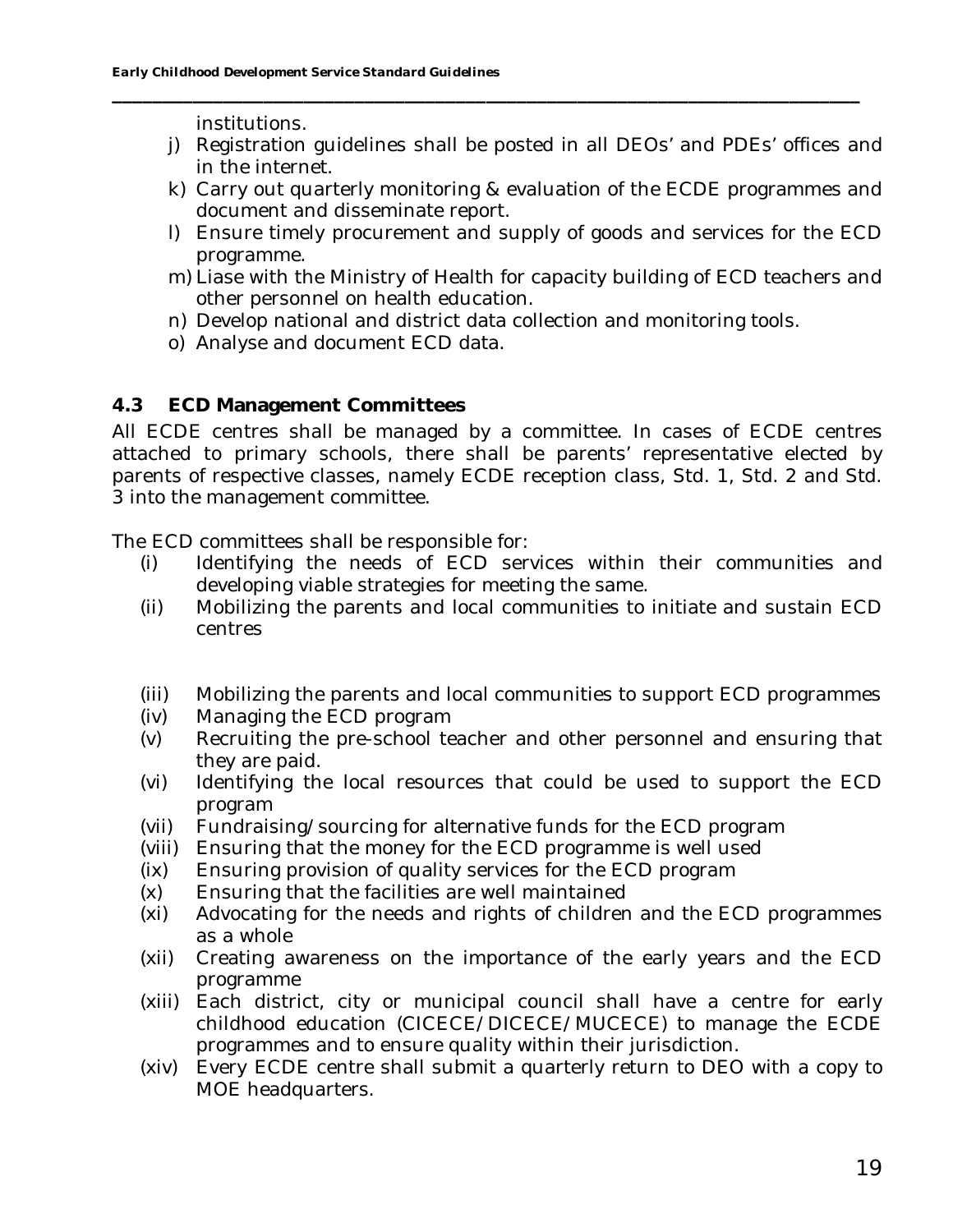institutions.

- j) Registration guidelines shall be posted in all DEOs' and PDEs' offices and in the internet.
- k) Carry out quarterly monitoring & evaluation of the ECDE programmes and document and disseminate report.
- l) Ensure timely procurement and supply of goods and services for the ECD programme.
- m) Liase with the Ministry of Health for capacity building of ECD teachers and other personnel on health education.
- n) Develop national and district data collection and monitoring tools.

**\_\_\_\_\_\_\_\_\_\_\_\_\_\_\_\_\_\_\_\_\_\_\_\_\_\_\_\_\_\_\_\_\_\_\_\_\_\_\_\_\_\_\_\_\_\_\_\_\_\_\_\_\_\_\_\_\_\_\_\_\_\_\_\_\_\_\_\_\_\_\_\_\_\_**

o) Analyse and document ECD data.

## **4.3 ECD Management Committees**

All ECDE centres shall be managed by a committee. In cases of ECDE centres attached to primary schools, there shall be parents' representative elected by parents of respective classes, namely ECDE reception class, Std. 1, Std. 2 and Std. 3 into the management committee.

The ECD committees shall be responsible for:

- (i) Identifying the needs of ECD services within their communities and developing viable strategies for meeting the same.
- (ii) Mobilizing the parents and local communities to initiate and sustain ECD centres
- (iii) Mobilizing the parents and local communities to support ECD programmes
- (iv) Managing the ECD program
- (v) Recruiting the pre-school teacher and other personnel and ensuring that they are paid.
- (vi) Identifying the local resources that could be used to support the ECD program
- (vii) Fundraising/sourcing for alternative funds for the ECD program
- (viii) Ensuring that the money for the ECD programme is well used
- (ix) Ensuring provision of quality services for the ECD program
- (x) Ensuring that the facilities are well maintained
- (xi) Advocating for the needs and rights of children and the ECD programmes as a whole
- (xii) Creating awareness on the importance of the early years and the ECD programme
- (xiii) Each district, city or municipal council shall have a centre for early childhood education (CICECE/DICECE/MUCECE) to manage the ECDE programmes and to ensure quality within their jurisdiction.
- (xiv) Every ECDE centre shall submit a quarterly return to DEO with a copy to MOE headquarters.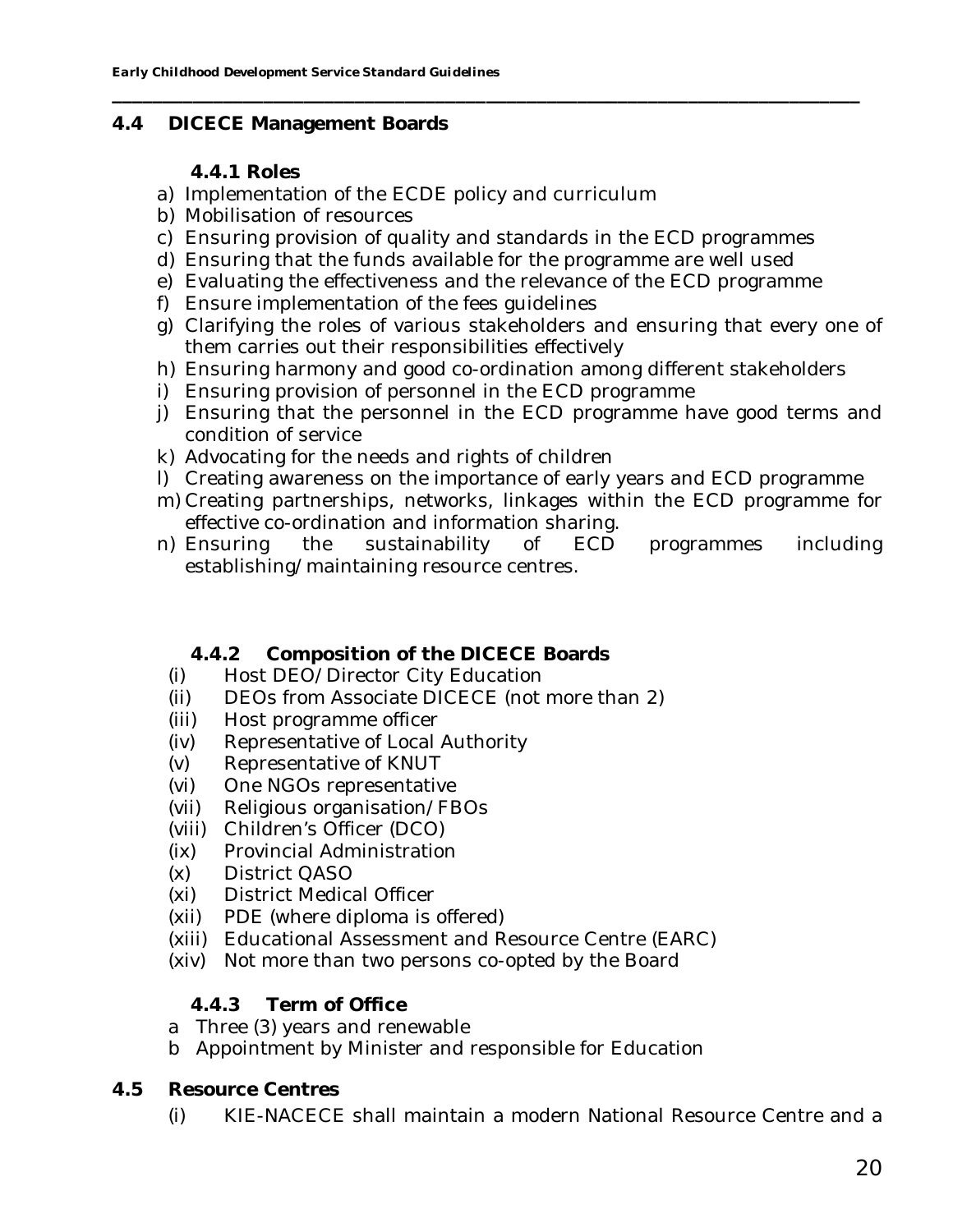#### **4.4 DICECE Management Boards**

## **4.4.1 Roles**

- a) Implementation of the ECDE policy and curriculum
- b) Mobilisation of resources
- c) Ensuring provision of quality and standards in the ECD programmes

**\_\_\_\_\_\_\_\_\_\_\_\_\_\_\_\_\_\_\_\_\_\_\_\_\_\_\_\_\_\_\_\_\_\_\_\_\_\_\_\_\_\_\_\_\_\_\_\_\_\_\_\_\_\_\_\_\_\_\_\_\_\_\_\_\_\_\_\_\_\_\_\_\_\_**

- d) Ensuring that the funds available for the programme are well used
- e) Evaluating the effectiveness and the relevance of the ECD programme
- f) Ensure implementation of the fees guidelines
- g) Clarifying the roles of various stakeholders and ensuring that every one of them carries out their responsibilities effectively
- h) Ensuring harmony and good co-ordination among different stakeholders
- i) Ensuring provision of personnel in the ECD programme
- j) Ensuring that the personnel in the ECD programme have good terms and condition of service
- k) Advocating for the needs and rights of children
- l) Creating awareness on the importance of early years and ECD programme
- m) Creating partnerships, networks, linkages within the ECD programme for effective co-ordination and information sharing.
- n) Ensuring the sustainability of ECD programmes including establishing/maintaining resource centres.
	- **4.4.2 Composition of the DICECE Boards**
	- (i) Host DEO/Director City Education
	- (ii) DEOs from Associate DICECE (not more than 2)
	- (iii) Host programme officer
	- (iv) Representative of Local Authority
	- (v) Representative of KNUT
	-
	- (vi) One NGOs representative<br>(vii) Religious organisation/FE Religious organisation/FBOs
	- (viii) Children's Officer (DCO)
	- (ix) Provincial Administration
	- (x) District QASO
	- (xi) District Medical Officer
	- (xii) PDE (where diploma is offered)
	- (xiii) Educational Assessment and Resource Centre (EARC)
	- (xiv) Not more than two persons co-opted by the Board

## **4.4.3 Term of Office**

- a Three (3) years and renewable
- b Appointment by Minister and responsible for Education
- **4.5 Resource Centres**
	- (i) KIE-NACECE shall maintain a modern National Resource Centre and a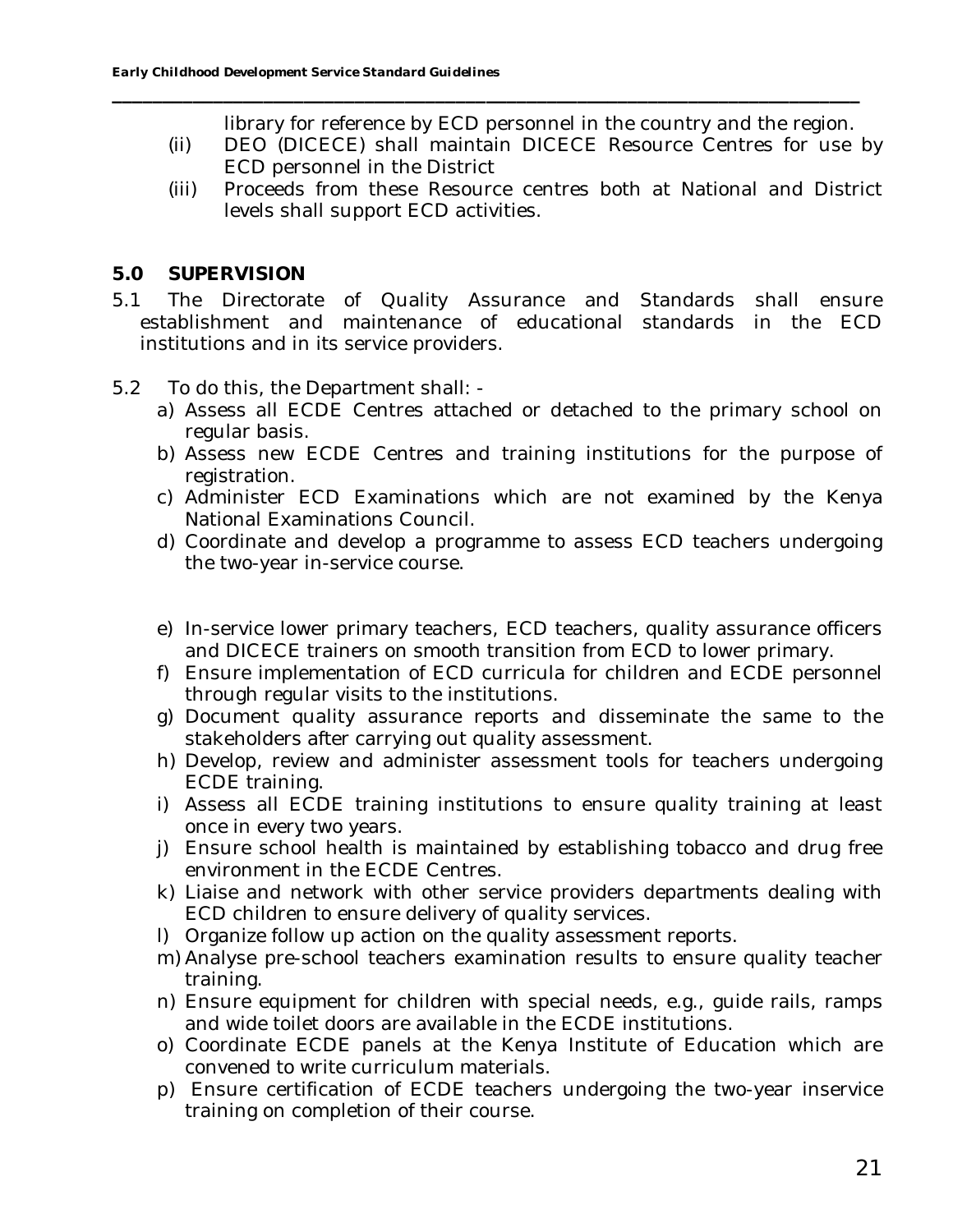library for reference by ECD personnel in the country and the region.

(ii) DEO (DICECE) shall maintain DICECE Resource Centres for use by ECD personnel in the District

- (iii) Proceeds from these Resource centres both at National and District levels shall support ECD activities.
- **5.0 SUPERVISION**
- 5.1 The Directorate of Quality Assurance and Standards shall ensure establishment and maintenance of educational standards in the ECD institutions and in its service providers.
- 5.2 To do this, the Department shall:
	- a) Assess all ECDE Centres attached or detached to the primary school on regular basis.
	- b) Assess new ECDE Centres and training institutions for the purpose of registration.
	- c) Administer ECD Examinations which are not examined by the Kenya National Examinations Council.
	- d) Coordinate and develop a programme to assess ECD teachers undergoing the two-year in-service course.
	- e) In-service lower primary teachers, ECD teachers, quality assurance officers and DICECE trainers on smooth transition from ECD to lower primary.
	- f) Ensure implementation of ECD curricula for children and ECDE personnel through regular visits to the institutions.
	- g) Document quality assurance reports and disseminate the same to the stakeholders after carrying out quality assessment.
	- h) Develop, review and administer assessment tools for teachers undergoing ECDE training.
	- i) Assess all ECDE training institutions to ensure quality training at least once in every two years.
	- j) Ensure school health is maintained by establishing tobacco and drug free environment in the ECDE Centres.
	- k) Liaise and network with other service providers departments dealing with ECD children to ensure delivery of quality services.
	- l) Organize follow up action on the quality assessment reports.
	- m) Analyse pre-school teachers examination results to ensure quality teacher training.
	- n) Ensure equipment for children with special needs, e.g., guide rails, ramps and wide toilet doors are available in the ECDE institutions.
	- o) Coordinate ECDE panels at the Kenya Institute of Education which are convened to write curriculum materials.
	- p) Ensure certification of ECDE teachers undergoing the two-year inservice training on completion of their course.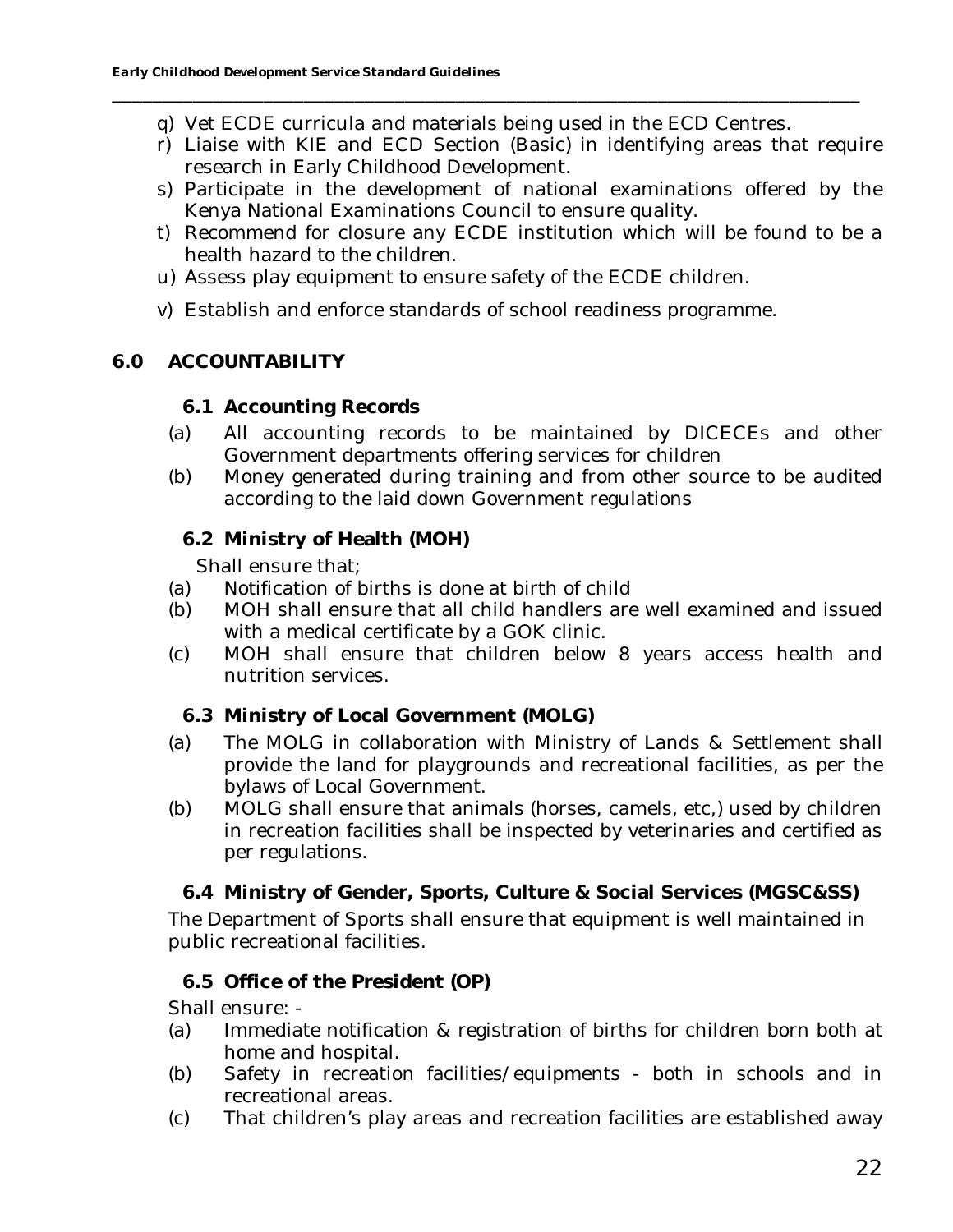q) Vet ECDE curricula and materials being used in the ECD Centres.

**\_\_\_\_\_\_\_\_\_\_\_\_\_\_\_\_\_\_\_\_\_\_\_\_\_\_\_\_\_\_\_\_\_\_\_\_\_\_\_\_\_\_\_\_\_\_\_\_\_\_\_\_\_\_\_\_\_\_\_\_\_\_\_\_\_\_\_\_\_\_\_\_\_\_**

- r) Liaise with KIE and ECD Section (Basic) in identifying areas that require research in Early Childhood Development.
- s) Participate in the development of national examinations offered by the Kenya National Examinations Council to ensure quality.
- t) Recommend for closure any ECDE institution which will be found to be a health hazard to the children.
- u) Assess play equipment to ensure safety of the ECDE children.
- v) Establish and enforce standards of school readiness programme.

## **6.0 ACCOUNTABILITY**

- **6.1 Accounting Records**
- (a) All accounting records to be maintained by DICECEs and other Government departments offering services for children
- (b) Money generated during training and from other source to be audited according to the laid down Government regulations
	- **6.2 Ministry of Health (MOH)**

Shall ensure that;

- (a) Notification of births is done at birth of child
- (b) MOH shall ensure that all child handlers are well examined and issued with a medical certificate by a GOK clinic.
- (c) MOH shall ensure that children below 8 years access health and nutrition services.
	- **6.3 Ministry of Local Government (MOLG)**
- (a) The MOLG in collaboration with Ministry of Lands & Settlement shall provide the land for playgrounds and recreational facilities, as per the bylaws of Local Government.
- (b) MOLG shall ensure that animals (horses, camels, etc,) used by children in recreation facilities shall be inspected by veterinaries and certified as per regulations.
	- **6.4 Ministry of Gender, Sports, Culture & Social Services (MGSC&SS)**

The Department of Sports shall ensure that equipment is well maintained in public recreational facilities.

## **6.5 Office of the President (OP)**

Shall ensure: -

- (a) Immediate notification & registration of births for children born both at home and hospital.
- (b) Safety in recreation facilities/equipments both in schools and in recreational areas.
- (c) That children's play areas and recreation facilities are established away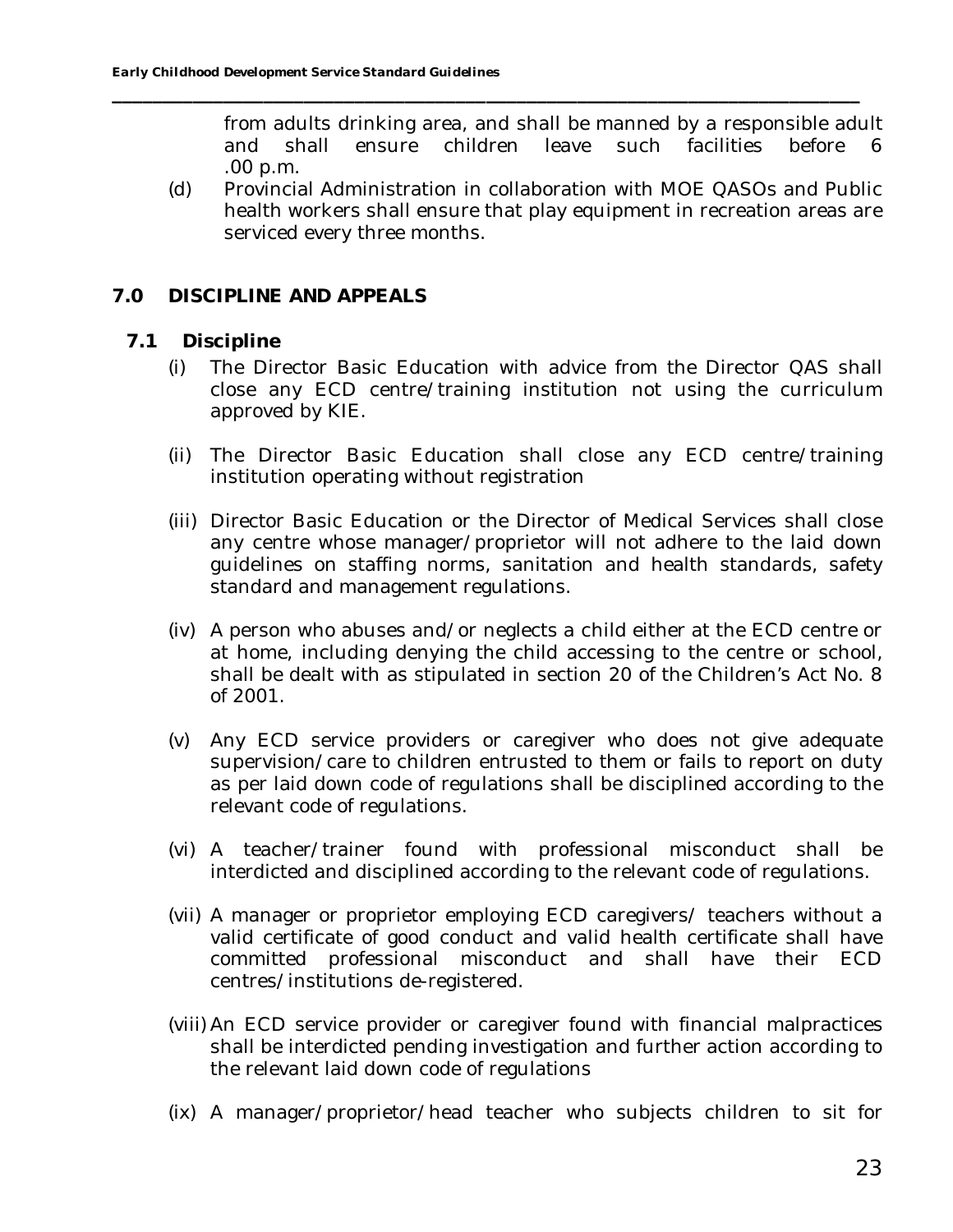from adults drinking area, and shall be manned by a responsible adult and shall ensure children leave such facilities before 6 .00 p.m.

(d) Provincial Administration in collaboration with MOE QASOs and Public health workers shall ensure that play equipment in recreation areas are serviced every three months.

**\_\_\_\_\_\_\_\_\_\_\_\_\_\_\_\_\_\_\_\_\_\_\_\_\_\_\_\_\_\_\_\_\_\_\_\_\_\_\_\_\_\_\_\_\_\_\_\_\_\_\_\_\_\_\_\_\_\_\_\_\_\_\_\_\_\_\_\_\_\_\_\_\_\_**

## **7.0 DISCIPLINE AND APPEALS**

- **7.1 Discipline**
	- (i) The Director Basic Education with advice from the Director QAS shall close any ECD centre/training institution not using the curriculum approved by KIE.
	- (ii) The Director Basic Education shall close any ECD centre/training institution operating without registration
	- (iii) Director Basic Education or the Director of Medical Services shall close any centre whose manager/proprietor will not adhere to the laid down guidelines on staffing norms, sanitation and health standards, safety standard and management regulations.
	- (iv) A person who abuses and/or neglects a child either at the ECD centre or at home, including denying the child accessing to the centre or school, shall be dealt with as stipulated in section 20 of the Children's Act No. 8 of 2001.
	- (v) Any ECD service providers or caregiver who does not give adequate supervision/care to children entrusted to them or fails to report on duty as per laid down code of regulations shall be disciplined according to the relevant code of regulations.
	- (vi) A teacher/trainer found with professional misconduct shall be interdicted and disciplined according to the relevant code of regulations.
	- (vii) A manager or proprietor employing ECD caregivers/ teachers without a valid certificate of good conduct and valid health certificate shall have committed professional misconduct and shall have their ECD centres/institutions de-registered.
	- (viii) An ECD service provider or caregiver found with financial malpractices shall be interdicted pending investigation and further action according to the relevant laid down code of regulations
	- (ix) A manager/proprietor/head teacher who subjects children to sit for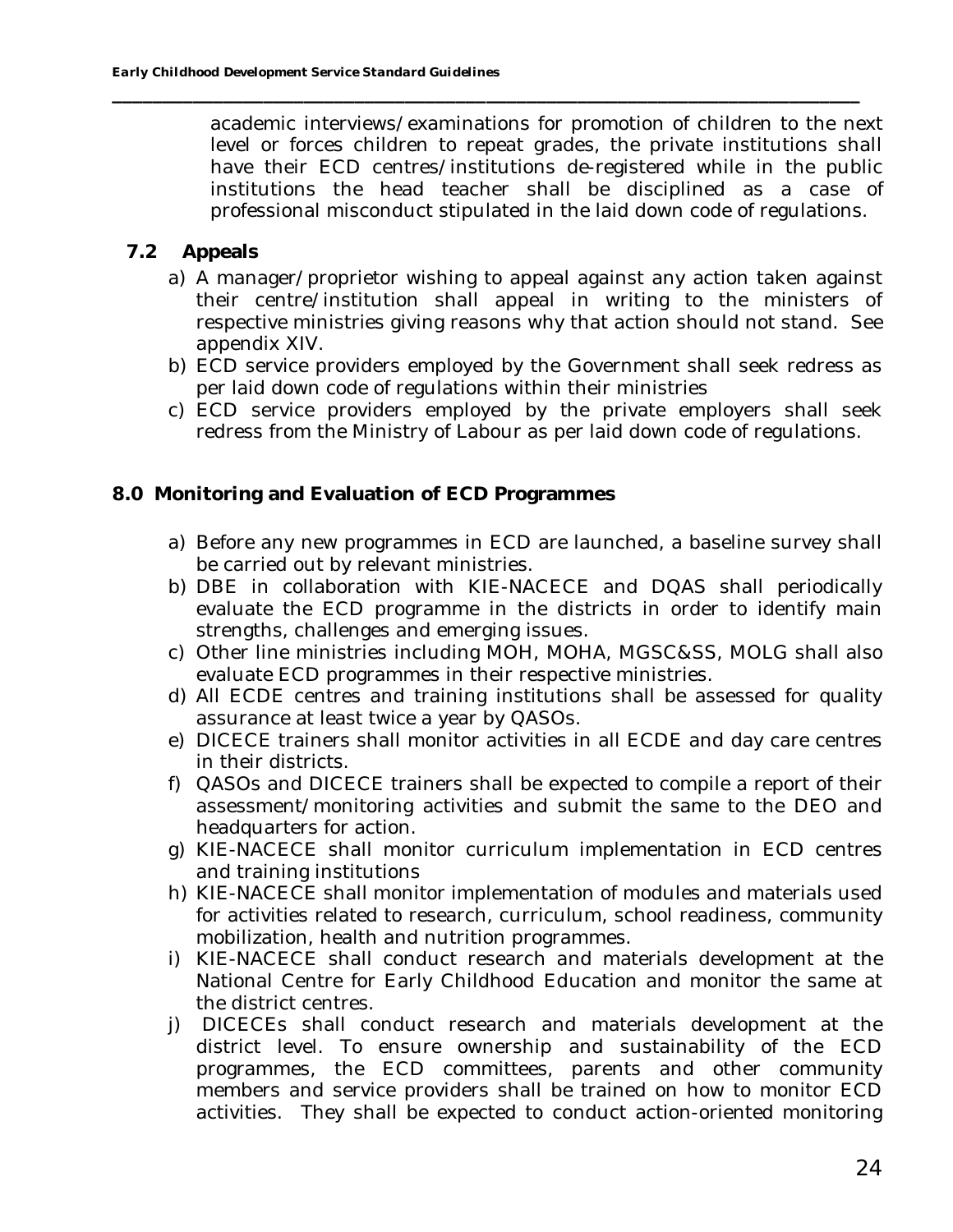academic interviews/examinations for promotion of children to the next level or forces children to repeat grades, the private institutions shall have their ECD centres/institutions de-registered while in the public institutions the head teacher shall be disciplined as a case of professional misconduct stipulated in the laid down code of regulations.

- **7.2 Appeals**
	- a) A manager/proprietor wishing to appeal against any action taken against their centre/institution shall appeal in writing to the ministers of respective ministries giving reasons why that action should not stand. See appendix XIV.
	- b) ECD service providers employed by the Government shall seek redress as per laid down code of regulations within their ministries
	- c) ECD service providers employed by the private employers shall seek redress from the Ministry of Labour as per laid down code of regulations.
- **8.0 Monitoring and Evaluation of ECD Programmes**
	- a) Before any new programmes in ECD are launched, a baseline survey shall be carried out by relevant ministries.
	- b) DBE in collaboration with KIE-NACECE and DQAS shall periodically evaluate the ECD programme in the districts in order to identify main strengths, challenges and emerging issues.
	- c) Other line ministries including MOH, MOHA, MGSC&SS, MOLG shall also evaluate ECD programmes in their respective ministries.
	- d) All ECDE centres and training institutions shall be assessed for quality assurance at least twice a year by QASOs.
	- e) DICECE trainers shall monitor activities in all ECDE and day care centres in their districts.
	- f) QASOs and DICECE trainers shall be expected to compile a report of their assessment/monitoring activities and submit the same to the DEO and headquarters for action.
	- g) KIE-NACECE shall monitor curriculum implementation in ECD centres and training institutions
	- h) KIE-NACECE shall monitor implementation of modules and materials used for activities related to research, curriculum, school readiness, community mobilization, health and nutrition programmes.
	- i) KIE-NACECE shall conduct research and materials development at the National Centre for Early Childhood Education and monitor the same at the district centres.
	- j) DICECEs shall conduct research and materials development at the district level. To ensure ownership and sustainability of the ECD programmes, the ECD committees, parents and other community members and service providers shall be trained on how to monitor ECD activities. They shall be expected to conduct action-oriented monitoring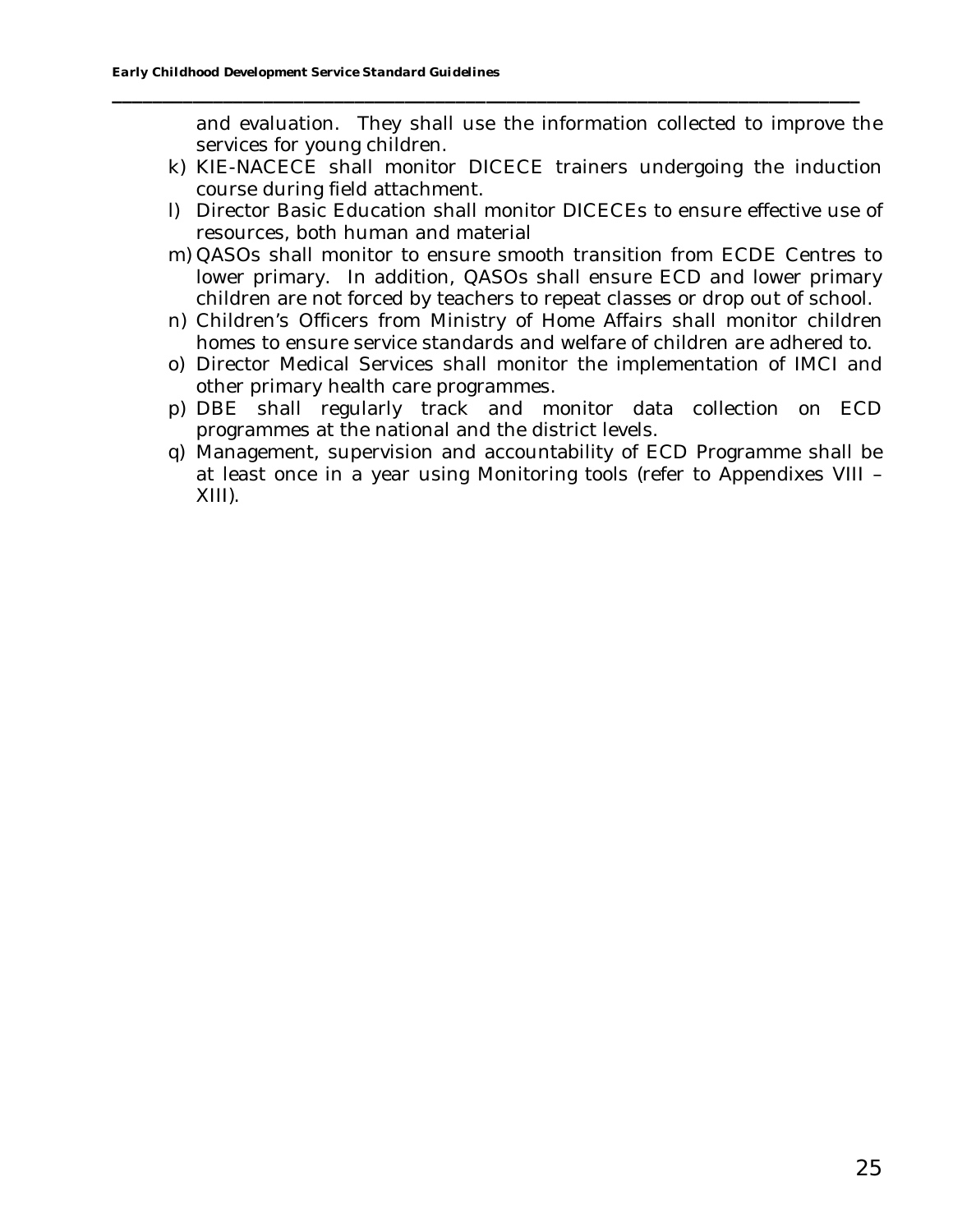and evaluation. They shall use the information collected to improve the services for young children.

k) KIE-NACECE shall monitor DICECE trainers undergoing the induction course during field attachment.

- l) Director Basic Education shall monitor DICECEs to ensure effective use of resources, both human and material
- m) QASOs shall monitor to ensure smooth transition from ECDE Centres to lower primary. In addition, QASOs shall ensure ECD and lower primary children are not forced by teachers to repeat classes or drop out of school.
- n) Children's Officers from Ministry of Home Affairs shall monitor children homes to ensure service standards and welfare of children are adhered to.
- o) Director Medical Services shall monitor the implementation of IMCI and other primary health care programmes.
- p) DBE shall regularly track and monitor data collection on ECD programmes at the national and the district levels.
- q) Management, supervision and accountability of ECD Programme shall be at least once in a year using Monitoring tools (refer to Appendixes VIII – XIII).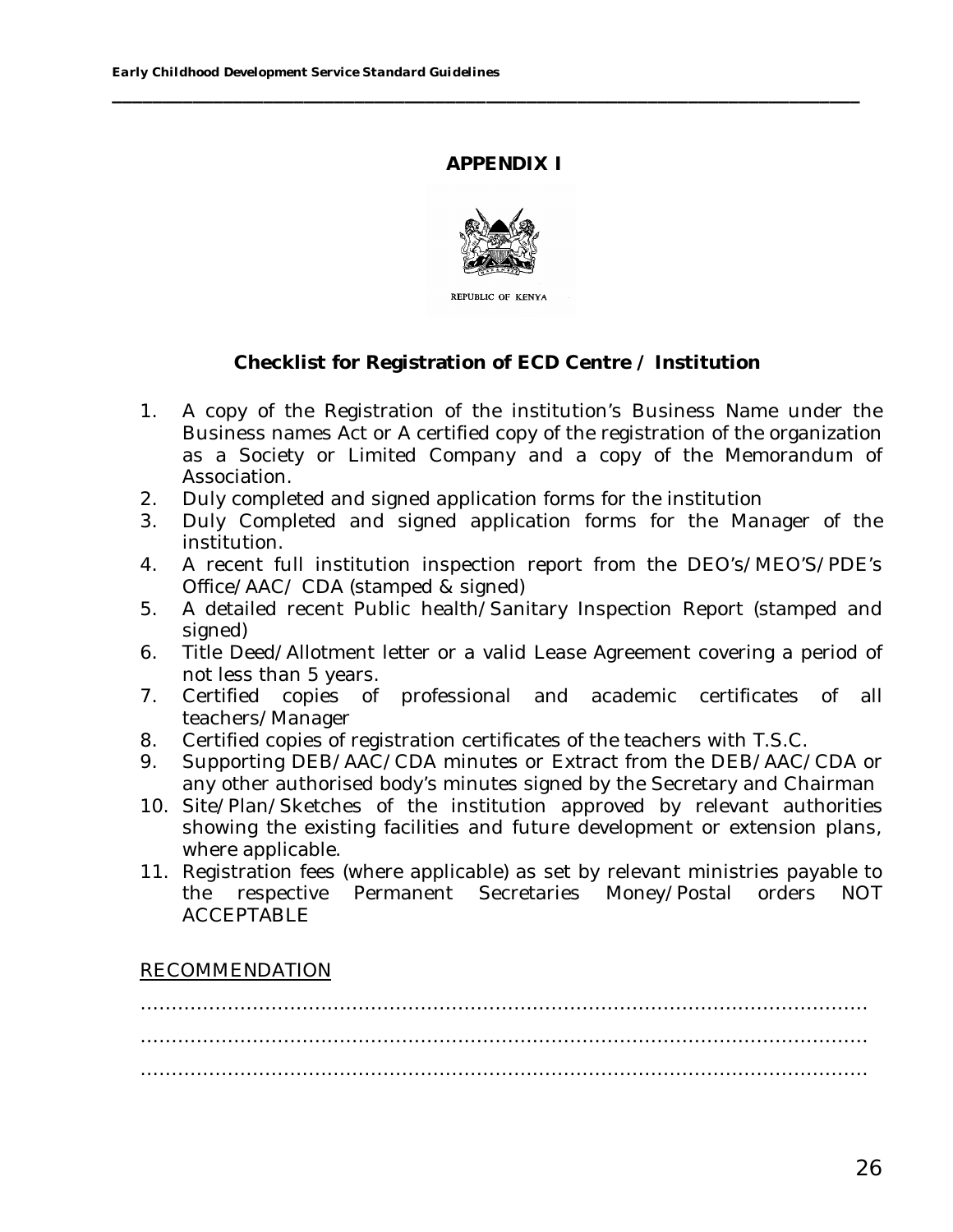## **APPENDIX I**

**\_\_\_\_\_\_\_\_\_\_\_\_\_\_\_\_\_\_\_\_\_\_\_\_\_\_\_\_\_\_\_\_\_\_\_\_\_\_\_\_\_\_\_\_\_\_\_\_\_\_\_\_\_\_\_\_\_\_\_\_\_\_\_\_\_\_\_\_\_\_\_\_\_\_**



REPUBLIC OF KENYA

## **Checklist for Registration of ECD Centre / Institution**

- 1. A copy of the Registration of the institution's Business Name under the Business names Act or A certified copy of the registration of the organization as a Society or Limited Company and a copy of the Memorandum of Association.
- 2. Duly completed and signed application forms for the institution
- 3. Duly Completed and signed application forms for the Manager of the institution.
- 4. A recent full institution inspection report from the DEO's/MEO'S/PDE's Office/AAC/ CDA (stamped & signed)
- 5. A detailed recent Public health/Sanitary Inspection Report (stamped and signed)
- 6. Title Deed/Allotment letter or a valid Lease Agreement covering a period of not less than 5 years.
- 7. Certified copies of professional and academic certificates of all teachers/Manager
- 8. Certified copies of registration certificates of the teachers with T.S.C.
- 9. Supporting DEB/AAC/CDA minutes or Extract from the DEB/AAC/CDA or any other authorised body's minutes signed by the Secretary and Chairman
- 10. Site/Plan/Sketches of the institution approved by relevant authorities showing the existing facilities and future development or extension plans, where applicable.
- 11. Registration fees (where applicable) as set by relevant ministries payable to the respective Permanent Secretaries Money/Postal orders NOT ACCEPTABLE

## RECOMMENDATION

……………………………………………………………………………………………………… ……………………………………………………………………………………………………… ………………………………………………………………………………………………………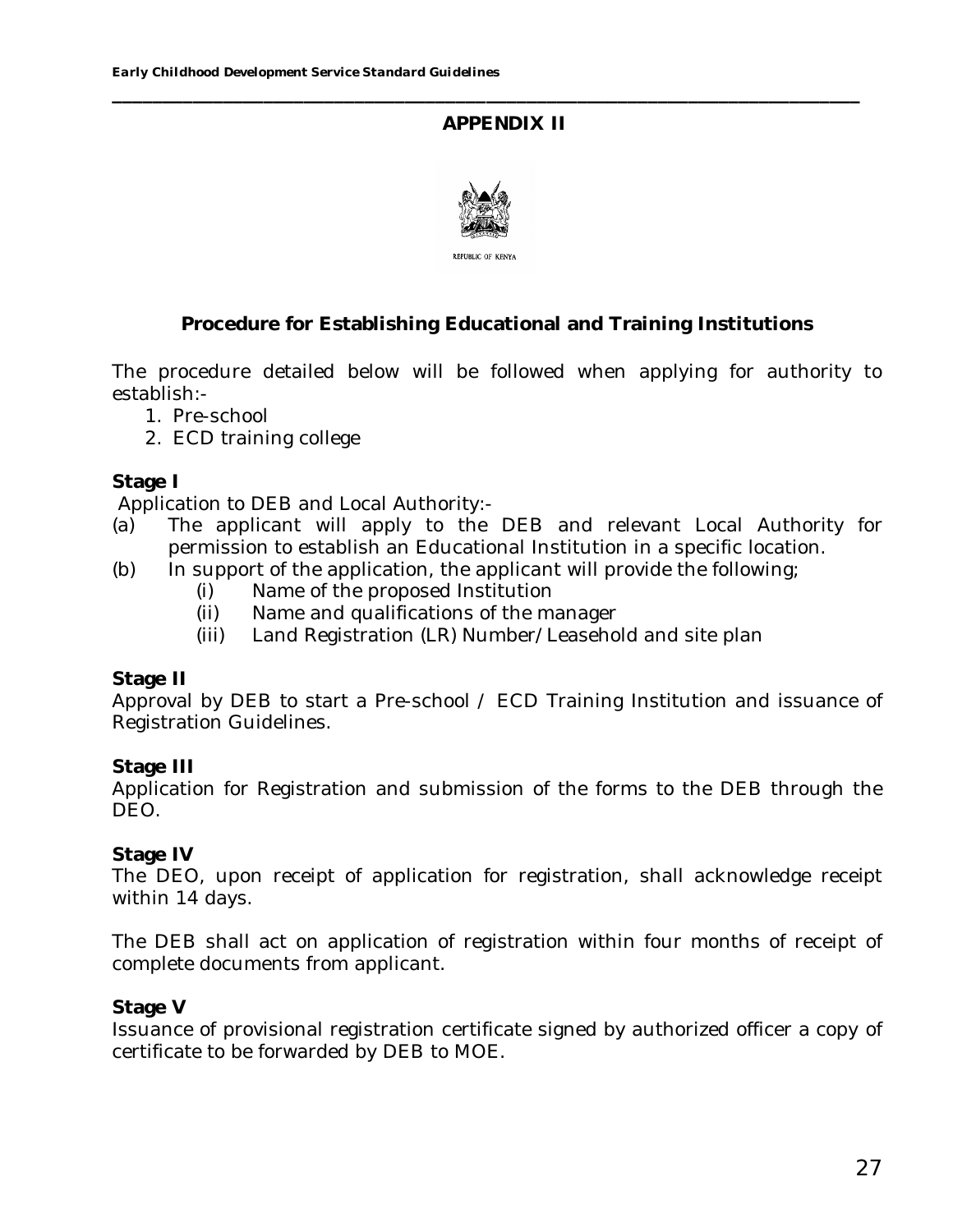## **APPENDIX II**

**\_\_\_\_\_\_\_\_\_\_\_\_\_\_\_\_\_\_\_\_\_\_\_\_\_\_\_\_\_\_\_\_\_\_\_\_\_\_\_\_\_\_\_\_\_\_\_\_\_\_\_\_\_\_\_\_\_\_\_\_\_\_\_\_\_\_\_\_\_\_\_\_\_\_**



## **Procedure for Establishing Educational and Training Institutions**

The procedure detailed below will be followed when applying for authority to establish:-

- 1. Pre-school
- 2. ECD training college

#### **Stage I**

Application to DEB and Local Authority:-

- (a) The applicant will apply to the DEB and relevant Local Authority for permission to establish an Educational Institution in a specific location.
- (b) In support of the application, the applicant will provide the following;
	- (i) Name of the proposed Institution
	- (ii) Name and qualifications of the manager
	- (iii) Land Registration (LR) Number/Leasehold and site plan

#### **Stage II**

Approval by DEB to start a Pre-school / ECD Training Institution and issuance of Registration Guidelines.

## **Stage III**

Application for Registration and submission of the forms to the DEB through the DEO.

#### **Stage IV**

The DEO, upon receipt of application for registration, shall acknowledge receipt within 14 days.

The DEB shall act on application of registration within four months of receipt of complete documents from applicant.

#### **Stage V**

Issuance of provisional registration certificate signed by authorized officer a copy of certificate to be forwarded by DEB to MOE.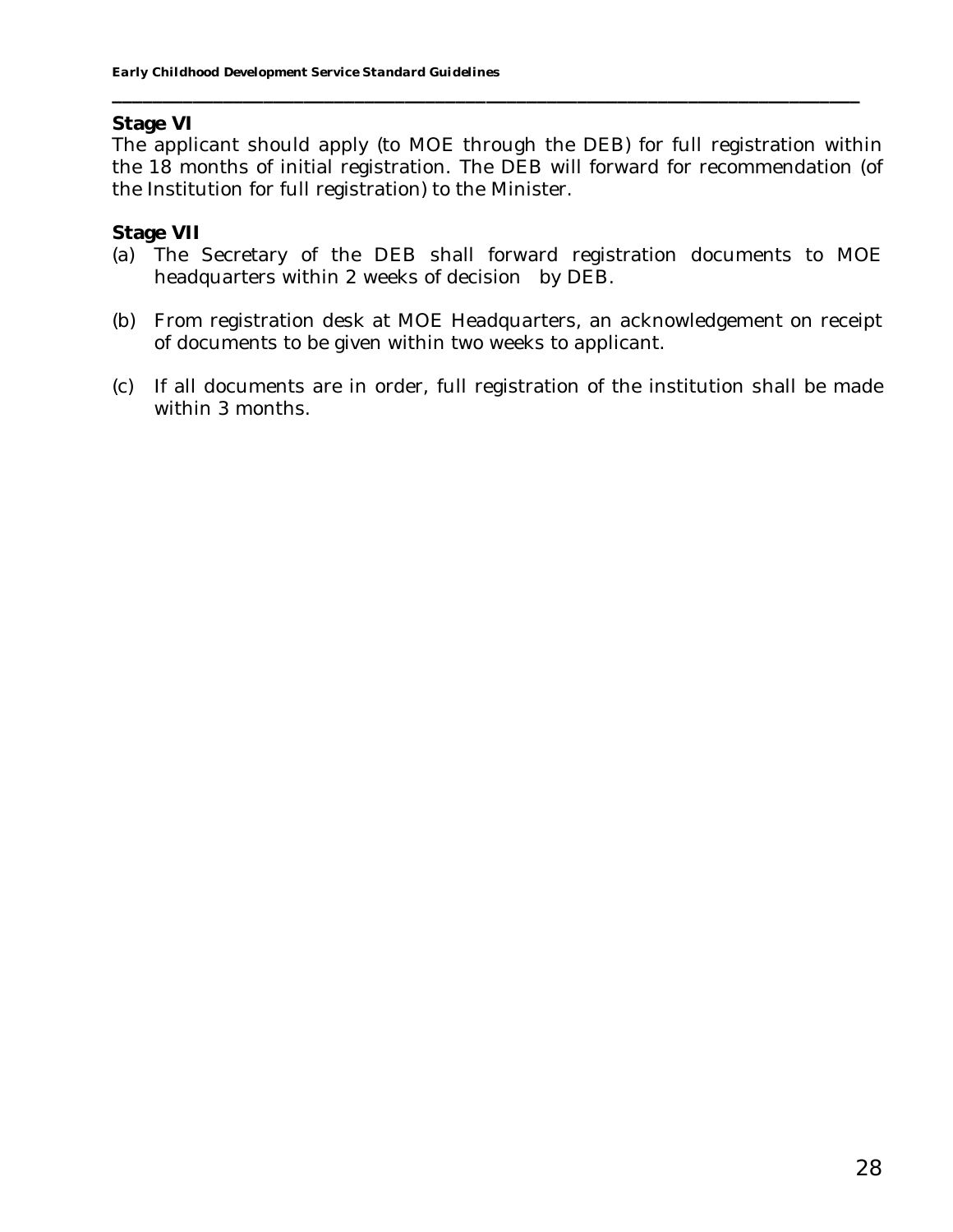#### **Stage VI**

The applicant should apply (to MOE through the DEB) for full registration within the 18 months of initial registration. The DEB will forward for recommendation (of the Institution for full registration) to the Minister.

**\_\_\_\_\_\_\_\_\_\_\_\_\_\_\_\_\_\_\_\_\_\_\_\_\_\_\_\_\_\_\_\_\_\_\_\_\_\_\_\_\_\_\_\_\_\_\_\_\_\_\_\_\_\_\_\_\_\_\_\_\_\_\_\_\_\_\_\_\_\_\_\_\_\_**

#### **Stage VII**

- (a) The Secretary of the DEB shall forward registration documents to MOE headquarters within 2 weeks of decision by DEB.
- (b) From registration desk at MOE Headquarters, an acknowledgement on receipt of documents to be given within two weeks to applicant.
- (c) If all documents are in order, full registration of the institution shall be made within 3 months.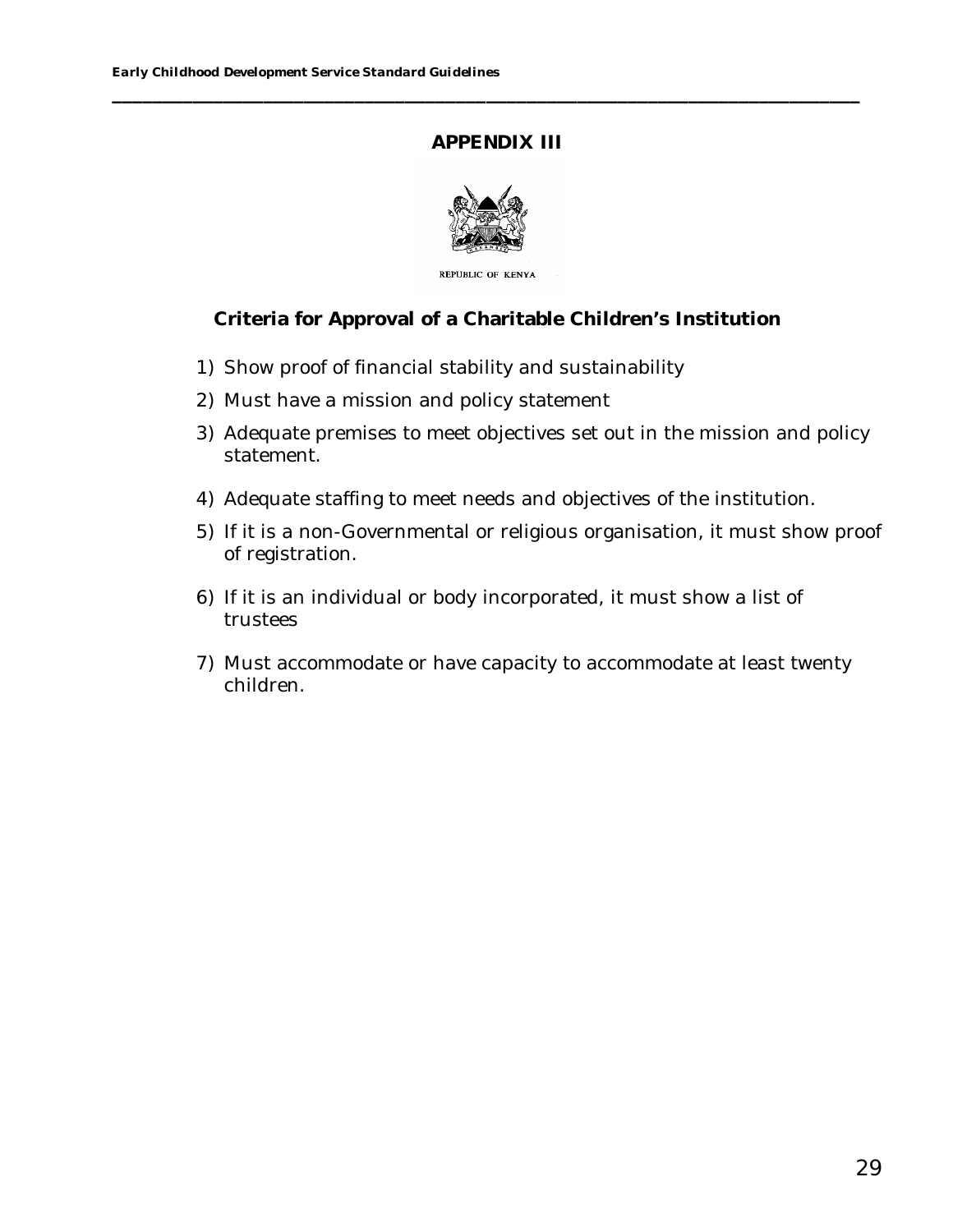## **APPENDIX III**

**\_\_\_\_\_\_\_\_\_\_\_\_\_\_\_\_\_\_\_\_\_\_\_\_\_\_\_\_\_\_\_\_\_\_\_\_\_\_\_\_\_\_\_\_\_\_\_\_\_\_\_\_\_\_\_\_\_\_\_\_\_\_\_\_\_\_\_\_\_\_\_\_\_\_**



REPUBLIC OF KENYA

**Criteria for Approval of a Charitable Children's Institution**

- 1) Show proof of financial stability and sustainability
- 2) Must have a mission and policy statement
- 3) Adequate premises to meet objectives set out in the mission and policy statement.
- 4) Adequate staffing to meet needs and objectives of the institution.
- 5) If it is a non-Governmental or religious organisation, it must show proof of registration.
- 6) If it is an individual or body incorporated, it must show a list of trustees
- 7) Must accommodate or have capacity to accommodate at least twenty children.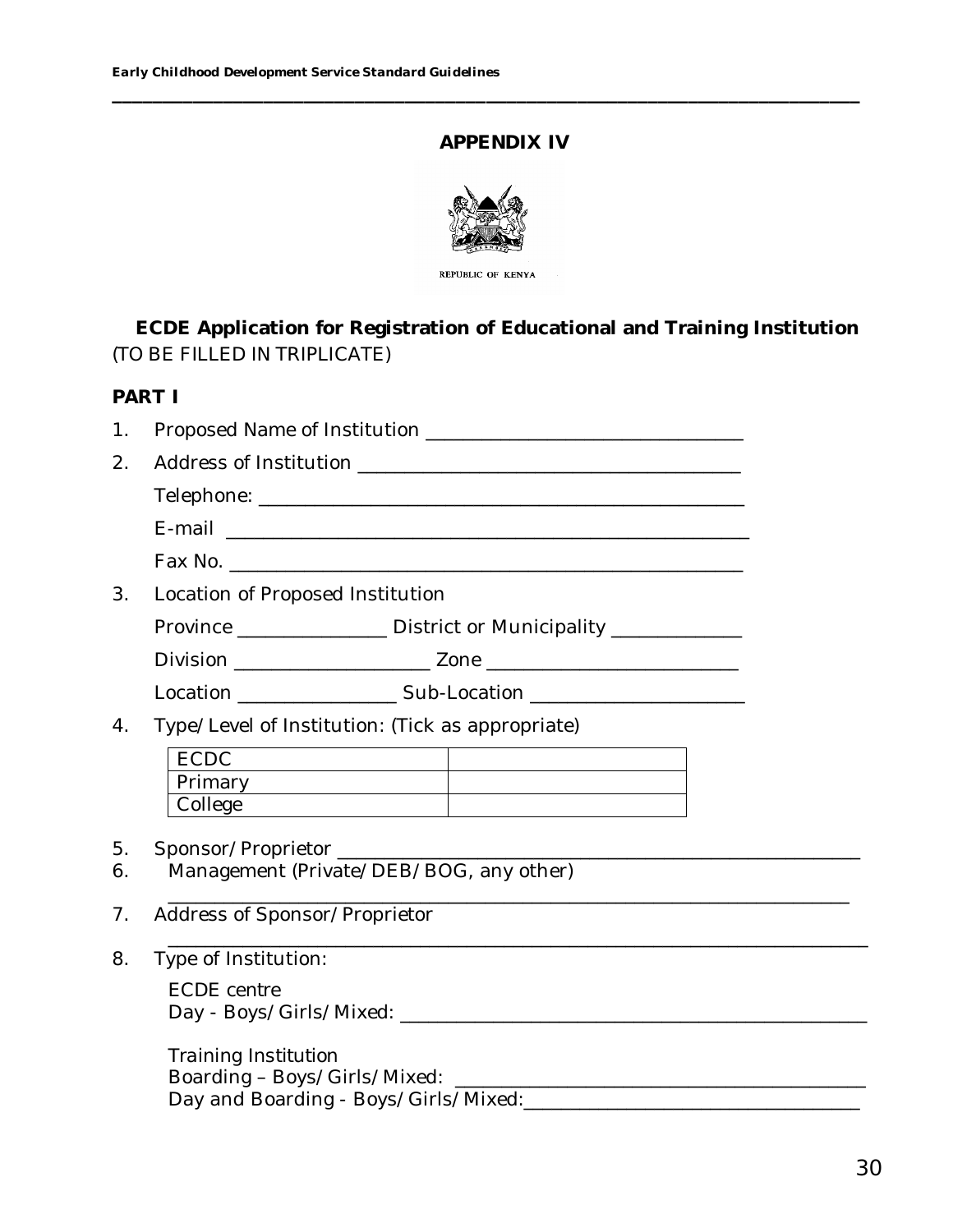## **APPENDIX IV**

**\_\_\_\_\_\_\_\_\_\_\_\_\_\_\_\_\_\_\_\_\_\_\_\_\_\_\_\_\_\_\_\_\_\_\_\_\_\_\_\_\_\_\_\_\_\_\_\_\_\_\_\_\_\_\_\_\_\_\_\_\_\_\_\_\_\_\_\_\_\_\_\_\_\_**



**ECDE Application for Registration of Educational and Training Institution** *(TO BE FILLED IN TRIPLICATE)*

## **PART I**

- 1. Proposed Name of Institution \_\_\_\_\_\_\_\_\_\_\_\_\_\_\_\_\_\_\_\_\_\_\_\_\_\_\_\_\_\_\_\_\_\_
- 2. Address of Institution \_\_\_\_\_\_\_\_\_\_\_\_\_\_\_\_\_\_\_\_\_\_\_\_\_\_\_\_\_\_\_\_\_\_\_\_\_\_\_\_\_

Telephone: \_\_\_\_\_\_\_\_\_\_\_\_\_\_\_\_\_\_\_\_\_\_\_\_\_\_\_\_\_\_\_\_\_\_\_\_\_\_\_\_\_\_\_\_\_\_\_\_\_\_\_\_

E-mail \_\_\_\_\_\_\_\_\_\_\_\_\_\_\_\_\_\_\_\_\_\_\_\_\_\_\_\_\_\_\_\_\_\_\_\_\_\_\_\_\_\_\_\_\_\_\_\_\_\_\_\_\_\_\_\_

- Fax No. \_\_\_\_\_\_\_\_\_\_\_\_\_\_\_\_\_\_\_\_\_\_\_\_\_\_\_\_\_\_\_\_\_\_\_\_\_\_\_\_\_\_\_\_\_\_\_\_\_\_\_\_\_\_\_
- 3. Location of Proposed Institution

| Province | District or Municipality |
|----------|--------------------------|
|----------|--------------------------|

Division \_\_\_\_\_\_\_\_\_\_\_\_\_\_\_\_\_\_\_\_\_ Zone \_\_\_\_\_\_\_\_\_\_\_\_\_\_\_\_\_\_\_\_\_\_\_\_\_\_\_

Location \_\_\_\_\_\_\_\_\_\_\_\_\_\_\_\_\_ Sub-Location \_\_\_\_\_\_\_\_\_\_\_\_\_\_\_\_\_\_\_\_\_\_\_

4. Type/Level of Institution: (Tick as appropriate)

| -              |  |
|----------------|--|
| <b>Primary</b> |  |
| College        |  |

\_\_\_\_\_\_\_\_\_\_\_\_\_\_\_\_\_\_\_\_\_\_\_\_\_\_\_\_\_\_\_\_\_\_\_\_\_\_\_\_\_\_\_\_\_\_\_\_\_\_\_\_\_\_\_\_\_\_\_\_\_\_\_\_\_\_\_\_\_\_\_\_\_\_\_

- 5. Sponsor/Proprietor \_\_\_\_\_\_\_\_\_\_\_\_\_\_\_\_\_\_\_\_\_\_\_\_\_\_\_\_\_\_\_\_\_\_\_\_\_\_\_\_\_\_\_\_\_\_\_\_\_\_\_\_\_\_\_\_
- 6. Management (Private/DEB/BOG, any other)
- \_\_\_\_\_\_\_\_\_\_\_\_\_\_\_\_\_\_\_\_\_\_\_\_\_\_\_\_\_\_\_\_\_\_\_\_\_\_\_\_\_\_\_\_\_\_\_\_\_\_\_\_\_\_\_\_\_\_\_\_\_\_\_\_\_\_\_\_\_\_\_\_\_ 7. Address of Sponsor/Proprietor
- 8. Type of Institution: *ECDE centre* Day - Boys/Girls/Mixed: \_\_\_\_\_\_\_\_\_\_\_\_\_\_\_\_\_\_\_\_\_\_\_\_\_\_\_\_\_\_\_\_\_\_\_\_\_\_\_\_\_\_\_\_\_\_\_\_\_\_

*Training Institution* Boarding – Boys/Girls/Mixed: \_\_\_\_\_\_\_\_\_\_\_\_\_\_\_\_\_\_\_\_\_\_\_\_\_\_\_\_\_\_\_\_\_\_\_\_\_\_\_\_\_\_\_\_ Day and Boarding - Boys/Girls/Mixed:\_\_\_\_\_\_\_\_\_\_\_\_\_\_\_\_\_\_\_\_\_\_\_\_\_\_\_\_\_\_\_\_\_\_\_\_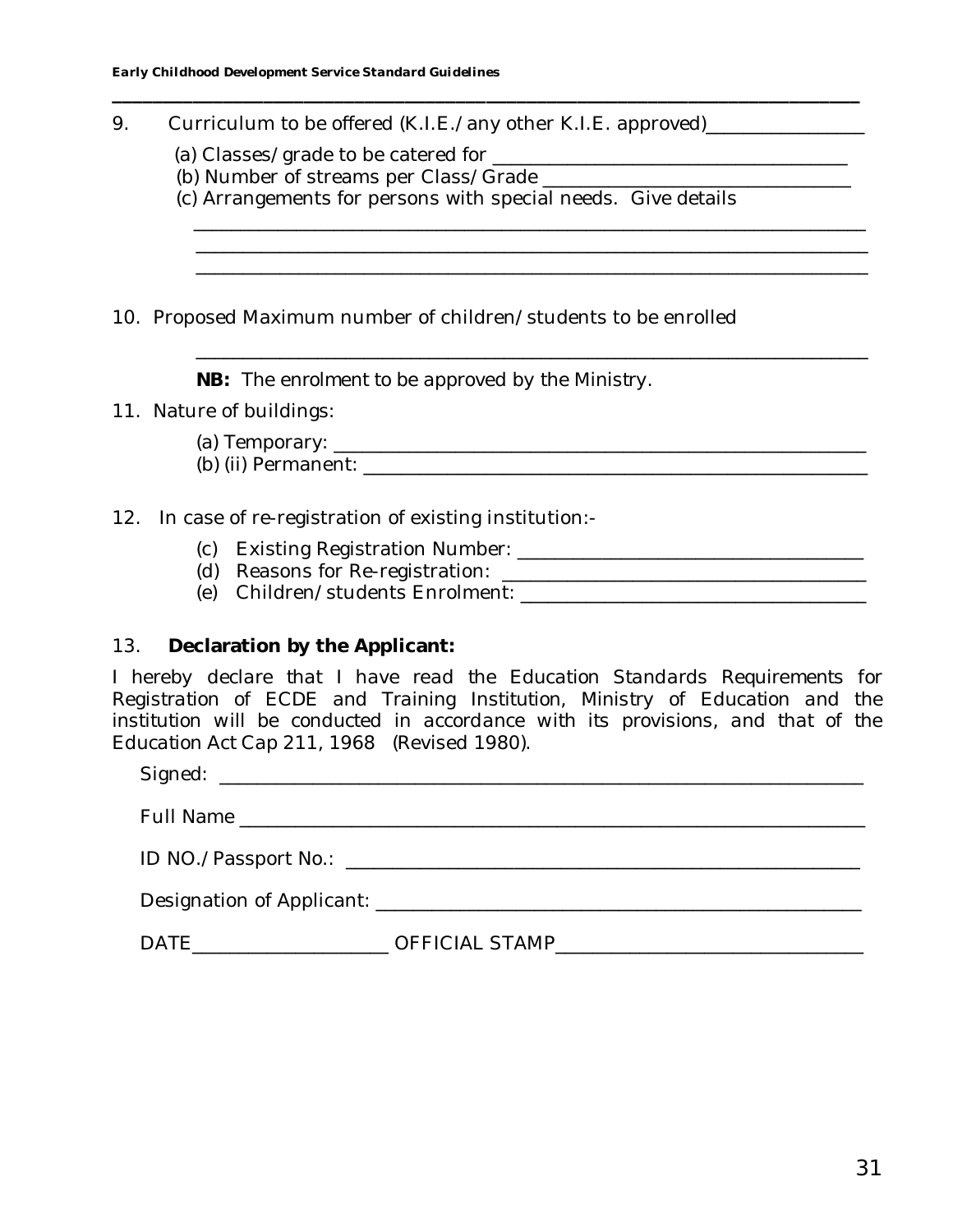9. Curriculum to be offered (K.I.E./any other K.I.E. approved)\_\_\_\_\_\_\_\_\_\_\_\_\_\_\_\_\_\_

- (a) Classes/grade to be catered for \_\_\_\_\_\_\_\_\_\_\_\_\_\_\_\_\_\_\_\_\_\_\_\_\_\_\_\_\_\_\_\_\_\_\_\_\_\_
- (b) Number of streams per Class/Grade \_\_\_\_\_\_\_\_\_\_\_\_\_\_\_\_\_\_\_\_\_\_\_\_\_\_\_\_\_\_\_\_\_
- (c) Arrangements for persons with special needs. Give details

**\_\_\_\_\_\_\_\_\_\_\_\_\_\_\_\_\_\_\_\_\_\_\_\_\_\_\_\_\_\_\_\_\_\_\_\_\_\_\_\_\_\_\_\_\_\_\_\_\_\_\_\_\_\_\_\_\_\_\_\_\_\_\_\_\_\_\_\_\_\_\_\_\_\_**

\_\_\_\_\_\_\_\_\_\_\_\_\_\_\_\_\_\_\_\_\_\_\_\_\_\_\_\_\_\_\_\_\_\_\_\_\_\_\_\_\_\_\_\_\_\_\_\_\_\_\_\_\_\_\_\_\_\_\_\_\_\_\_\_\_\_\_\_\_\_\_\_

\_\_\_\_\_\_\_\_\_\_\_\_\_\_\_\_\_\_\_\_\_\_\_\_\_\_\_\_\_\_\_\_\_\_\_\_\_\_\_\_\_\_\_\_\_\_\_\_\_\_\_\_\_\_\_\_\_\_\_\_\_\_\_\_\_\_\_\_\_\_\_\_ \_\_\_\_\_\_\_\_\_\_\_\_\_\_\_\_\_\_\_\_\_\_\_\_\_\_\_\_\_\_\_\_\_\_\_\_\_\_\_\_\_\_\_\_\_\_\_\_\_\_\_\_\_\_\_\_\_\_\_\_\_\_\_\_\_\_\_\_\_\_\_\_

\_\_\_\_\_\_\_\_\_\_\_\_\_\_\_\_\_\_\_\_\_\_\_\_\_\_\_\_\_\_\_\_\_\_\_\_\_\_\_\_\_\_\_\_\_\_\_\_\_\_\_\_\_\_\_\_\_\_\_\_\_\_\_\_\_\_\_\_\_\_\_\_

10. Proposed Maximum number of children/students to be enrolled

**NB:** *The enrolment to be approved by the Ministry*.

- 11. Nature of buildings:
	- (a) Temporary: \_\_\_\_\_\_\_\_\_\_\_\_\_\_\_\_\_\_\_\_\_\_\_\_\_\_\_\_\_\_\_\_\_\_\_\_\_\_\_\_\_\_\_\_\_\_\_\_\_\_\_\_\_\_\_\_\_ (b) (ii) Permanent: \_\_\_\_\_\_\_\_\_\_\_\_\_\_\_\_\_\_\_\_\_\_\_\_\_\_\_\_\_\_\_\_\_\_\_\_\_\_\_\_\_\_\_\_\_\_\_\_\_\_\_\_\_\_

## 12. In case of re-registration of existing institution:-

- (c) Existing Registration Number: \_\_\_\_\_\_\_\_\_\_\_\_\_\_\_\_\_\_\_\_\_\_\_\_\_\_\_\_\_\_\_\_\_\_\_\_\_
- $(d)$  Reasons for Re-registration:  $\frac{1}{2}$
- (e) Children/students Enrolment: \_\_\_\_\_\_\_\_\_\_\_\_\_\_\_\_\_\_\_\_\_\_\_\_\_\_\_\_\_\_\_\_\_\_\_\_\_

# 13. **Declaration by the Applicant:**

*I hereby declare that I have read the Education Standards Requirements for Registration of ECDE and Training Institution, Ministry of Education and the institution will be conducted in accordance with its provisions, and that of the Education Act Cap 211, 1968 (Revised 1980).*

Signed: \_\_\_\_\_\_\_\_\_\_\_\_\_\_\_\_\_\_\_\_\_\_\_\_\_\_\_\_\_\_\_\_\_\_\_\_\_\_\_\_\_\_\_\_\_\_\_\_\_\_\_\_\_\_\_\_\_\_\_\_\_\_\_\_\_\_\_\_\_ Full Name \_\_\_\_\_\_\_\_\_\_\_\_\_\_\_\_\_\_\_\_\_\_\_\_\_\_\_\_\_\_\_\_\_\_\_\_\_\_\_\_\_\_\_\_\_\_\_\_\_\_\_\_\_\_\_\_\_\_\_\_\_\_\_\_\_\_\_

ID NO./Passport No.: \_\_\_\_\_\_\_\_\_\_\_\_\_\_\_\_\_\_\_\_\_\_\_\_\_\_\_\_\_\_\_\_\_\_\_\_\_\_\_\_\_\_\_\_\_\_\_\_\_\_\_\_\_\_\_

Designation of Applicant: **with a set of a set of a set of a set of a set of a set of a set of a set of a set o** 

DATE\_\_\_\_\_\_\_\_\_\_\_\_\_\_\_\_\_\_\_\_\_ OFFICIAL STAMP\_\_\_\_\_\_\_\_\_\_\_\_\_\_\_\_\_\_\_\_\_\_\_\_\_\_\_\_\_\_\_\_\_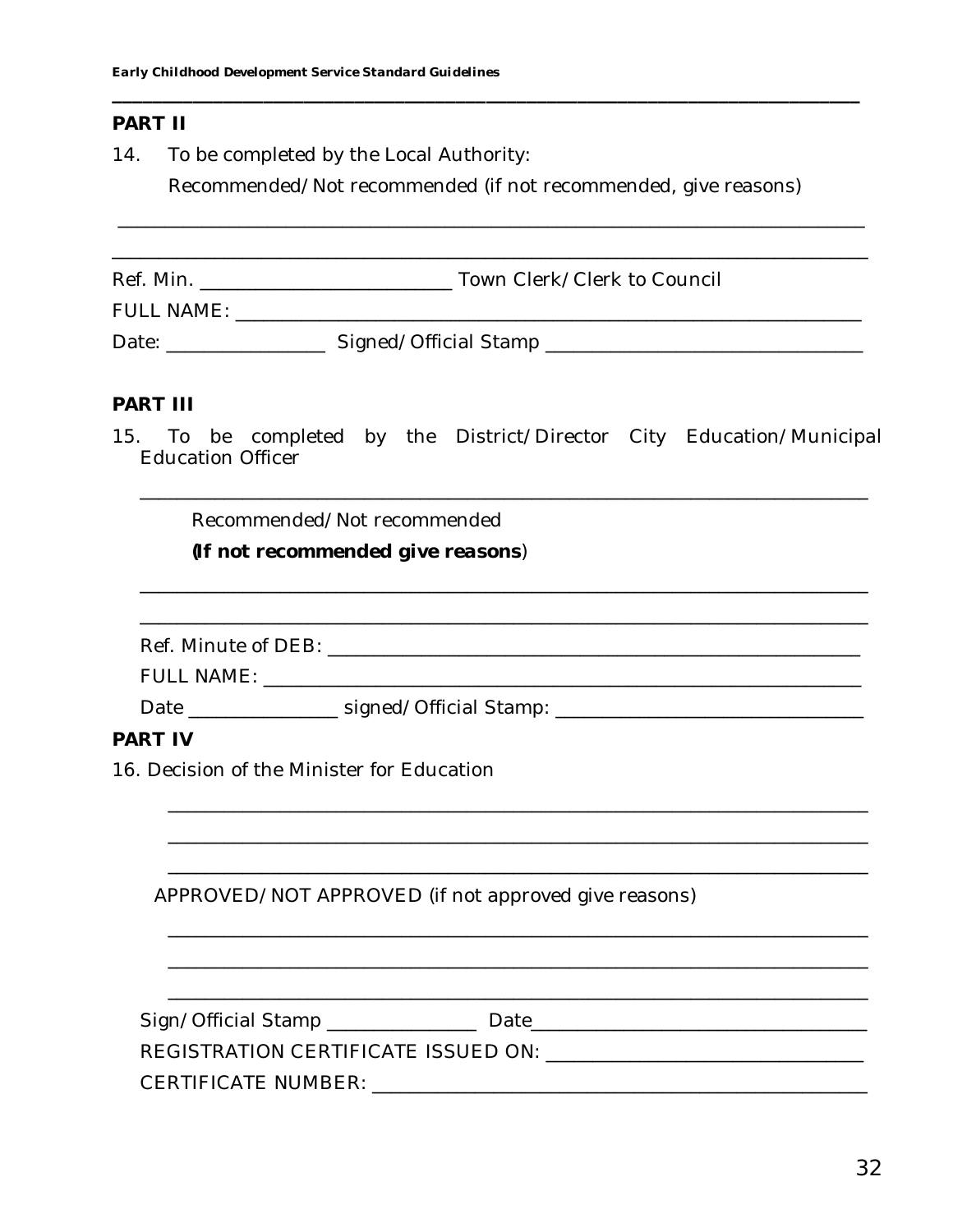## PART II

14. To be completed by the Local Authority:

Recommended/Not recommended (if not recommended, give reasons)

| Ref. Min.         | Town Clerk/Clerk to Council |  |
|-------------------|-----------------------------|--|
| <b>FULL NAME:</b> |                             |  |
| Date:             | Signed/Official Stamp       |  |

#### PART III

To be completed by the District/Director City Education/Municipal  $15.$ Education Officer

Recommended/Not recommended

(If not recommended give reasons)

|         | Date ___________________ signed/Official Stamp: ________________________________ |  |
|---------|----------------------------------------------------------------------------------|--|
| PART IV |                                                                                  |  |
|         | 16. Decision of the Minister for Education                                       |  |
|         |                                                                                  |  |
|         |                                                                                  |  |
|         |                                                                                  |  |
|         | APPROVED/NOT APPROVED (if not approved give reasons)                             |  |

| Sign/Official Stamp ____________    | Date: |  |
|-------------------------------------|-------|--|
| REGISTRATION CERTIFICATE ISSUED ON: |       |  |
| <b>CERTIFICATE NUMBER:</b>          |       |  |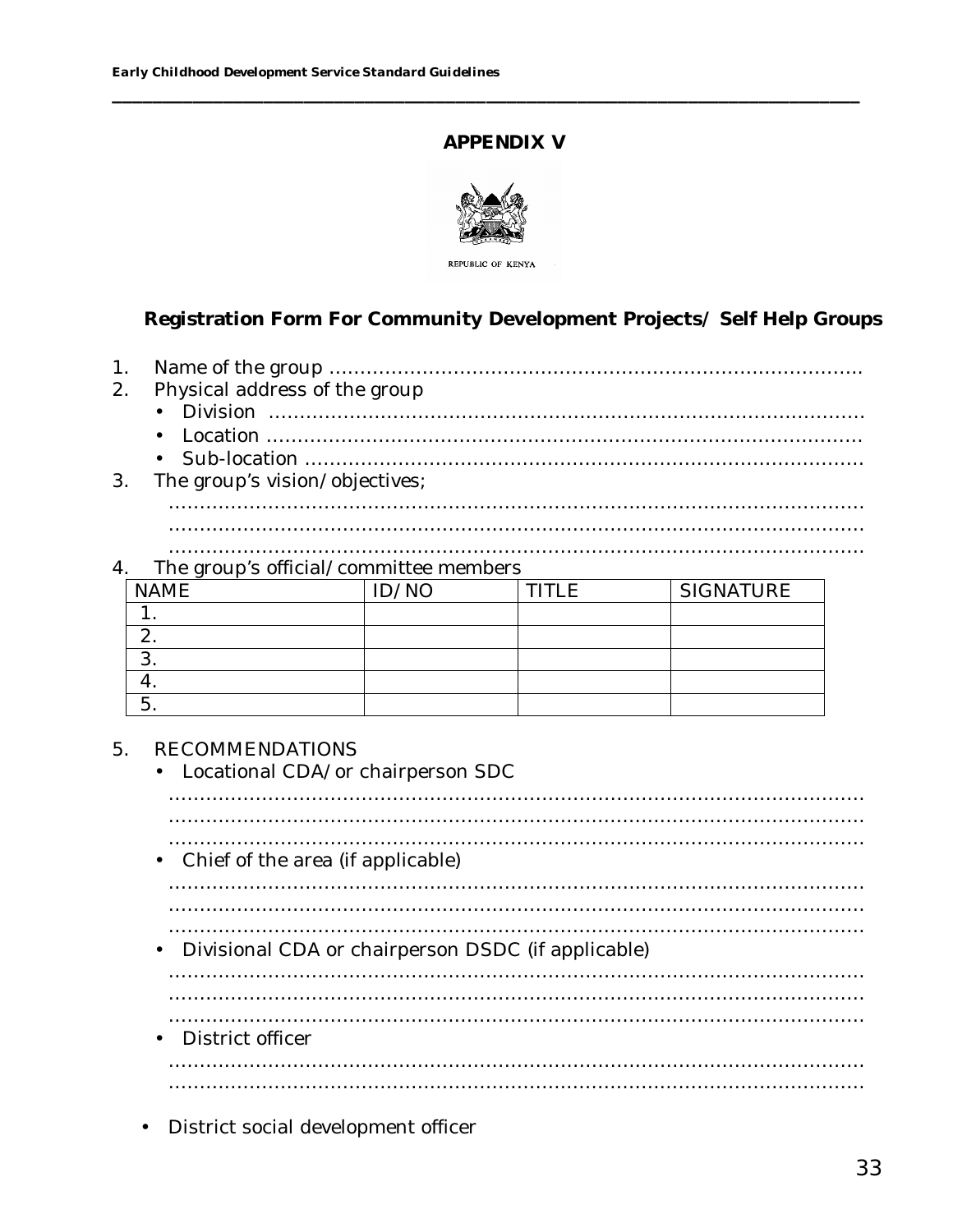## **APPENDIX V**

**\_\_\_\_\_\_\_\_\_\_\_\_\_\_\_\_\_\_\_\_\_\_\_\_\_\_\_\_\_\_\_\_\_\_\_\_\_\_\_\_\_\_\_\_\_\_\_\_\_\_\_\_\_\_\_\_\_\_\_\_\_\_\_\_\_\_\_\_\_\_\_\_\_\_**



**REPUBLIC OF KENYA** 

## **Registration Form For Community Development Projects/ Self Help Groups**

- 1. Name of the group …………………………………………………………………………..
- 2. Physical address of the group
	- Division ……………………………………………………………………………………
	- Location ……………………………………………………………………………………
	- Sub-location ………………………………………………………………………………
- 3. The group's vision/objectives; …………………………………………………………………………….…………………… ……………………………………………………….………………………………………… ………………………………….………………………………………………………………

#### 4. The group's official/committee members

| <b>NAME</b> | ID/NO | <b>TITIF</b> | <b>SIGNATURE</b> |
|-------------|-------|--------------|------------------|
|             |       |              |                  |
|             |       |              |                  |
| J.          |       |              |                  |
|             |       |              |                  |
|             |       |              |                  |

#### 5. RECOMMENDATIONS

- Locational CDA/or chairperson SDC
- …………………………………………………………………………….…………………… ……………………………………………………….………………………………………… ………………………………….……………………………………………………………… • Chief of the area (if applicable) …………………………………………………………………………….…………………… ……………………………………………………….………………………………………… ………………………………….……………………………………………………………… • Divisional CDA or chairperson DSDC (if applicable) …………………………………………………………………………….…………………… ……………………………………………………….………………………………………… ………………………………….……………………………………………………………… • District officer …………………………………………………………………………….…………………… ……………………………………………………….…………………………………………
- District social development officer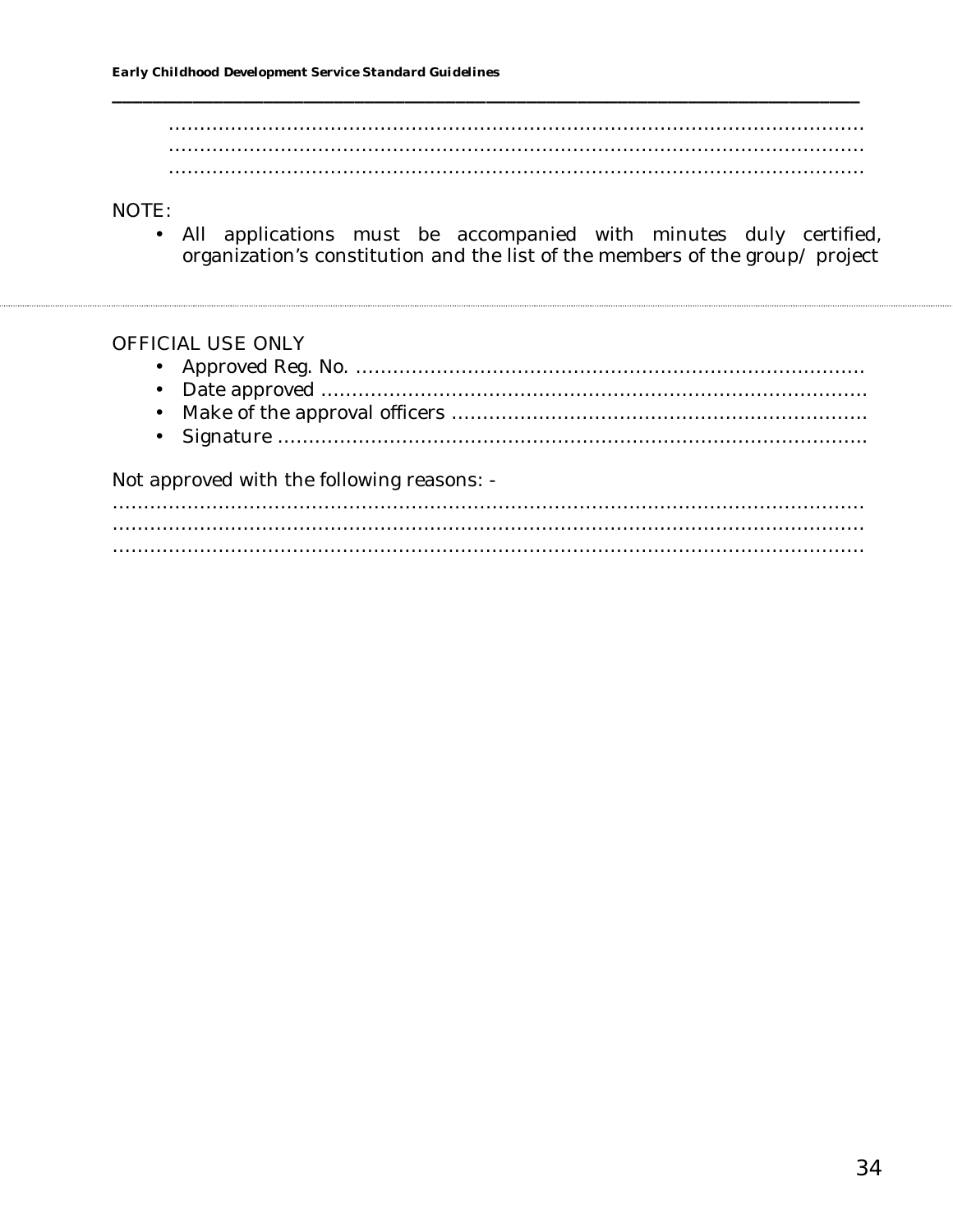…………………………………………………………………………….…………………… ……………………………………………………….………………………………………… ………………………………….………………………………………………………………

**\_\_\_\_\_\_\_\_\_\_\_\_\_\_\_\_\_\_\_\_\_\_\_\_\_\_\_\_\_\_\_\_\_\_\_\_\_\_\_\_\_\_\_\_\_\_\_\_\_\_\_\_\_\_\_\_\_\_\_\_\_\_\_\_\_\_\_\_\_\_\_\_\_\_**

#### NOTE:

• All applications must be accompanied with minutes duly certified, organization's constitution and the list of the members of the group/ project

#### OFFICIAL USE ONLY

| $\mathbf{r}$ , and a set of the set of the set of $\mathbf{r}$ . The set of the set of the set of the set of the set of the set of the set of the set of the set of the set of the set of the set of the set of the set of the set of |
|---------------------------------------------------------------------------------------------------------------------------------------------------------------------------------------------------------------------------------------|

Not approved with the following reasons: -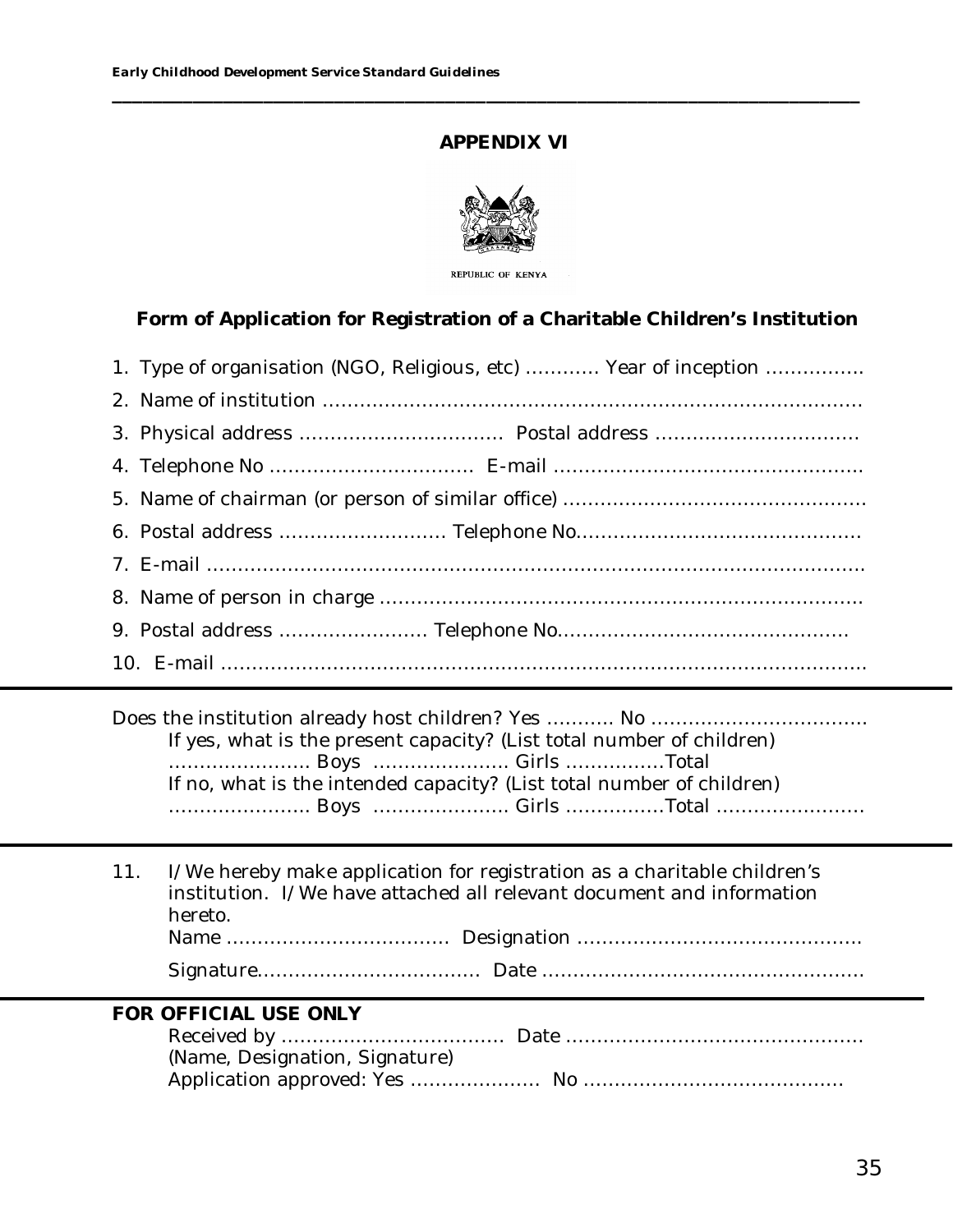## **APPENDIX VI**

**\_\_\_\_\_\_\_\_\_\_\_\_\_\_\_\_\_\_\_\_\_\_\_\_\_\_\_\_\_\_\_\_\_\_\_\_\_\_\_\_\_\_\_\_\_\_\_\_\_\_\_\_\_\_\_\_\_\_\_\_\_\_\_\_\_\_\_\_\_\_\_\_\_\_**



REPUBLIC OF KENYA

**Form of Application for Registration of a Charitable Children's Institution**

| 1. Type of organisation (NGO, Religious, etc)  Year of inception |
|------------------------------------------------------------------|
|                                                                  |
|                                                                  |
|                                                                  |
|                                                                  |
|                                                                  |
|                                                                  |
|                                                                  |
|                                                                  |
|                                                                  |

Does the institution already host children? Yes ……….. No …………………………………………………………… If yes, what is the present capacity? (List total number of children) ………………….. Boys …………………. Girls ……….……Total If no, what is the intended capacity? (List total number of children) ………………….. Boys …………………. Girls ……….……Total ……………………

| hereto. | 11. I/We hereby make application for registration as a charitable children's<br>institution. I/We have attached all relevant document and information |
|---------|-------------------------------------------------------------------------------------------------------------------------------------------------------|
|         |                                                                                                                                                       |
|         |                                                                                                                                                       |

#### **FOR OFFICIAL USE ONLY** Received by ……………………………… Date ………………………………………… (Name, Designation, Signature) Application approved: Yes ………………… No ……………………………………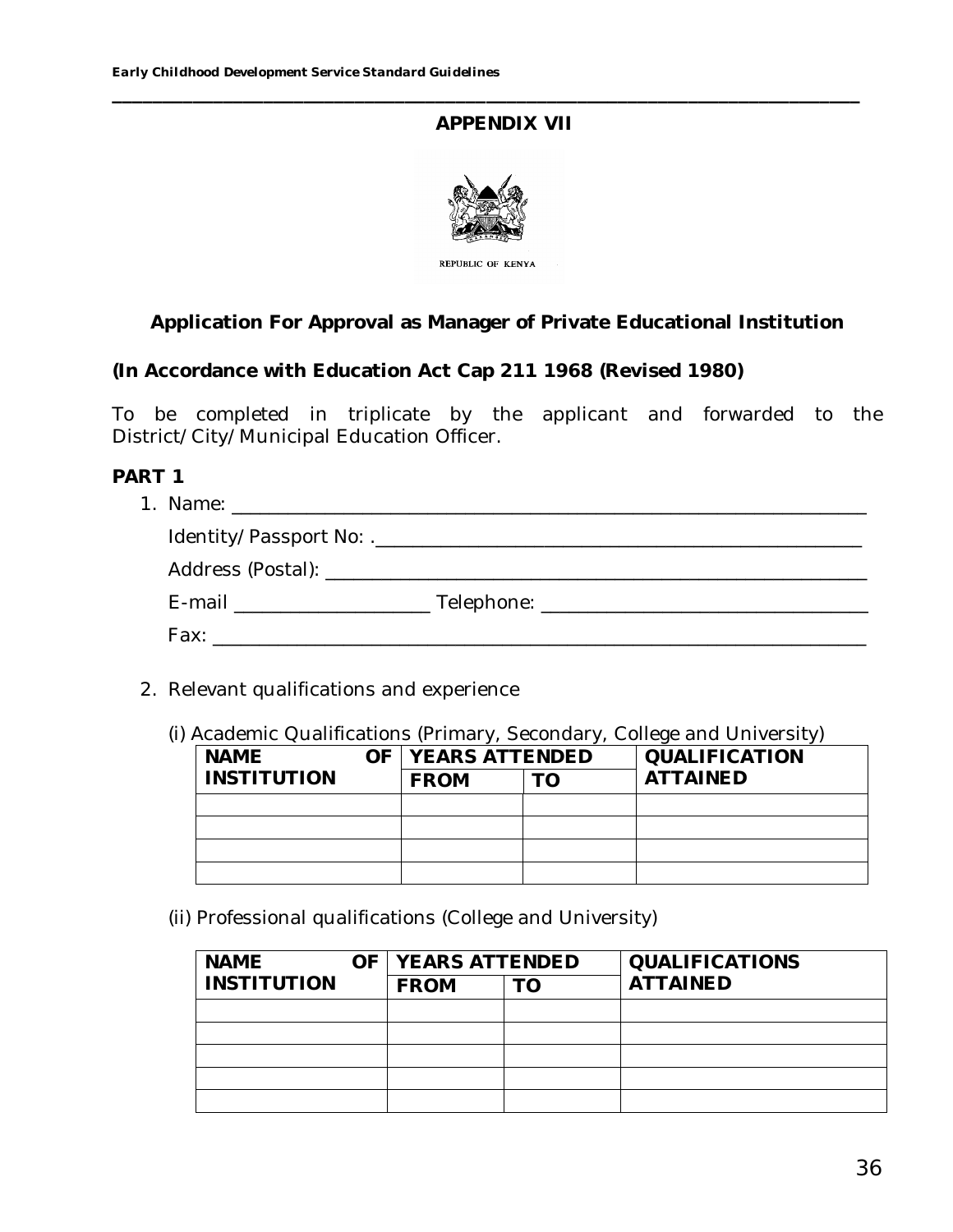## **APPENDIX VII**

**\_\_\_\_\_\_\_\_\_\_\_\_\_\_\_\_\_\_\_\_\_\_\_\_\_\_\_\_\_\_\_\_\_\_\_\_\_\_\_\_\_\_\_\_\_\_\_\_\_\_\_\_\_\_\_\_\_\_\_\_\_\_\_\_\_\_\_\_\_\_\_\_\_\_**



## **Application For Approval as Manager of Private Educational Institution**

**(In Accordance with Education Act Cap 211 1968 (Revised 1980)**

To be completed in triplicate by the applicant and forwarded to the District/City/Municipal Education Officer.

**PART 1**

- 2. Relevant qualifications and experience
	- (i) Academic Qualifications (Primary, Secondary, College and University)

| <b>NAME</b> | OF   YEARS ATTENDED | QUALIFICATION   |
|-------------|---------------------|-----------------|
| INSTITUTION | <b>FROM</b>         | <b>ATTAINED</b> |
|             |                     |                 |
|             |                     |                 |
|             |                     |                 |
|             |                     |                 |

(ii) Professional qualifications (College and University)

| <b>NAME</b>        | OF <i>YEARS ATTENDED</i> |    | QUALIFICATIONS  |
|--------------------|--------------------------|----|-----------------|
| <b>INSTITUTION</b> | <b>FROM</b>              | LO | <b>ATTAINED</b> |
|                    |                          |    |                 |
|                    |                          |    |                 |
|                    |                          |    |                 |
|                    |                          |    |                 |
|                    |                          |    |                 |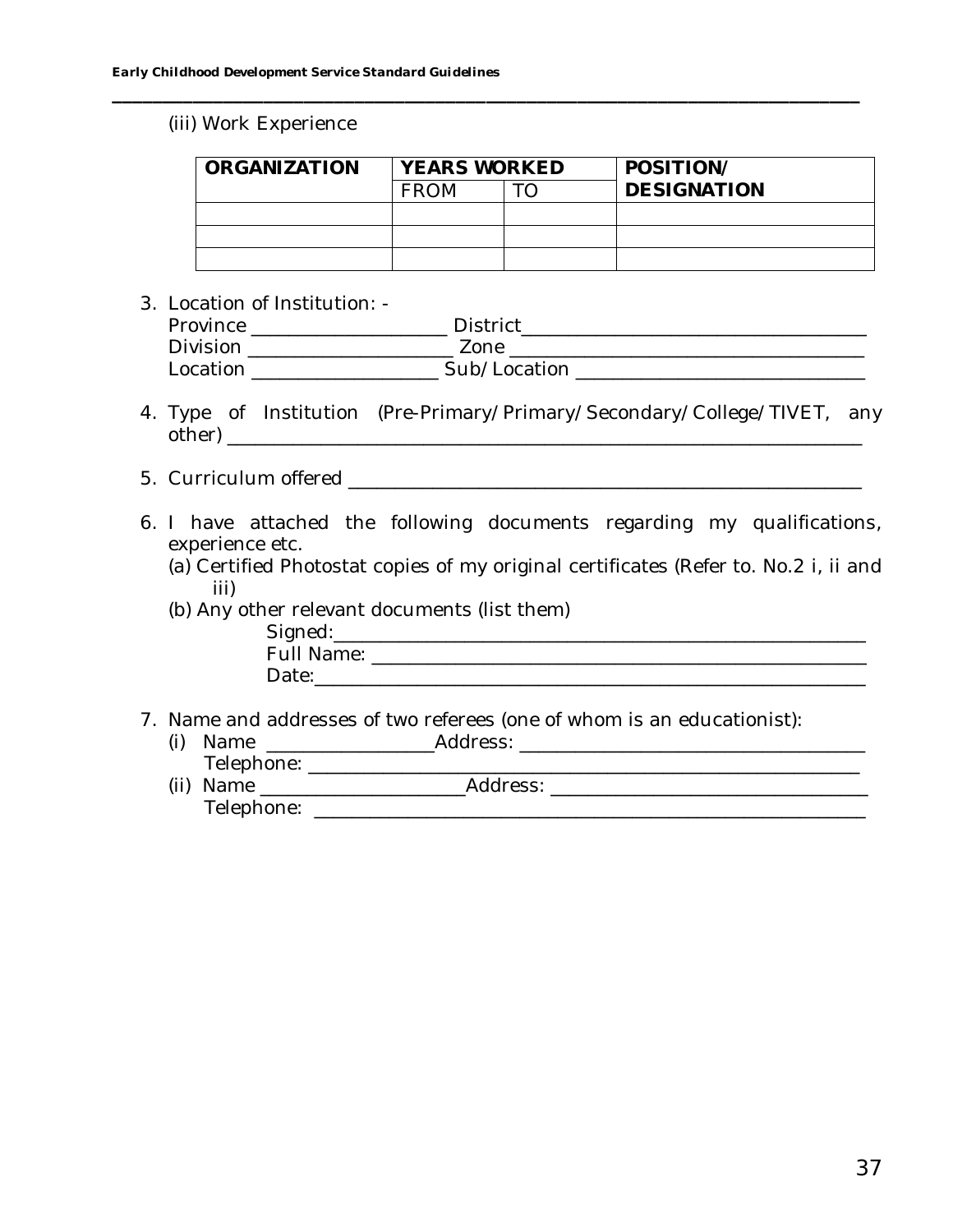#### (iii) Work Experience

| ORGANIZATION | <b>YEARS WORKED</b> |  | POSITION/          |
|--------------|---------------------|--|--------------------|
|              | <b>FROM</b>         |  | <b>DESIGNATION</b> |
|              |                     |  |                    |
|              |                     |  |                    |
|              |                     |  |                    |

**\_\_\_\_\_\_\_\_\_\_\_\_\_\_\_\_\_\_\_\_\_\_\_\_\_\_\_\_\_\_\_\_\_\_\_\_\_\_\_\_\_\_\_\_\_\_\_\_\_\_\_\_\_\_\_\_\_\_\_\_\_\_\_\_\_\_\_\_\_\_\_\_\_\_**

3. Location of Institution: -

| Province | District     |
|----------|--------------|
| Division | Zone         |
| Location | Sub/Location |

- 4. Type of Institution (Pre-Primary/Primary/Secondary/College/TIVET, any other) \_\_\_\_\_\_\_\_\_\_\_\_\_\_\_\_\_\_\_\_\_\_\_\_\_\_\_\_\_\_\_\_\_\_\_\_\_\_\_\_\_\_\_\_\_\_\_\_\_\_\_\_\_\_\_\_\_\_\_\_\_\_\_\_\_\_\_\_
- 5. Curriculum offered \_\_\_\_\_\_\_\_\_\_\_\_\_\_\_\_\_\_\_\_\_\_\_\_\_\_\_\_\_\_\_\_\_\_\_\_\_\_\_\_\_\_\_\_\_\_\_\_\_\_\_\_\_\_\_
- 6. I have attached the following documents regarding my qualifications, experience etc.
	- (a) Certified Photostat copies of my original certificates (Refer to. No.2 i, ii and iii)
	- (b) Any other relevant documents (list them)

| Signed:    |  |  |
|------------|--|--|
| Full Name: |  |  |
| Date:      |  |  |
|            |  |  |

- 7. Name and addresses of two referees (one of whom is an educationist):
	- (i) Name \_\_\_\_\_\_\_\_\_\_\_\_\_\_\_\_\_\_Address: \_\_\_\_\_\_\_\_\_\_\_\_\_\_\_\_\_\_\_\_\_\_\_\_\_\_\_\_\_\_\_\_\_\_\_\_\_ Telephone: \_\_\_\_\_\_\_\_\_\_\_\_\_\_\_\_\_\_\_\_\_\_\_\_\_\_\_\_\_\_\_\_\_\_\_\_\_\_\_\_\_\_\_\_\_\_\_\_\_\_\_\_\_\_\_\_\_\_\_
	- (ii) Name \_\_\_\_\_\_\_\_\_\_\_\_\_\_\_\_\_\_\_\_\_\_Address: \_\_\_\_\_\_\_\_\_\_\_\_\_\_\_\_\_\_\_\_\_\_\_\_\_\_\_\_\_\_\_\_\_\_ Telephone: \_\_\_\_\_\_\_\_\_\_\_\_\_\_\_\_\_\_\_\_\_\_\_\_\_\_\_\_\_\_\_\_\_\_\_\_\_\_\_\_\_\_\_\_\_\_\_\_\_\_\_\_\_\_\_\_\_\_\_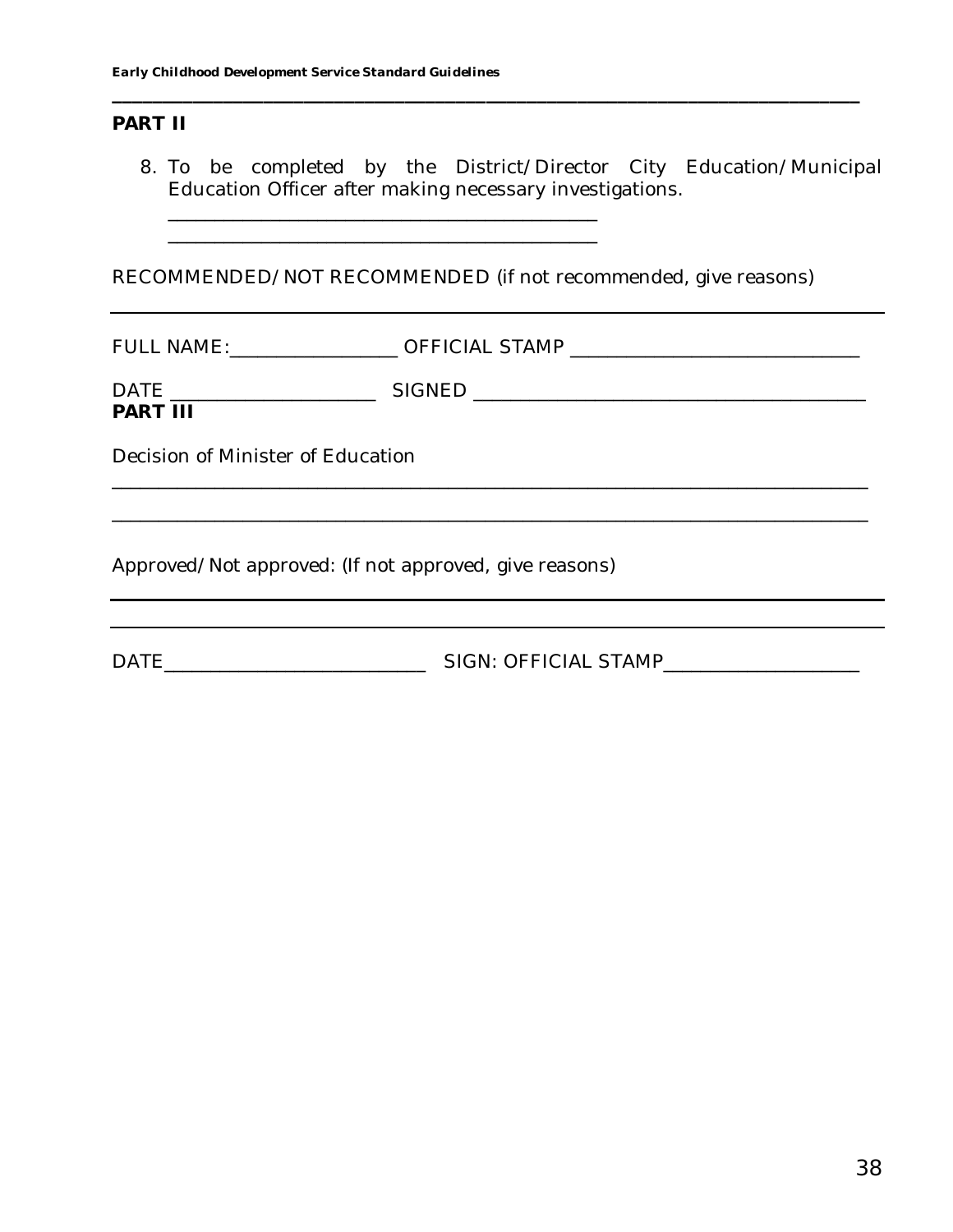#### **PART II**

8. To be completed by the District/Director City Education/Municipal Education Officer after making necessary investigations.

**\_\_\_\_\_\_\_\_\_\_\_\_\_\_\_\_\_\_\_\_\_\_\_\_\_\_\_\_\_\_\_\_\_\_\_\_\_\_\_\_\_\_\_\_\_\_\_\_\_\_\_\_\_\_\_\_\_\_\_\_\_\_\_\_\_\_\_\_\_\_\_\_\_\_**

RECOMMENDED/NOT RECOMMENDED (if not recommended, give reasons)

FULL NAME:\_\_\_\_\_\_\_\_\_\_\_\_\_\_\_\_\_\_\_\_ OFFICIAL STAMP \_\_\_\_\_\_\_\_\_\_\_\_\_\_\_\_\_\_\_\_\_\_\_\_\_\_\_\_\_\_\_\_\_\_

\_\_\_\_\_\_\_\_\_\_\_\_\_\_\_\_\_\_\_\_\_\_\_\_\_\_\_\_\_\_\_\_\_\_\_\_\_\_\_\_\_\_\_\_\_\_

DATE \_\_\_\_\_\_\_\_\_\_\_\_\_\_\_\_\_\_\_\_\_\_ SIGNED \_\_\_\_\_\_\_\_\_\_\_\_\_\_\_\_\_\_\_\_\_\_\_\_\_\_\_\_\_\_\_\_\_\_\_\_\_\_\_\_\_\_

**PART III**

\_\_\_\_\_\_\_\_\_\_\_\_\_\_\_\_\_\_\_\_\_\_\_\_\_\_\_\_\_\_\_\_\_\_\_\_\_\_\_\_\_\_\_\_\_\_\_\_\_\_\_\_\_\_\_\_\_\_\_\_\_\_\_\_\_\_\_\_\_\_\_\_\_\_\_\_\_\_\_\_\_

Decision of Minister of Education

Approved/Not approved: (If not approved, give reasons)

DATE\_\_\_\_\_\_\_\_\_\_\_\_\_\_\_\_\_\_\_\_\_\_\_\_\_\_\_\_ SIGN: OFFICIAL STAMP\_\_\_\_\_\_\_\_\_\_\_\_\_\_\_\_\_\_\_\_\_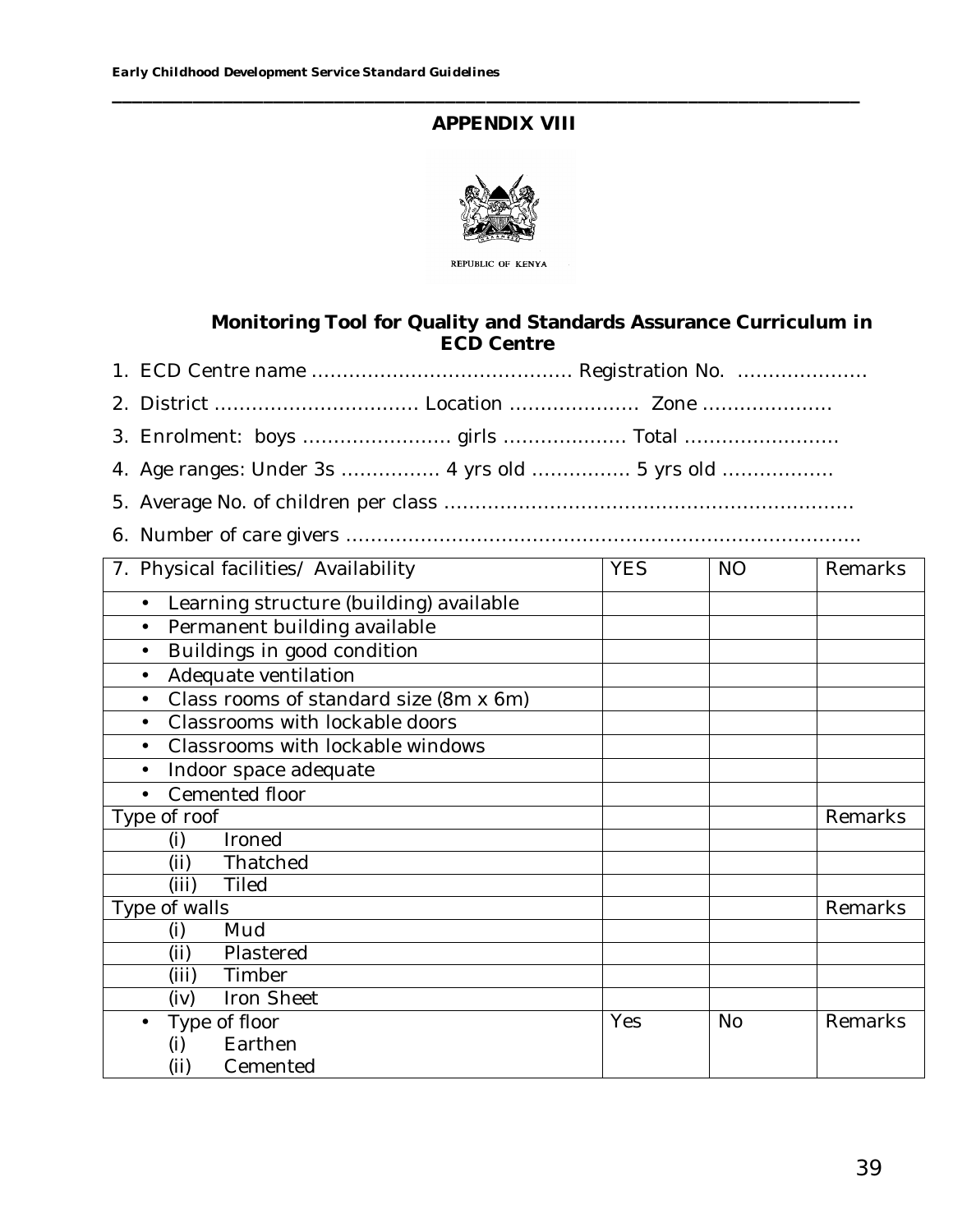# **APPENDIX VIII**

**\_\_\_\_\_\_\_\_\_\_\_\_\_\_\_\_\_\_\_\_\_\_\_\_\_\_\_\_\_\_\_\_\_\_\_\_\_\_\_\_\_\_\_\_\_\_\_\_\_\_\_\_\_\_\_\_\_\_\_\_\_\_\_\_\_\_\_\_\_\_\_\_\_\_**



REPUBLIC OF KENYA

#### **Monitoring Tool for Quality and Standards Assurance Curriculum in ECD Centre**

- 1. ECD Centre name …………………………………… Registration No. …………………
- 2. District …………………………… Location ………………… Zone …………………
- 3. Enrolment: boys …………………… girls …………..…… Total …………….………
- 4. Age ranges: Under 3s ……………. 4 yrs old ……………. 5 yrs old ………………
- 5. Average No. of children per class …………………………………………………………
- 6. Number of care givers ………………………………………………………………………..

| 7. Physical facilities/ Availability                 | <b>YES</b> | <b>NO</b> | Remarks |
|------------------------------------------------------|------------|-----------|---------|
| Learning structure (building) available<br>$\bullet$ |            |           |         |
| Permanent building available                         |            |           |         |
| Buildings in good condition                          |            |           |         |
| Adequate ventilation                                 |            |           |         |
| Class rooms of standard size (8m x 6m)<br>$\bullet$  |            |           |         |
| Classrooms with lockable doors                       |            |           |         |
| Classrooms with lockable windows                     |            |           |         |
| Indoor space adequate                                |            |           |         |
| Cemented floor                                       |            |           |         |
| Type of roof                                         |            |           | Remarks |
| Ironed<br>(i)                                        |            |           |         |
| Thatched<br>(ii)                                     |            |           |         |
| <b>Tiled</b><br>(iii)                                |            |           |         |
| Type of walls                                        |            |           | Remarks |
| Mud<br>(i)                                           |            |           |         |
| Plastered<br>(ii)                                    |            |           |         |
| (iii)<br>Timber                                      |            |           |         |
| Iron Sheet<br>(iv)                                   |            |           |         |
| Type of floor                                        | Yes        | <b>No</b> | Remarks |
| Earthen<br>(i)                                       |            |           |         |
| Cemented<br>(ii)                                     |            |           |         |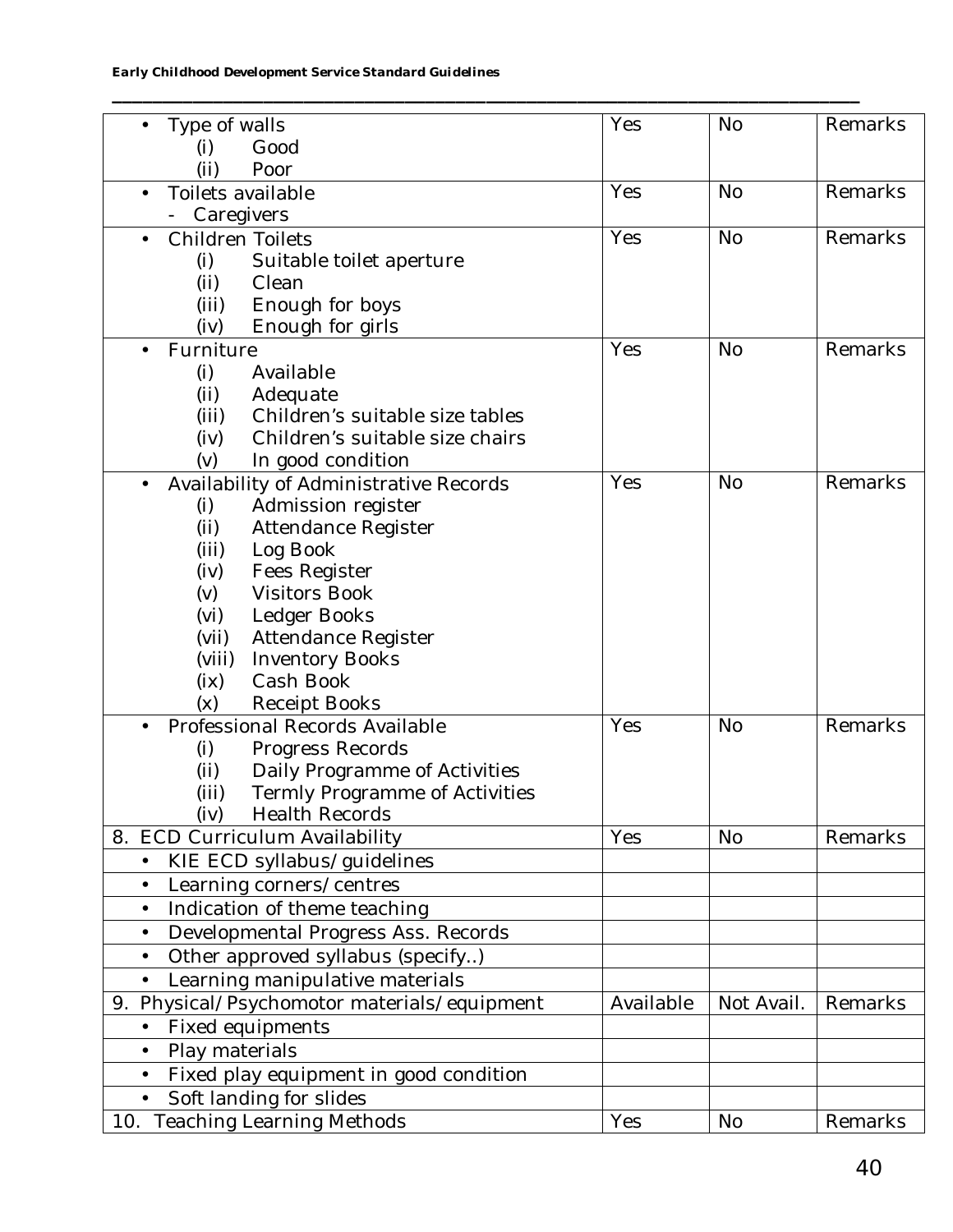*Early Childhood Development Service Standard Guidelines*

| Type of walls                                       | Yes       | <b>No</b>  | Remarks |
|-----------------------------------------------------|-----------|------------|---------|
| (i)<br>Good                                         |           |            |         |
| (i)<br>Poor                                         |           |            |         |
| Toilets available                                   | Yes       | <b>No</b>  | Remarks |
| Caregivers                                          |           |            |         |
| <b>Children Toilets</b>                             | Yes       | <b>No</b>  | Remarks |
|                                                     |           |            |         |
| (i)<br>Suitable toilet aperture                     |           |            |         |
| (ii)<br>Clean                                       |           |            |         |
| Enough for boys<br>(iii)                            |           |            |         |
| Enough for girls<br>(iv)                            |           |            |         |
| Furniture                                           | Yes       | <b>No</b>  | Remarks |
| Available<br>(i)                                    |           |            |         |
| (ii)<br>Adequate                                    |           |            |         |
| (iii)<br>Children's suitable size tables            |           |            |         |
| (iv)<br>Children's suitable size chairs             |           |            |         |
| (v)<br>In good condition                            |           |            |         |
| Availability of Administrative Records              | Yes       | <b>No</b>  | Remarks |
| (i)<br>Admission register                           |           |            |         |
| (ii)<br>Attendance Register                         |           |            |         |
| (iii)<br>Log Book                                   |           |            |         |
| (iv)<br>Fees Register                               |           |            |         |
| (v)<br><b>Visitors Book</b>                         |           |            |         |
| (vi)<br>Ledger Books                                |           |            |         |
| (vii)<br>Attendance Register                        |           |            |         |
| (viii)<br><b>Inventory Books</b>                    |           |            |         |
| Cash Book<br>(ix)                                   |           |            |         |
| (x)                                                 |           |            |         |
| <b>Receipt Books</b>                                | Yes       |            | Remarks |
| Professional Records Available                      |           | <b>No</b>  |         |
| (i)<br>Progress Records                             |           |            |         |
| (i)<br>Daily Programme of Activities                |           |            |         |
| (iii)<br>Termly Programme of Activities             |           |            |         |
| <b>Health Records</b><br>(iv)                       |           |            |         |
| 8. ECD Curriculum Availability                      | Yes       | <b>No</b>  | Remarks |
| KIE ECD syllabus/guidelines<br>$\bullet$            |           |            |         |
| Learning corners/centres<br>$\bullet$               |           |            |         |
| Indication of theme teaching<br>$\bullet$           |           |            |         |
| Developmental Progress Ass. Records<br>$\bullet$    |           |            |         |
| Other approved syllabus (specify)<br>$\bullet$      |           |            |         |
| Learning manipulative materials<br>$\bullet$        |           |            |         |
|                                                     | Available | Not Avail. | Remarks |
| 9. Physical/Psychomotor materials/equipment         |           |            |         |
| Fixed equipments<br>$\bullet$                       |           |            |         |
| Play materials<br>$\bullet$                         |           |            |         |
| Fixed play equipment in good condition<br>$\bullet$ |           |            |         |
| Soft landing for slides                             |           |            |         |
| <b>Teaching Learning Methods</b><br>10.             | Yes       | <b>No</b>  | Remarks |

**\_\_\_\_\_\_\_\_\_\_\_\_\_\_\_\_\_\_\_\_\_\_\_\_\_\_\_\_\_\_\_\_\_\_\_\_\_\_\_\_\_\_\_\_\_\_\_\_\_\_\_\_\_\_\_\_\_\_\_\_\_\_\_\_\_\_\_\_\_\_\_\_\_\_**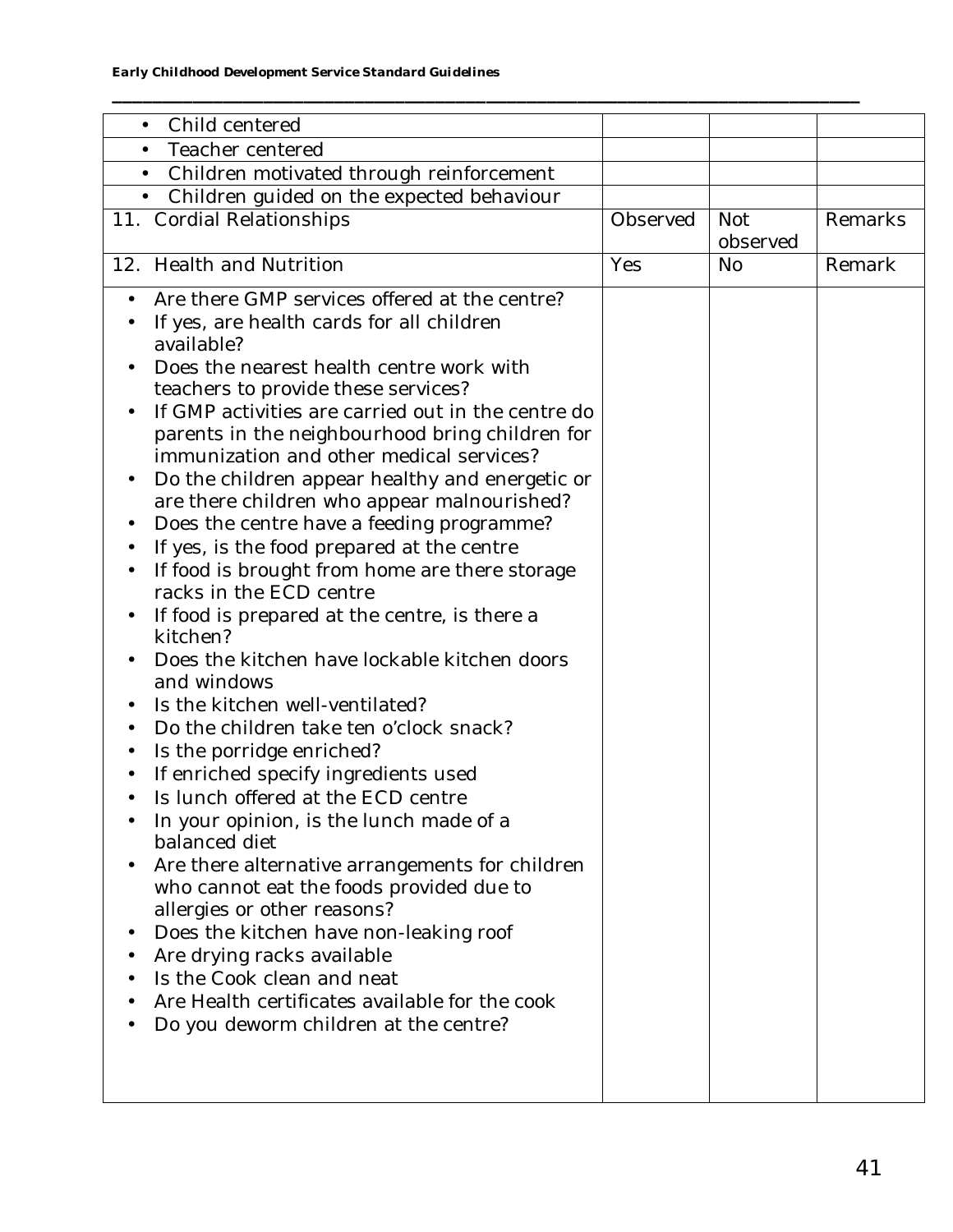| $\bullet$ | Child centered                                           |          |            |         |
|-----------|----------------------------------------------------------|----------|------------|---------|
| $\bullet$ | Teacher centered                                         |          |            |         |
| $\bullet$ | Children motivated through reinforcement                 |          |            |         |
| $\bullet$ | Children guided on the expected behaviour                |          |            |         |
|           | 11. Cordial Relationships                                | Observed | <b>Not</b> | Remarks |
|           |                                                          |          | observed   |         |
| 12.       | <b>Health and Nutrition</b>                              | Yes      | <b>No</b>  | Remark  |
|           |                                                          |          |            |         |
| $\bullet$ | Are there GMP services offered at the centre?            |          |            |         |
|           | If yes, are health cards for all children                |          |            |         |
|           | available?                                               |          |            |         |
|           | Does the nearest health centre work with                 |          |            |         |
|           | teachers to provide these services?                      |          |            |         |
|           | If GMP activities are carried out in the centre do       |          |            |         |
|           | parents in the neighbourhood bring children for          |          |            |         |
|           | immunization and other medical services?                 |          |            |         |
|           | Do the children appear healthy and energetic or          |          |            |         |
|           | are there children who appear malnourished?              |          |            |         |
|           | Does the centre have a feeding programme?                |          |            |         |
|           | If yes, is the food prepared at the centre               |          |            |         |
|           | If food is brought from home are there storage           |          |            |         |
|           | racks in the ECD centre                                  |          |            |         |
| $\bullet$ | If food is prepared at the centre, is there a            |          |            |         |
|           | kitchen?                                                 |          |            |         |
|           | Does the kitchen have lockable kitchen doors             |          |            |         |
|           | and windows                                              |          |            |         |
|           | Is the kitchen well-ventilated?                          |          |            |         |
|           | Do the children take ten o'clock snack?                  |          |            |         |
|           | Is the porridge enriched?                                |          |            |         |
|           | If enriched specify ingredients used                     |          |            |         |
|           | Is lunch offered at the ECD centre                       |          |            |         |
|           | In your opinion, is the lunch made of a<br>balanced diet |          |            |         |
|           |                                                          |          |            |         |
|           | Are there alternative arrangements for children          |          |            |         |
|           | who cannot eat the foods provided due to                 |          |            |         |
|           | allergies or other reasons?                              |          |            |         |
|           | Does the kitchen have non-leaking roof                   |          |            |         |
|           | Are drying racks available<br>Is the Cook clean and neat |          |            |         |
|           |                                                          |          |            |         |
|           | Are Health certificates available for the cook           |          |            |         |
|           | Do you deworm children at the centre?                    |          |            |         |
|           |                                                          |          |            |         |
|           |                                                          |          |            |         |
|           |                                                          |          |            |         |

**\_\_\_\_\_\_\_\_\_\_\_\_\_\_\_\_\_\_\_\_\_\_\_\_\_\_\_\_\_\_\_\_\_\_\_\_\_\_\_\_\_\_\_\_\_\_\_\_\_\_\_\_\_\_\_\_\_\_\_\_\_\_\_\_\_\_\_\_\_\_\_\_\_\_**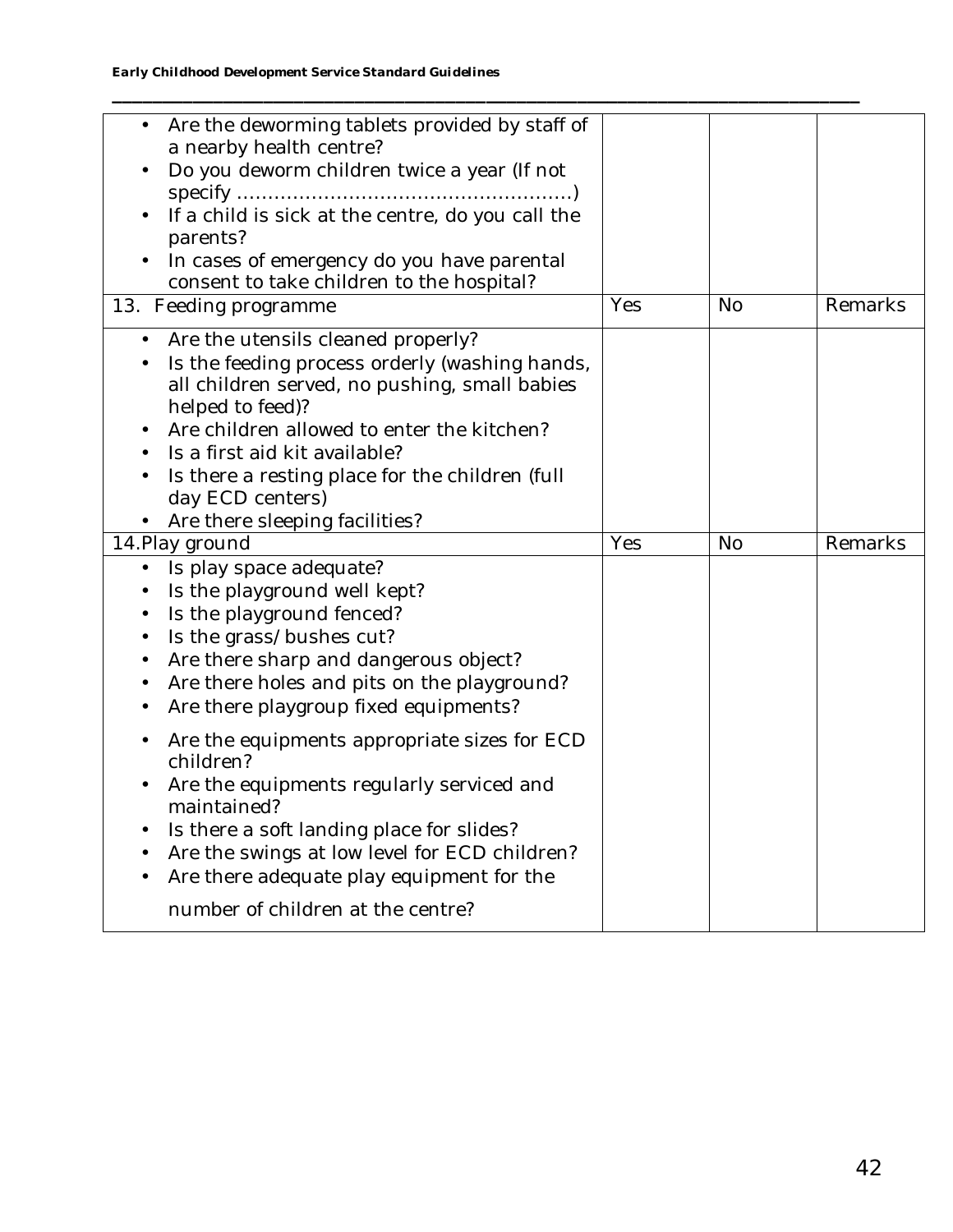| Are the deworming tablets provided by staff of<br>a nearby health centre?<br>Do you deworm children twice a year (If not<br>If a child is sick at the centre, do you call the<br>parents?<br>In cases of emergency do you have parental<br>consent to take children to the hospital?                                                                           |     |           |         |
|----------------------------------------------------------------------------------------------------------------------------------------------------------------------------------------------------------------------------------------------------------------------------------------------------------------------------------------------------------------|-----|-----------|---------|
| 13. Feeding programme                                                                                                                                                                                                                                                                                                                                          | Yes | <b>No</b> | Remarks |
| Are the utensils cleaned properly?<br>$\bullet$<br>Is the feeding process orderly (washing hands,<br>all children served, no pushing, small babies<br>helped to feed)?<br>Are children allowed to enter the kitchen?<br>Is a first aid kit available?<br>Is there a resting place for the children (full<br>day ECD centers)<br>Are there sleeping facilities? |     |           |         |
| 14. Play ground                                                                                                                                                                                                                                                                                                                                                | Yes | No        | Remarks |
| Is play space adequate?<br>$\bullet$<br>Is the playground well kept?<br>Is the playground fenced?<br>Is the grass/bushes cut?<br>Are there sharp and dangerous object?<br>Are there holes and pits on the playground?<br>Are there playgroup fixed equipments?                                                                                                 |     |           |         |
| Are the equipments appropriate sizes for ECD<br>children?<br>Are the equipments regularly serviced and<br>maintained?<br>Is there a soft landing place for slides?                                                                                                                                                                                             |     |           |         |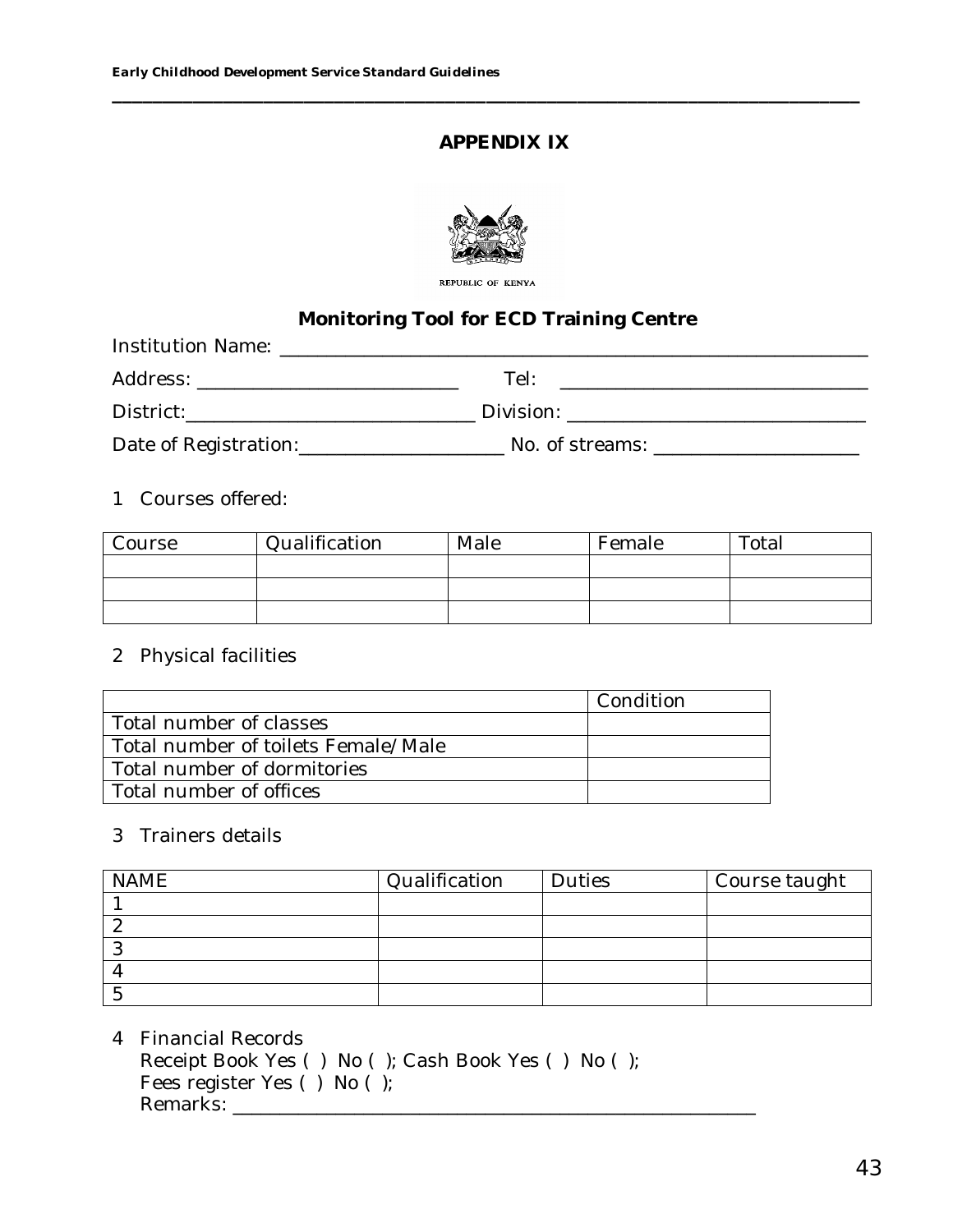## **APPENDIX IX**



**\_\_\_\_\_\_\_\_\_\_\_\_\_\_\_\_\_\_\_\_\_\_\_\_\_\_\_\_\_\_\_\_\_\_\_\_\_\_\_\_\_\_\_\_\_\_\_\_\_\_\_\_\_\_\_\_\_\_\_\_\_\_\_\_\_\_\_\_\_\_\_\_\_\_**

REPUBLIC OF KENYA

# **Monitoring Tool for ECD Training Centre**

| <b>Institution Name:</b> And the state of the state of the state of the state of the state of the state of the state of the state of the state of the state of the state of the state of the state of the state of the state of the |                                                                                                                                                                                                                               |
|-------------------------------------------------------------------------------------------------------------------------------------------------------------------------------------------------------------------------------------|-------------------------------------------------------------------------------------------------------------------------------------------------------------------------------------------------------------------------------|
|                                                                                                                                                                                                                                     | Tel:                                                                                                                                                                                                                          |
| District: the contract of the contract of the contract of the contract of the contract of the contract of the contract of the contract of the contract of the contract of the contract of the contract of the contract of the       | Division: the contract of the contract of the contract of the contract of the contract of the contract of the contract of the contract of the contract of the contract of the contract of the contract of the contract of the |
| Date of Registration: _____________________                                                                                                                                                                                         | No. of streams: which is a stream of the stream of the stream of the stream of the stream of the stream of the                                                                                                                |

## 1 Courses offered:

| Course | Qualification | Male | Female | Total |
|--------|---------------|------|--------|-------|
|        |               |      |        |       |
|        |               |      |        |       |
|        |               |      |        |       |

#### 2 Physical facilities

|                                     | Condition |
|-------------------------------------|-----------|
| Total number of classes             |           |
| Total number of toilets Female/Male |           |
| Total number of dormitories         |           |
| Total number of offices             |           |

#### 3 Trainers details

| <b>NAME</b> | Qualification | <b>Duties</b> | Course taught |
|-------------|---------------|---------------|---------------|
|             |               |               |               |
|             |               |               |               |
|             |               |               |               |
|             |               |               |               |
|             |               |               |               |

# 4 Financial Records

Receipt Book Yes ( ) No ( ); Cash Book Yes ( ) No ( ); Fees register Yes ( ) No ( );

Remarks: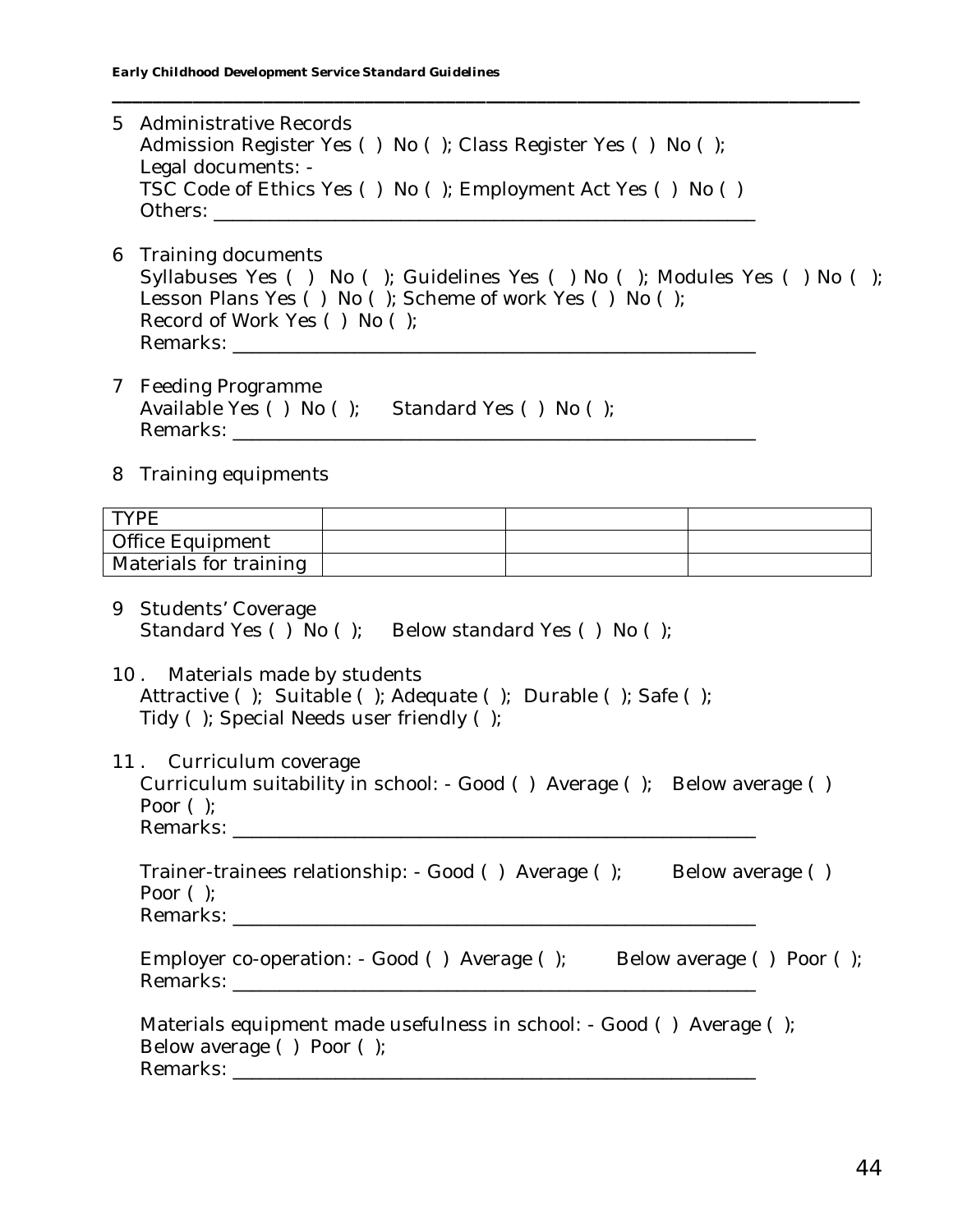- 5 Administrative Records Admission Register Yes () No (); Class Register Yes () No (); Legal documents: - TSC Code of Ethics Yes ( ) No ( ); Employment Act Yes ( ) No ( ) Others: **with a control**
- 6 Training documents Syllabuses Yes ( ) No ( ); Guidelines Yes ( ) No ( ); Modules Yes ( ) No ( ); Lesson Plans Yes () No (); Scheme of work Yes () No (); Record of Work Yes ( ) No ( ); Remarks: **Example 20**

**\_\_\_\_\_\_\_\_\_\_\_\_\_\_\_\_\_\_\_\_\_\_\_\_\_\_\_\_\_\_\_\_\_\_\_\_\_\_\_\_\_\_\_\_\_\_\_\_\_\_\_\_\_\_\_\_\_\_\_\_\_\_\_\_\_\_\_\_\_\_\_\_\_\_**

- 7 Feeding Programme Available Yes () No (); Standard Yes () No (); Remarks: \_\_\_\_\_\_\_\_\_\_\_\_\_\_\_\_\_\_\_\_\_\_\_\_\_\_\_\_\_\_\_\_\_\_\_\_\_\_\_\_\_\_\_\_\_\_\_\_\_\_\_\_\_\_\_\_
- 8 Training equipments

| <b>TVDE</b>            |  |  |
|------------------------|--|--|
| Office Equipment       |  |  |
| Materials for training |  |  |

- 9 Students' Coverage Standard Yes ( )  $\overline{N}$  No ( ); Below standard Yes ( ) No ( );
- 10 . Materials made by students Attractive ( ); Suitable ( ); Adequate ( ); Durable ( ); Safe ( ); Tidy ( ); Special Needs user friendly ( );

11 . Curriculum coverage Curriculum suitability in school: - Good () Average (); Below average () Poor ( ); Remarks: **with a strategies of the strategies of the strategies of the strategies of the strategies of the strategies of the strategies of the strategies of the strategies of the strategies of the strategies of the strateg** 

Trainer-trainees relationship: - Good () Average (); Below average () Poor ( ); Remarks: **with a straight of the straight of the straight of the straight of the straight of the straight of the straight of the straight of the straight of the straight of the straight of the straight of the straight of t** 

Employer co-operation: - Good () Average (); Below average () Poor (); Remarks: \_\_\_\_\_\_\_\_\_\_\_\_\_\_\_\_\_\_\_\_\_\_\_\_\_\_\_\_\_\_\_\_\_\_\_\_\_\_\_\_\_\_\_\_\_\_\_\_\_\_\_\_\_\_\_\_

| Materials equipment made usefulness in school: - Good () Average (); |  |
|----------------------------------------------------------------------|--|
| Below average () Poor $($ );                                         |  |
| Remarks:                                                             |  |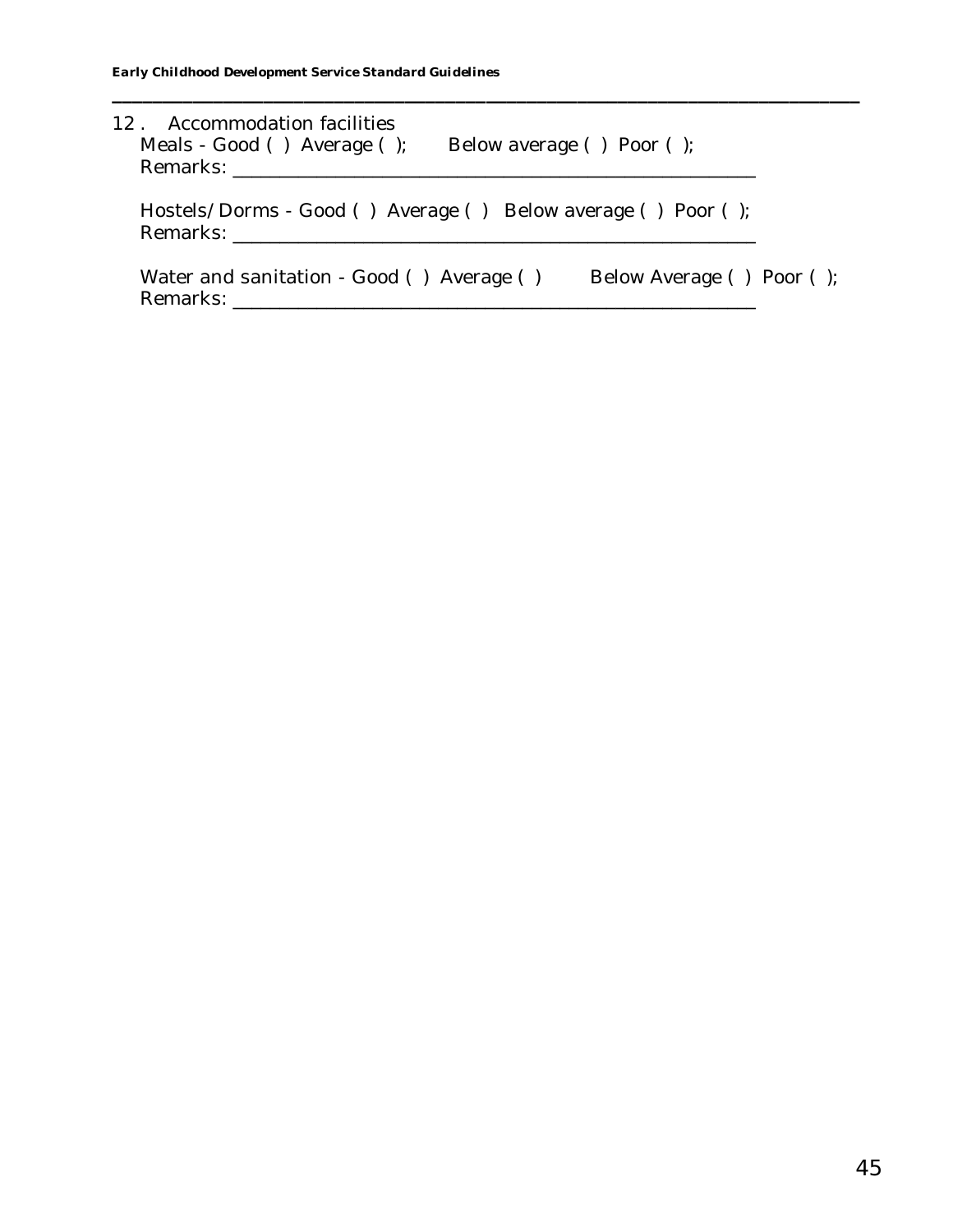| 12. Accommodation facilities<br>Meals - Good () Average ();  | Below average $( )$ Poor $( )$ ; |
|--------------------------------------------------------------|----------------------------------|
| Hostels/Dorms - Good () Average () Below average () Poor (); |                                  |
| Water and sanitation - Good () Average ()                    | Below Average () Poor ();        |

**\_\_\_\_\_\_\_\_\_\_\_\_\_\_\_\_\_\_\_\_\_\_\_\_\_\_\_\_\_\_\_\_\_\_\_\_\_\_\_\_\_\_\_\_\_\_\_\_\_\_\_\_\_\_\_\_\_\_\_\_\_\_\_\_\_\_\_\_\_\_\_\_\_\_**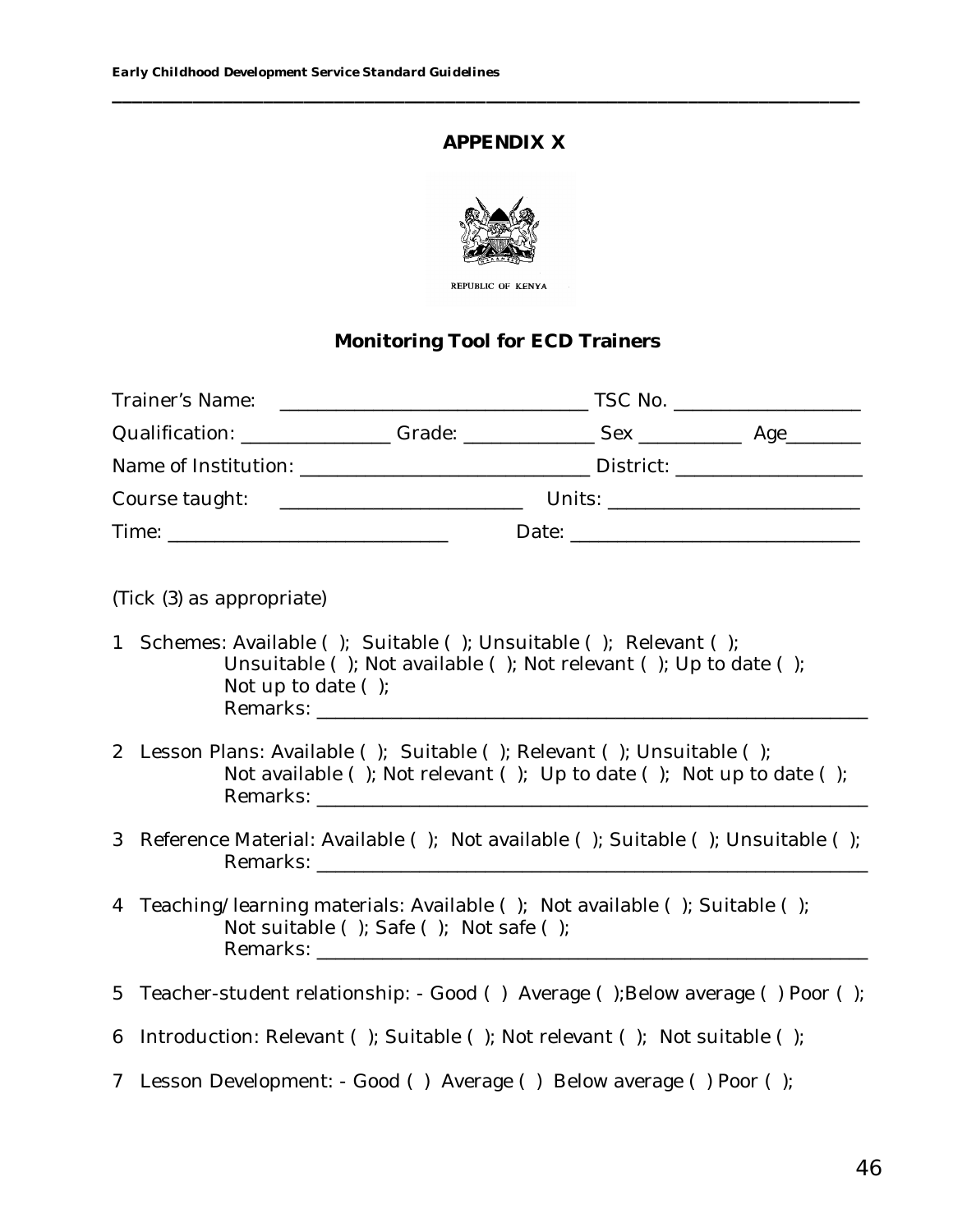#### **APPENDIX X**

**\_\_\_\_\_\_\_\_\_\_\_\_\_\_\_\_\_\_\_\_\_\_\_\_\_\_\_\_\_\_\_\_\_\_\_\_\_\_\_\_\_\_\_\_\_\_\_\_\_\_\_\_\_\_\_\_\_\_\_\_\_\_\_\_\_\_\_\_\_\_\_\_\_\_**



REPUBLIC OF KENYA

#### **Monitoring Tool for ECD Trainers**

| (Tick (3) as appropriate) |  |  |
|---------------------------|--|--|

- 1 Schemes: Available ( ); Suitable ( ); Unsuitable ( ); Relevant ( ); Unsuitable ( ); Not available ( ); Not relevant ( ); Up to date ( ); Not up to date ( ); Remarks:
- 2 Lesson Plans: Available ( ); Suitable ( ); Relevant ( ); Unsuitable ( ); Not available ( ); Not relevant ( ); Up to date ( ); Not up to date ( ); Remarks: \_\_\_\_\_\_\_\_\_\_\_\_\_\_\_\_\_\_\_\_\_\_\_\_\_\_\_\_\_\_\_\_\_\_\_\_\_\_\_\_\_\_\_\_\_\_\_\_\_\_\_\_\_\_\_\_\_\_\_
- 3 Reference Material: Available ( ); Not available ( ); Suitable ( ); Unsuitable ( ); Remarks: \_\_\_\_\_\_\_\_\_\_\_\_\_\_\_\_\_\_\_\_\_\_\_\_\_\_\_\_\_\_\_\_\_\_\_\_\_\_\_\_\_\_\_\_\_\_\_\_\_\_\_\_\_\_\_\_\_\_\_
- 4 Teaching/learning materials: Available ( ); Not available ( ); Suitable ( ); Not suitable ( ); Safe ( ); Not safe ( ); Remarks: **with a set of the set of the set of the set of the set of the set of the set of the set of the set of the set of the set of the set of the set of the set of the set of the set of the set of the set of the set of**
- 5 Teacher-student relationship: Good () Average ();Below average () Poor ();
- 6 Introduction: Relevant ( ); Suitable ( ); Not relevant ( ); Not suitable ( );
- 7 Lesson Development: Good ( ) Average ( ) Below average ( ) Poor ( );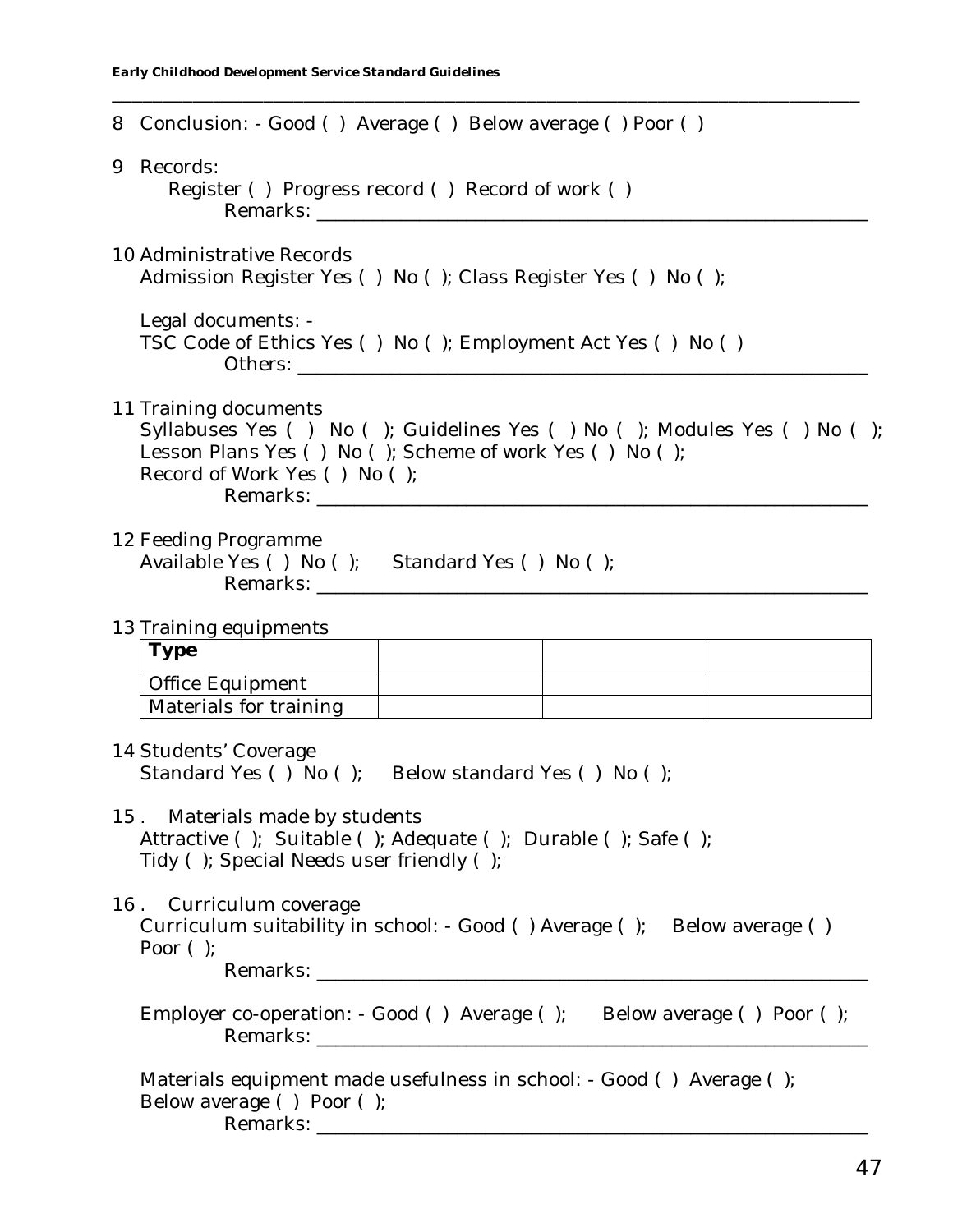| 8 Conclusion: - Good () Average () Below average () Poor ()                                                                                                                                 |  |  |  |
|---------------------------------------------------------------------------------------------------------------------------------------------------------------------------------------------|--|--|--|
| 9 Records:<br>Register () Progress record () Record of work ()                                                                                                                              |  |  |  |
| 10 Administrative Records<br>Admission Register Yes () No (); Class Register Yes () No ();                                                                                                  |  |  |  |
| Legal documents: -<br>TSC Code of Ethics Yes () No (); Employment Act Yes () No ()                                                                                                          |  |  |  |
| 11 Training documents<br>Syllabuses Yes () No (); Guidelines Yes () No (); Modules Yes () No ();<br>Lesson Plans Yes () No (); Scheme of work Yes () No ();<br>Record of Work Yes () No (); |  |  |  |
| 12 Feeding Programme<br>Available Yes () No (); Standard Yes () No ();                                                                                                                      |  |  |  |
| 13 Training equipments                                                                                                                                                                      |  |  |  |
| <b>Type</b>                                                                                                                                                                                 |  |  |  |
| Office Equipment                                                                                                                                                                            |  |  |  |
| Materials for training                                                                                                                                                                      |  |  |  |
| 14 Students' Coverage<br>Standard Yes () No (); Below standard Yes () No ();                                                                                                                |  |  |  |
| 15. Materials made by students<br>Attractive ( ); Suitable ( ); Adequate ( ); Durable ( ); Safe ( );<br>Tidy (); Special Needs user friendly ();                                            |  |  |  |
| 16. Curriculum coverage<br>Curriculum suitability in school: - Good () Average (); Below average ()<br>Poor $()$                                                                            |  |  |  |
| Employer co-operation: - Good () Average (); Below average () Poor ();                                                                                                                      |  |  |  |
| Materials equipment made usefulness in school: - Good () Average ();<br>Below average () Poor ();                                                                                           |  |  |  |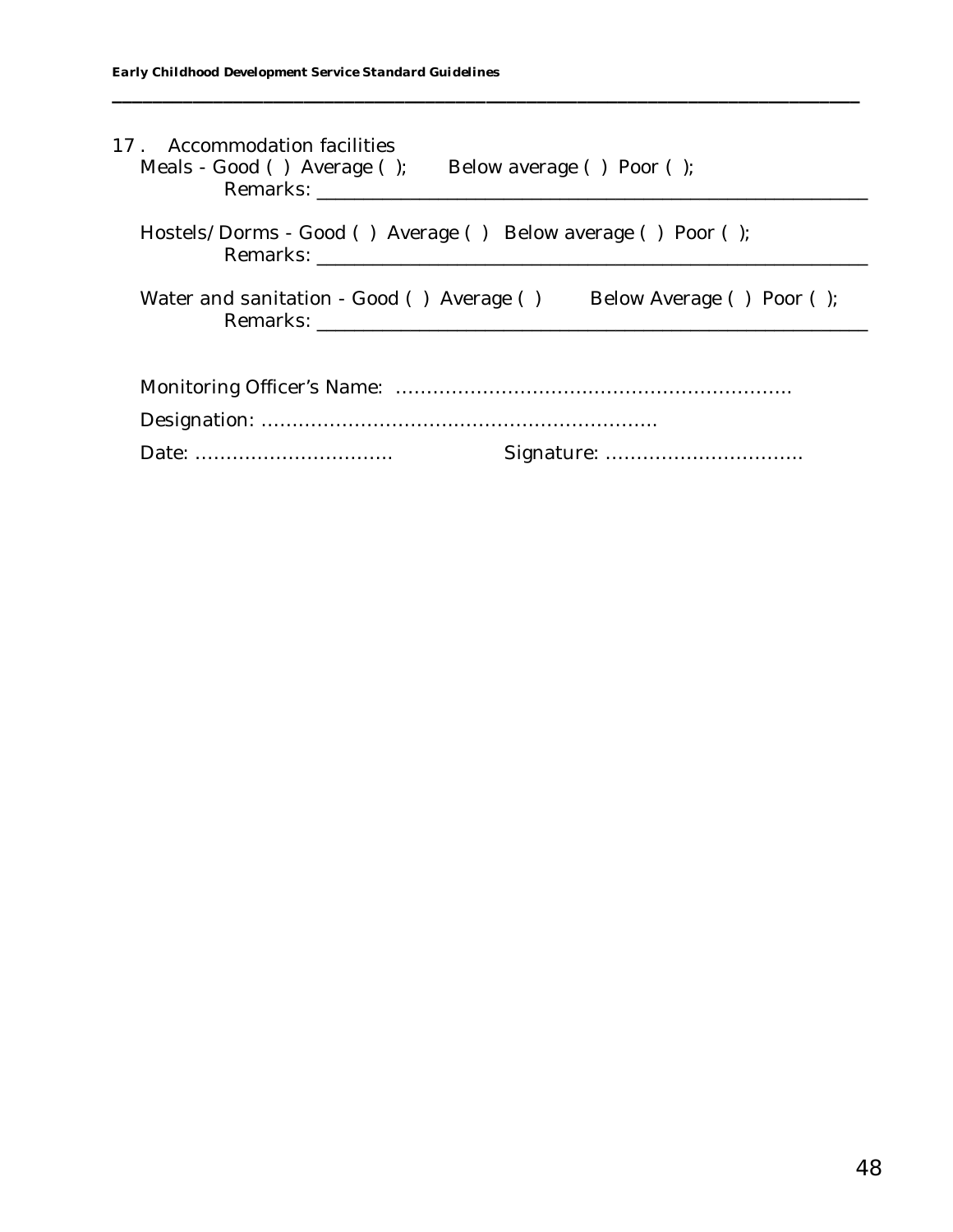| 17 . Accommodation facilities<br>Meals - Good () Average ();<br>Remarks: Electric Contract Contract Contract Contract Contract Contract Contract Contract Contract Contract Contract Contract Contract Contract Contract Contract Contract Contract Contract Contract Contract Contract Contra | Below average () Poor (); |
|------------------------------------------------------------------------------------------------------------------------------------------------------------------------------------------------------------------------------------------------------------------------------------------------|---------------------------|
| Hostels/Dorms - Good () Average () Below average () Poor ();                                                                                                                                                                                                                                   |                           |
| Water and sanitation - Good () Average ()                                                                                                                                                                                                                                                      | Below Average () Poor (); |
|                                                                                                                                                                                                                                                                                                |                           |
|                                                                                                                                                                                                                                                                                                |                           |
|                                                                                                                                                                                                                                                                                                |                           |

**\_\_\_\_\_\_\_\_\_\_\_\_\_\_\_\_\_\_\_\_\_\_\_\_\_\_\_\_\_\_\_\_\_\_\_\_\_\_\_\_\_\_\_\_\_\_\_\_\_\_\_\_\_\_\_\_\_\_\_\_\_\_\_\_\_\_\_\_\_\_\_\_\_\_**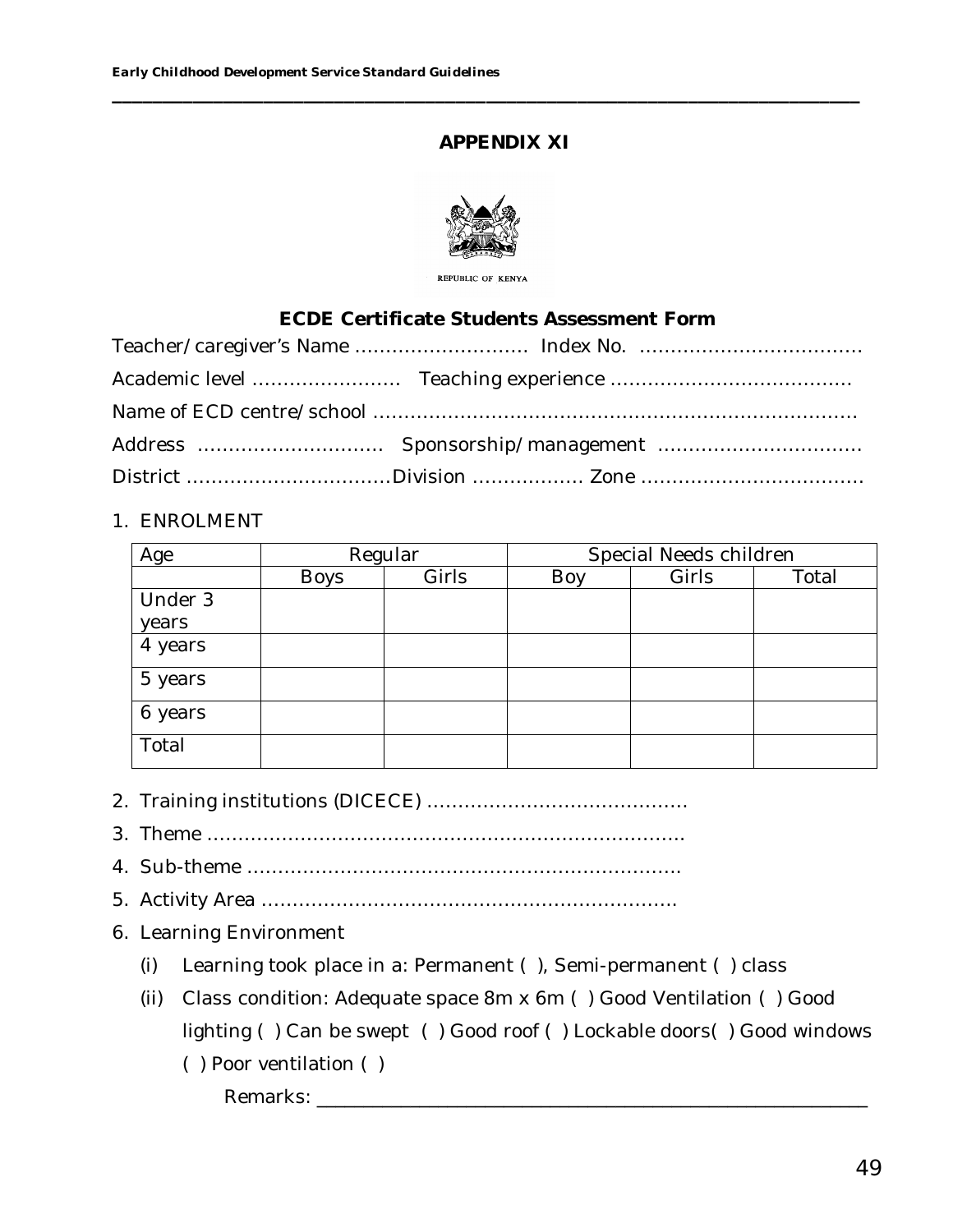# **APPENDIX XI**

**\_\_\_\_\_\_\_\_\_\_\_\_\_\_\_\_\_\_\_\_\_\_\_\_\_\_\_\_\_\_\_\_\_\_\_\_\_\_\_\_\_\_\_\_\_\_\_\_\_\_\_\_\_\_\_\_\_\_\_\_\_\_\_\_\_\_\_\_\_\_\_\_\_\_**



REPUBLIC OF KENYA

#### **ECDE Certificate Students Assessment Form**

#### 1. ENROLMENT

| Age     | Regular     |       | Special Needs children |       |       |
|---------|-------------|-------|------------------------|-------|-------|
|         | <b>Boys</b> | Girls | Boy                    | Girls | Total |
| Under 3 |             |       |                        |       |       |
| years   |             |       |                        |       |       |
| 4 years |             |       |                        |       |       |
| 5 years |             |       |                        |       |       |
| 6 years |             |       |                        |       |       |
| Total   |             |       |                        |       |       |

- 2. Training institutions (DICECE) ……………………………………
- 3. Theme …………………………………………………………………..
- 4. Sub-theme …………………………………………………………….
- 5. Activity Area ………………………………………………………….
- 6. Learning Environment
	- (i) Learning took place in a: Permanent ( ), Semi-permanent ( ) class
	- (ii) Class condition: Adequate space 8m x 6m ( ) Good Ventilation ( ) Good lighting ( ) Can be swept ( ) Good roof ( ) Lockable doors( ) Good windows
		- ( ) Poor ventilation ( )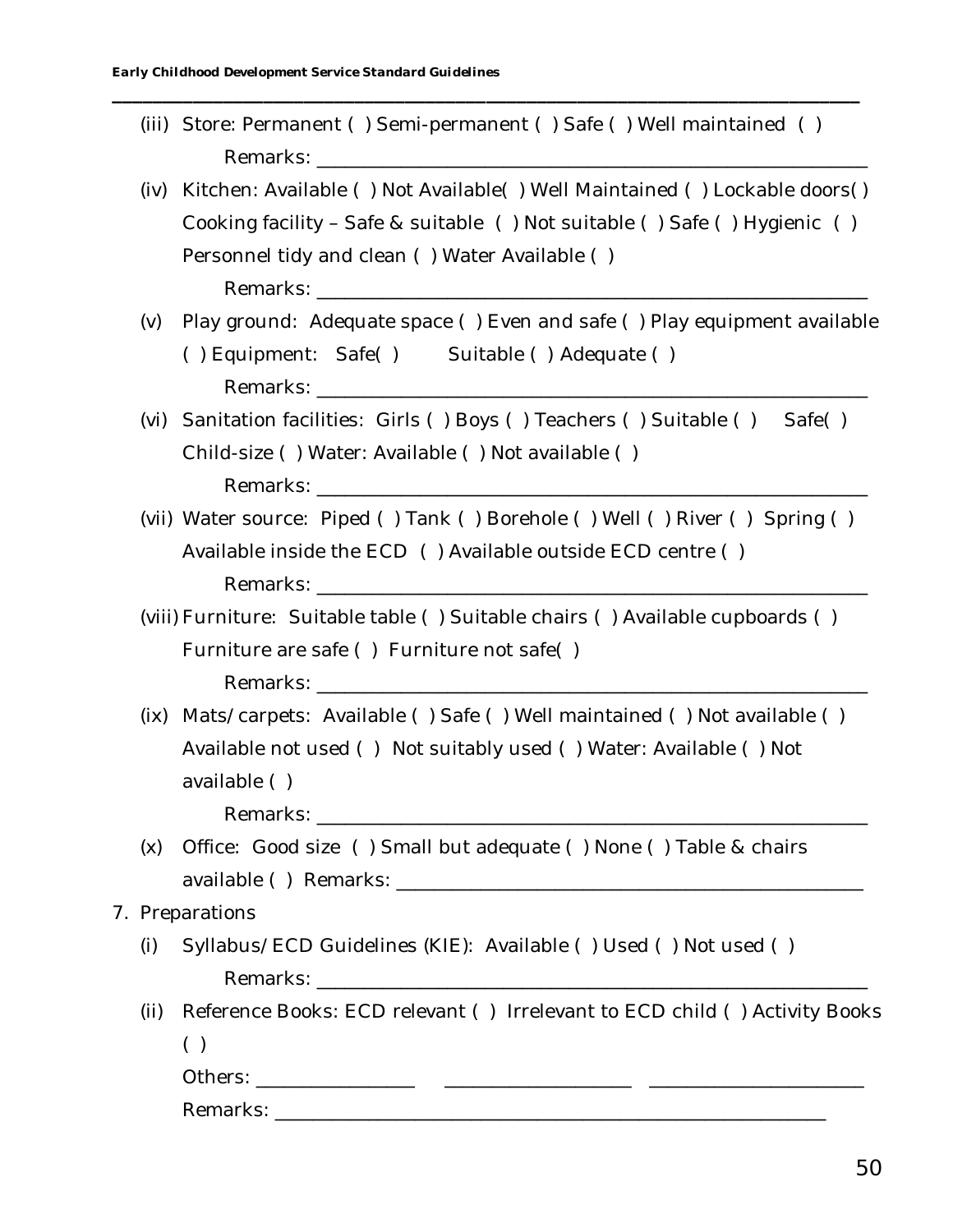(iii) Store: Permanent ( ) Semi-permanent ( ) Safe ( ) Well maintained ( ) Remarks: **Example 20** 

**\_\_\_\_\_\_\_\_\_\_\_\_\_\_\_\_\_\_\_\_\_\_\_\_\_\_\_\_\_\_\_\_\_\_\_\_\_\_\_\_\_\_\_\_\_\_\_\_\_\_\_\_\_\_\_\_\_\_\_\_\_\_\_\_\_\_\_\_\_\_\_\_\_\_**

- (iv) Kitchen: Available ( ) Not Available( ) Well Maintained ( ) Lockable doors( ) Cooking facility – Safe & suitable ( ) Not suitable ( ) Safe ( ) Hygienic ( ) Personnel tidy and clean ( ) Water Available ( ) Remarks:
- (v) Play ground: Adequate space ( ) Even and safe ( ) Play equipment available ( ) Equipment: Safe( ) Suitable ( ) Adequate ( ) Remarks:
- (vi) Sanitation facilities: Girls ( ) Boys ( ) Teachers ( ) Suitable ( ) Safe( ) Child-size ( ) Water: Available ( ) Not available ( ) Remarks:  $\Box$
- (vii) Water source: Piped ( ) Tank ( ) Borehole ( ) Well ( ) River ( ) Spring ( ) Available inside the ECD ( ) Available outside ECD centre ( ) Remarks:
- (viii) Furniture: Suitable table ( ) Suitable chairs ( ) Available cupboards ( ) Furniture are safe ( ) Furniture not safe( ) Remarks: \_\_\_\_\_\_\_\_\_\_\_\_\_\_\_\_\_\_\_\_\_\_\_\_\_\_\_\_\_\_\_\_\_\_\_\_\_\_\_\_\_\_\_\_\_\_\_\_\_\_\_\_\_\_\_\_\_\_\_
- (ix) Mats/carpets: Available ( ) Safe ( ) Well maintained ( ) Not available ( ) Available not used ( ) Not suitably used ( ) Water: Available ( ) Not available ( )

Remarks:

- (x) Office: Good size ( ) Small but adequate ( ) None ( ) Table & chairs available ( ) Remarks: \_\_\_\_\_\_\_\_\_\_\_\_\_\_\_\_\_\_\_\_\_\_\_\_\_\_\_\_\_\_\_\_\_\_\_\_\_\_\_\_\_\_\_\_\_\_\_\_\_\_
- 7. Preparations
	- (i) Syllabus/ECD Guidelines (KIE): Available ( ) Used ( ) Not used ( ) Remarks:  $\Box$
	- (ii) Reference Books: ECD relevant ( ) Irrelevant to ECD child ( ) Activity Books  $( )$

Others: \_\_\_\_\_\_\_\_\_\_\_\_\_\_\_\_\_ \_\_\_\_\_\_\_\_\_\_\_\_\_\_\_\_\_\_\_\_ \_\_\_\_\_\_\_\_\_\_\_\_\_\_\_\_\_\_\_\_\_\_\_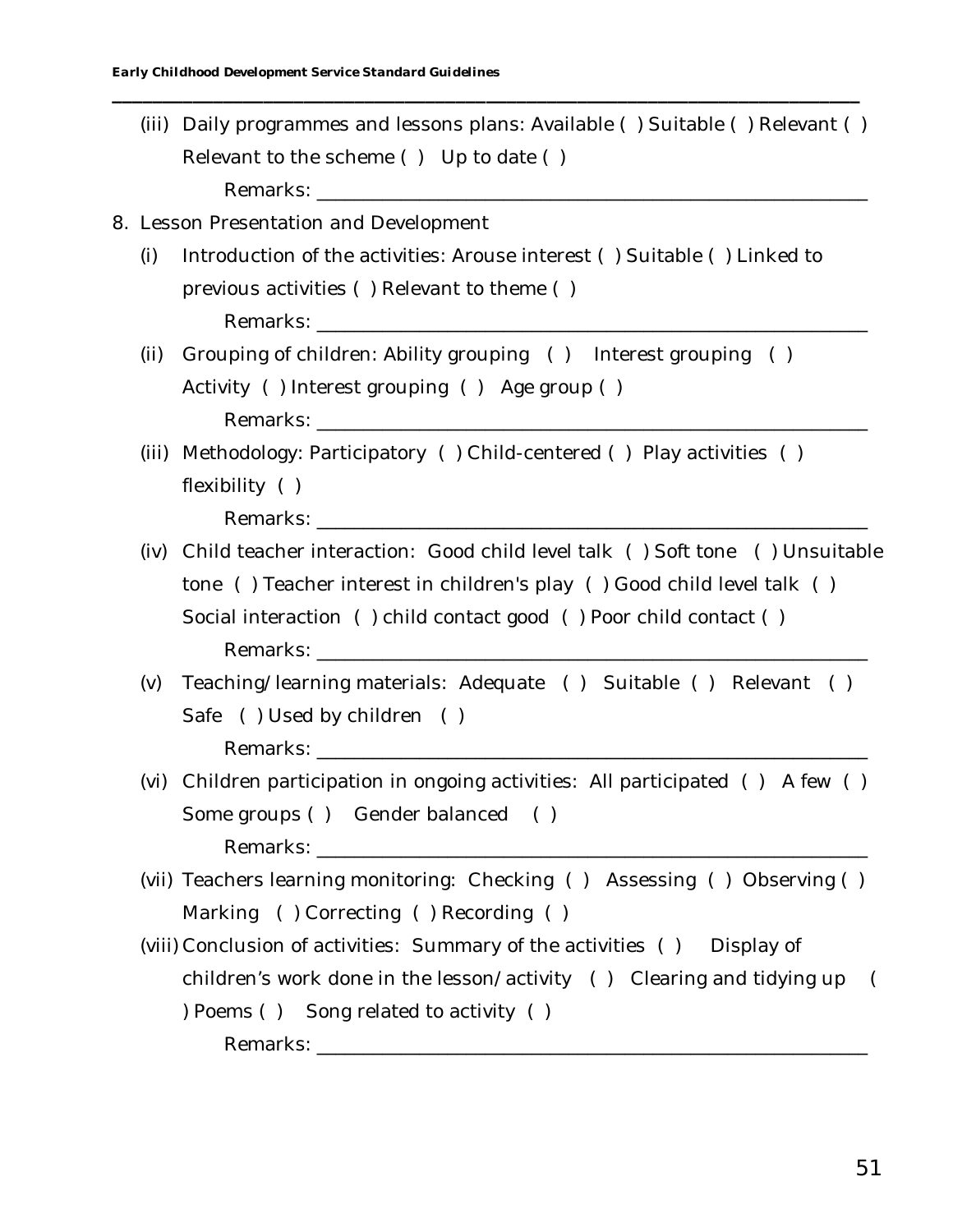(iii) Daily programmes and lessons plans: Available ( ) Suitable ( ) Relevant ( ) Relevant to the scheme ( ) Up to date ( ) Remarks:

**\_\_\_\_\_\_\_\_\_\_\_\_\_\_\_\_\_\_\_\_\_\_\_\_\_\_\_\_\_\_\_\_\_\_\_\_\_\_\_\_\_\_\_\_\_\_\_\_\_\_\_\_\_\_\_\_\_\_\_\_\_\_\_\_\_\_\_\_\_\_\_\_\_\_**

# 8. Lesson Presentation and Development

- (i) Introduction of the activities: Arouse interest ( ) Suitable ( ) Linked to previous activities ( ) Relevant to theme ( ) Remarks: **with a set of the set of the set of the set of the set of the set of the set of the set of the set of the set of the set of the set of the set of the set of the set of the set of the set of the set of the set of**
- (ii) Grouping of children: Ability grouping ( ) Interest grouping ( ) Activity ( ) Interest grouping ( ) Age group ( ) Remarks:
- (iii) Methodology: Participatory ( ) Child-centered ( ) Play activities ( ) flexibility ( )

- (iv) Child teacher interaction: Good child level talk ( ) Soft tone ( ) Unsuitable tone ( ) Teacher interest in children's play ( ) Good child level talk ( ) Social interaction ( ) child contact good ( ) Poor child contact ( ) Remarks: \_\_\_\_\_\_\_\_\_\_\_\_\_\_\_\_\_\_\_\_\_\_\_\_\_\_\_\_\_\_\_\_\_\_\_\_\_\_\_\_\_\_\_\_\_\_\_\_\_\_\_\_\_\_\_\_\_\_\_
- (v) Teaching/learning materials: Adequate ( ) Suitable ( ) Relevant ( ) Safe ( ) Used by children ( ) Remarks: \_\_\_\_\_\_\_\_\_\_\_\_\_\_\_\_\_\_\_\_\_\_\_\_\_\_\_\_\_\_\_\_\_\_\_\_\_\_\_\_\_\_\_\_\_\_\_\_\_\_\_\_\_\_\_\_\_\_\_
- (vi) Children participation in ongoing activities: All participated ( ) A few ( ) Some groups ( ) Gender balanced ( ) Remarks:
- (vii) Teachers learning monitoring: Checking ( ) Assessing ( ) Observing ( ) Marking ( ) Correcting ( ) Recording ( )
- (viii) Conclusion of activities: Summary of the activities ( ) Display of children's work done in the lesson/activity ( ) Clearing and tidying up ( ) Poems ( ) Song related to activity ( ) Remarks: **Example 20**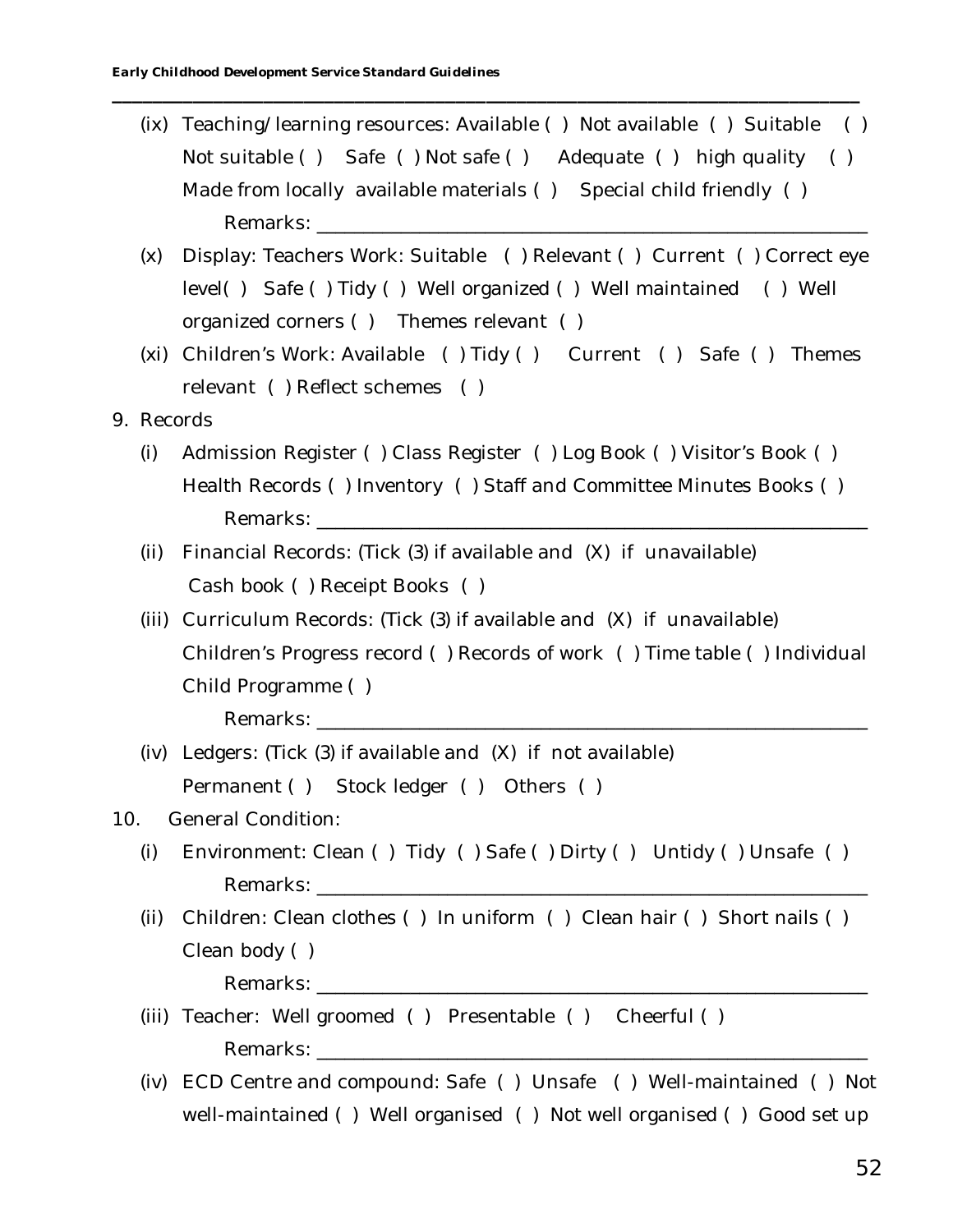(ix) Teaching/learning resources: Available ( ) Not available ( ) Suitable ( ) Not suitable ( ) Safe ( ) Not safe ( ) Adequate ( ) high quality ( ) Made from locally available materials () Special child friendly () Remarks:

**\_\_\_\_\_\_\_\_\_\_\_\_\_\_\_\_\_\_\_\_\_\_\_\_\_\_\_\_\_\_\_\_\_\_\_\_\_\_\_\_\_\_\_\_\_\_\_\_\_\_\_\_\_\_\_\_\_\_\_\_\_\_\_\_\_\_\_\_\_\_\_\_\_\_**

- (x) Display: Teachers Work: Suitable ( ) Relevant ( ) Current ( ) Correct eye level( ) Safe ( ) Tidy ( ) Well organized ( ) Well maintained ( ) Well organized corners ( ) Themes relevant ( )
- (xi) Children's Work: Available ( ) Tidy ( ) Current ( ) Safe ( ) Themes relevant ( ) Reflect schemes ( )
- 9. Records
	- (i) Admission Register ( ) Class Register ( ) Log Book ( ) Visitor's Book ( ) Health Records ( ) Inventory ( ) Staff and Committee Minutes Books ( ) Remarks:
	- (ii) Financial Records: (Tick (3) if available and (X) if unavailable) Cash book ( ) Receipt Books ( )
	- (iii) Curriculum Records: (Tick (3) if available and (X) if unavailable) Children's Progress record ( ) Records of work ( ) Time table ( ) Individual Child Programme ( )

Remarks:

(iv) Ledgers: (Tick (3) if available and (X) if not available) Permanent ( ) Stock ledger ( ) Others ( )

## 10. General Condition:

- (i) Environment: Clean ( ) Tidy ( ) Safe ( ) Dirty ( ) Untidy ( ) Unsafe ( ) Remarks:
- (ii) Children: Clean clothes ( ) In uniform ( ) Clean hair ( ) Short nails ( ) Clean body ( )

- (iii) Teacher: Well groomed ( ) Presentable ( ) Cheerful ( ) Remarks: **with a set of the set of the set of the set of the set of the set of the set of the set of the set of the set of the set of the set of the set of the set of the set of the set of the set of the set of the set of**
- (iv) ECD Centre and compound: Safe ( ) Unsafe ( ) Well-maintained ( ) Not well-maintained ( ) Well organised ( ) Not well organised ( ) Good set up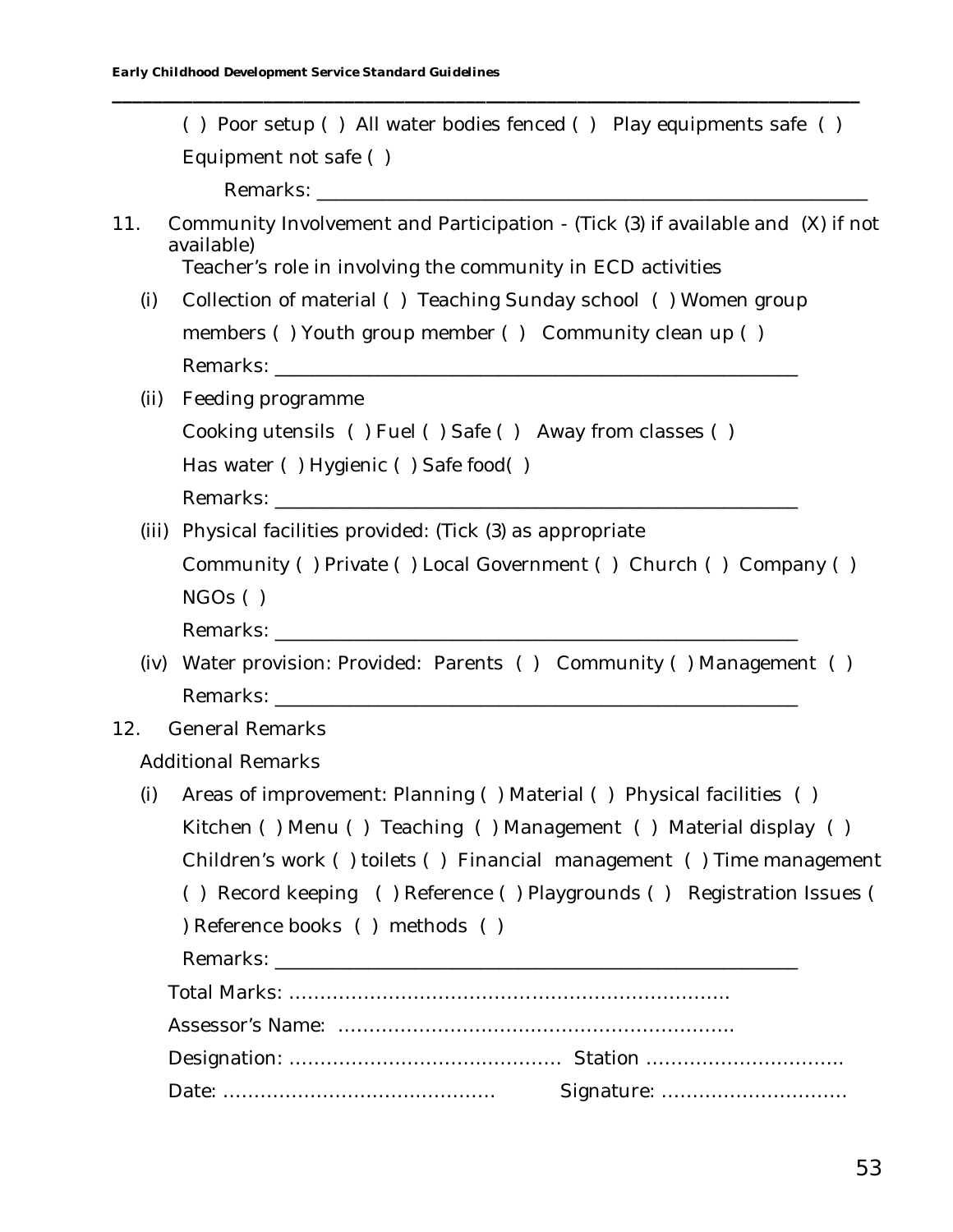|       | () Poor setup () All water bodies fenced () Play equipments safe ()                                                                                          |
|-------|--------------------------------------------------------------------------------------------------------------------------------------------------------------|
|       | Equipment not safe ()                                                                                                                                        |
|       |                                                                                                                                                              |
| 11.   | Community Involvement and Participation - (Tick (3) if available and (X) if not<br>available)<br>Teacher's role in involving the community in ECD activities |
| (i)   | Collection of material () Teaching Sunday school () Women group                                                                                              |
|       | members () Youth group member () Community clean up ()                                                                                                       |
|       |                                                                                                                                                              |
| (ii)  | Feeding programme                                                                                                                                            |
|       | Cooking utensils () Fuel () Safe () Away from classes ()                                                                                                     |
|       | Has water () Hygienic () Safe food()                                                                                                                         |
|       |                                                                                                                                                              |
| (iii) | Physical facilities provided: (Tick (3) as appropriate                                                                                                       |
|       | Community () Private () Local Government () Church () Company ()                                                                                             |
|       | NGOs( )                                                                                                                                                      |
|       |                                                                                                                                                              |
| (iv)  | Water provision: Provided: Parents () Community () Management ()                                                                                             |
|       |                                                                                                                                                              |
| 12.   | <b>General Remarks</b>                                                                                                                                       |
|       | <b>Additional Remarks</b>                                                                                                                                    |
| (i)   | Areas of improvement: Planning () Material () Physical facilities ()                                                                                         |
|       | Kitchen () Menu () Teaching () Management () Material display ()                                                                                             |
|       | Children's work () toilets () Financial management () Time management                                                                                        |
|       | () Record keeping () Reference () Playgrounds () Registration Issues (                                                                                       |
|       | ) Reference books () methods ()                                                                                                                              |
|       |                                                                                                                                                              |
|       |                                                                                                                                                              |
|       |                                                                                                                                                              |
|       |                                                                                                                                                              |
|       | Signature:                                                                                                                                                   |
|       |                                                                                                                                                              |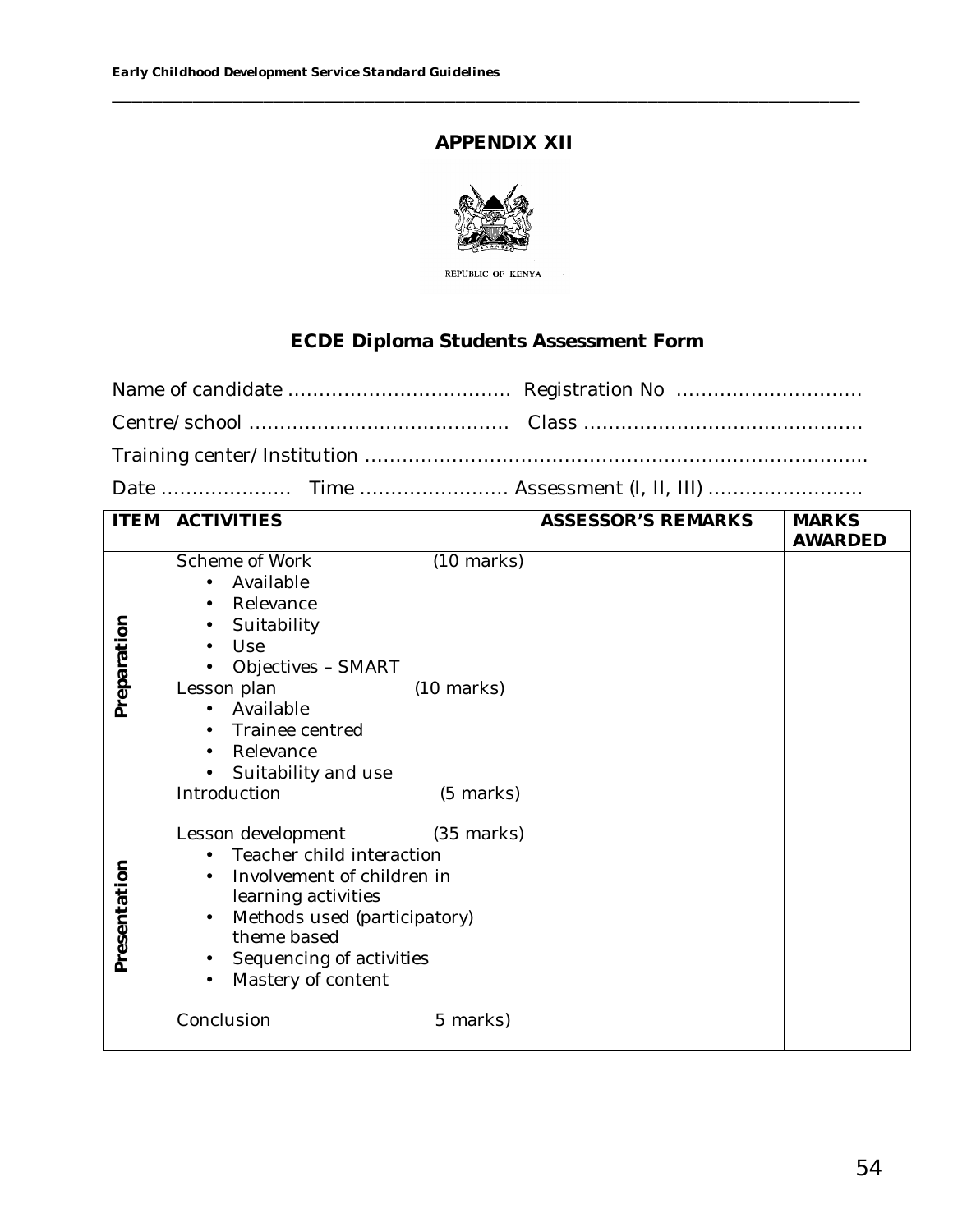## **APPENDIX XII**

**\_\_\_\_\_\_\_\_\_\_\_\_\_\_\_\_\_\_\_\_\_\_\_\_\_\_\_\_\_\_\_\_\_\_\_\_\_\_\_\_\_\_\_\_\_\_\_\_\_\_\_\_\_\_\_\_\_\_\_\_\_\_\_\_\_\_\_\_\_\_\_\_\_\_**



REPUBLIC OF KENYA

## **ECDE Diploma Students Assessment Form**

Date ………………… Time …………………… Assessment (I, II, III) …………………….

| <b>ITEM</b>  | <b>ACTIVITIES</b>                                                                                                                                                                                                                                                       | ASSESSOR'S REMARKS | <b>MARKS</b><br>AWARDED |
|--------------|-------------------------------------------------------------------------------------------------------------------------------------------------------------------------------------------------------------------------------------------------------------------------|--------------------|-------------------------|
| Preparation  | Scheme of Work<br>$(10 \text{ marks})$<br>Available<br>Relevance<br>Suitability<br>Use<br>Objectives - SMART<br>$(10 \text{ marks})$<br>Lesson plan<br>Available<br>Trainee centred<br>Relevance<br>Suitability and use<br>$\bullet$                                    |                    |                         |
| Presentation | Introduction<br>(5 marks)<br>Lesson development (35 marks)<br>Teacher child interaction<br>Involvement of children in<br>learning activities<br>Methods used (participatory)<br>theme based<br>Sequencing of activities<br>Mastery of content<br>Conclusion<br>5 marks) |                    |                         |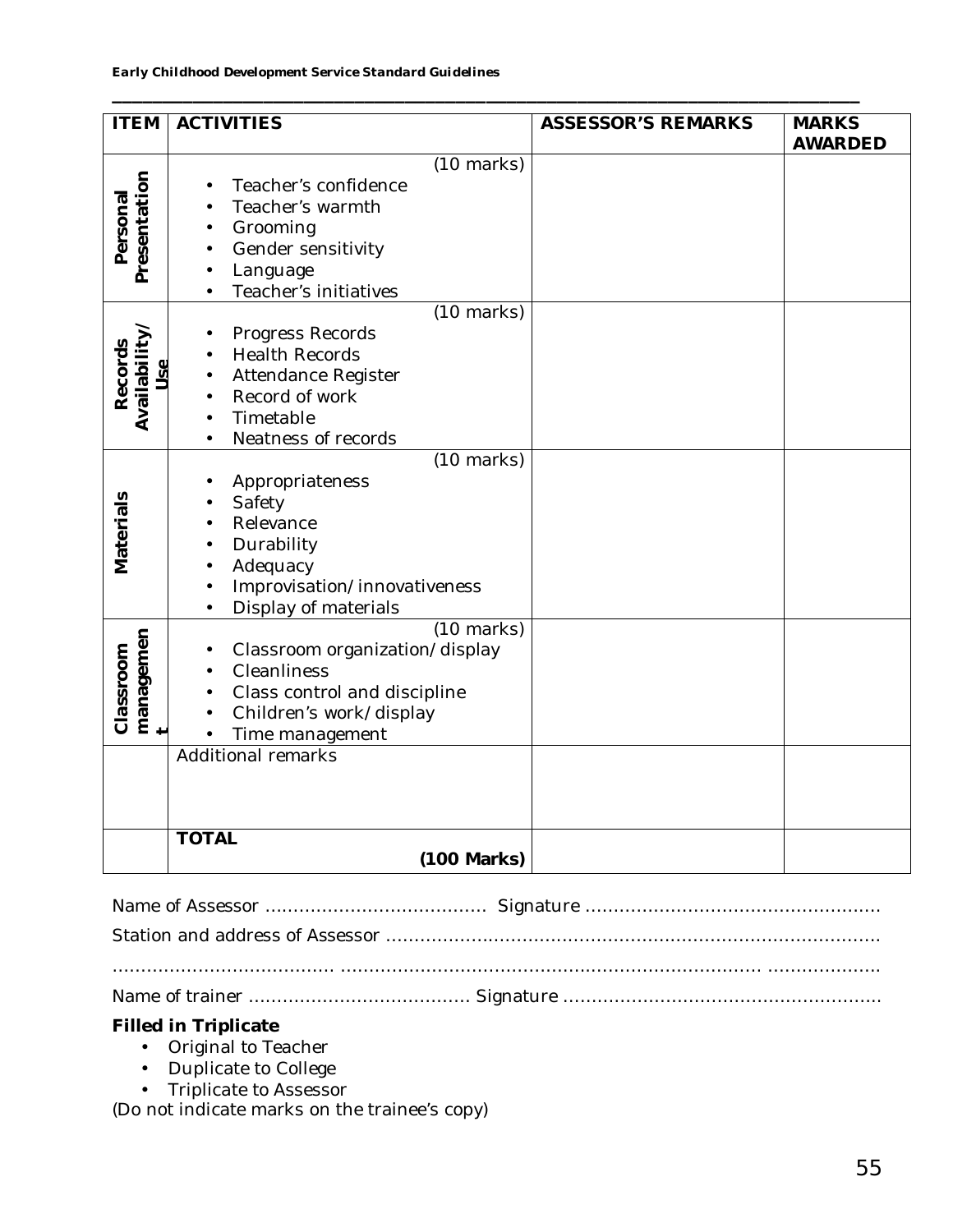| <b>ITEM</b>                 | <b>ACTIVITIES</b>                                                                                                                                   | <b>ASSESSOR'S REMARKS</b> | <b>MARKS</b>   |
|-----------------------------|-----------------------------------------------------------------------------------------------------------------------------------------------------|---------------------------|----------------|
|                             |                                                                                                                                                     |                           | <b>AWARDED</b> |
| Presentation<br>Personal    | $(10 \text{ marks})$<br>Teacher's confidence<br>Teacher's warmth<br>Grooming<br>Gender sensitivity<br>Language<br>Teacher's initiatives             |                           |                |
|                             | $(10 \text{ marks})$                                                                                                                                |                           |                |
| Availability<br>Records     | Progress Records<br><b>Health Records</b><br>Attendance Register<br>Record of work<br>Timetable<br>Neatness of records                              |                           |                |
|                             | $(10 \text{ marks})$                                                                                                                                |                           |                |
| Materials                   | Appropriateness<br>Safety<br>Relevance<br>Durability<br>Adequacy<br>Improvisation/innovativeness<br>Display of materials                            |                           |                |
| managemen<br>+<br>Classroom | $(10 \text{ marks})$<br>Classroom organization/display<br>Cleanliness<br>Class control and discipline<br>Children's work/display<br>Time management |                           |                |
|                             | <b>Additional remarks</b>                                                                                                                           |                           |                |
|                             |                                                                                                                                                     |                           |                |
|                             | <b>TOTAL</b><br>(100 Marks)                                                                                                                         |                           |                |
|                             |                                                                                                                                                     |                           |                |

**\_\_\_\_\_\_\_\_\_\_\_\_\_\_\_\_\_\_\_\_\_\_\_\_\_\_\_\_\_\_\_\_\_\_\_\_\_\_\_\_\_\_\_\_\_\_\_\_\_\_\_\_\_\_\_\_\_\_\_\_\_\_\_\_\_\_\_\_\_\_\_\_\_\_**

**Filled in Triplicate**

- Original to Teacher
- Duplicate to College
- Triplicate to Assessor

(Do not indicate marks on the trainee's copy)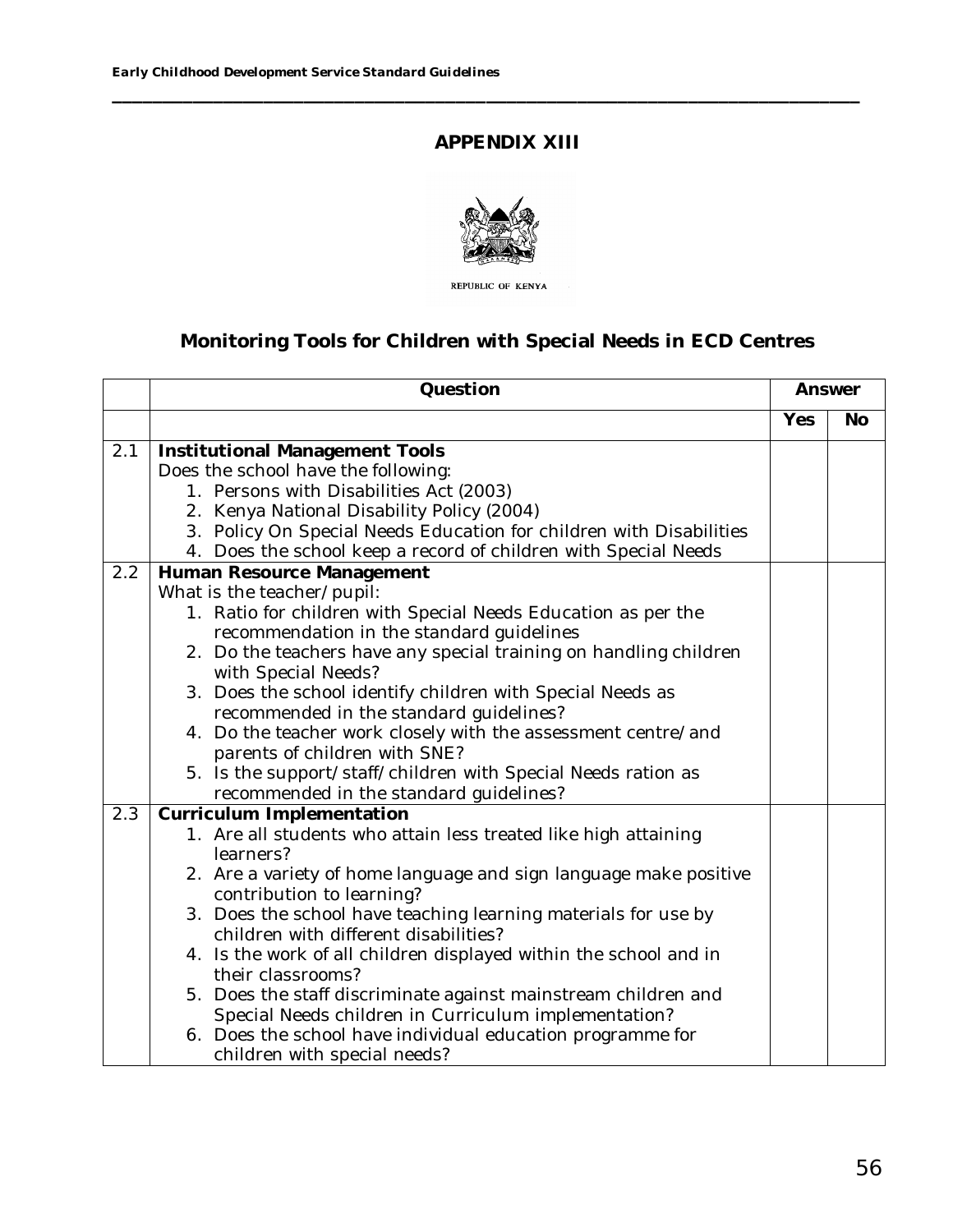## **APPENDIX XIII**

**\_\_\_\_\_\_\_\_\_\_\_\_\_\_\_\_\_\_\_\_\_\_\_\_\_\_\_\_\_\_\_\_\_\_\_\_\_\_\_\_\_\_\_\_\_\_\_\_\_\_\_\_\_\_\_\_\_\_\_\_\_\_\_\_\_\_\_\_\_\_\_\_\_\_**



# **Monitoring Tools for Children with Special Needs in ECD Centres**

|     | Question                                                                                 |     | Answer    |
|-----|------------------------------------------------------------------------------------------|-----|-----------|
|     |                                                                                          | Yes | <b>No</b> |
| 2.1 | Institutional Management Tools                                                           |     |           |
|     | Does the school have the following:                                                      |     |           |
|     | 1. Persons with Disabilities Act (2003)                                                  |     |           |
|     | 2. Kenya National Disability Policy (2004)                                               |     |           |
|     | 3. Policy On Special Needs Education for children with Disabilities                      |     |           |
|     | 4. Does the school keep a record of children with Special Needs                          |     |           |
| 2.2 | Human Resource Management                                                                |     |           |
|     | What is the teacher/pupil:                                                               |     |           |
|     | 1. Ratio for children with Special Needs Education as per the                            |     |           |
|     | recommendation in the standard guidelines                                                |     |           |
|     | 2. Do the teachers have any special training on handling children<br>with Special Needs? |     |           |
|     | 3. Does the school identify children with Special Needs as                               |     |           |
|     | recommended in the standard guidelines?                                                  |     |           |
|     | 4. Do the teacher work closely with the assessment centre/and                            |     |           |
|     | parents of children with SNE?                                                            |     |           |
|     | 5. Is the support/staff/children with Special Needs ration as                            |     |           |
|     | recommended in the standard guidelines?                                                  |     |           |
| 2.3 | Curriculum Implementation                                                                |     |           |
|     | 1. Are all students who attain less treated like high attaining                          |     |           |
|     | learners?                                                                                |     |           |
|     | 2. Are a variety of home language and sign language make positive                        |     |           |
|     | contribution to learning?                                                                |     |           |
|     | 3. Does the school have teaching learning materials for use by                           |     |           |
|     | children with different disabilities?                                                    |     |           |
|     | 4. Is the work of all children displayed within the school and in<br>their classrooms?   |     |           |
|     | 5. Does the staff discriminate against mainstream children and                           |     |           |
|     | Special Needs children in Curriculum implementation?                                     |     |           |
|     | 6. Does the school have individual education programme for                               |     |           |
|     | children with special needs?                                                             |     |           |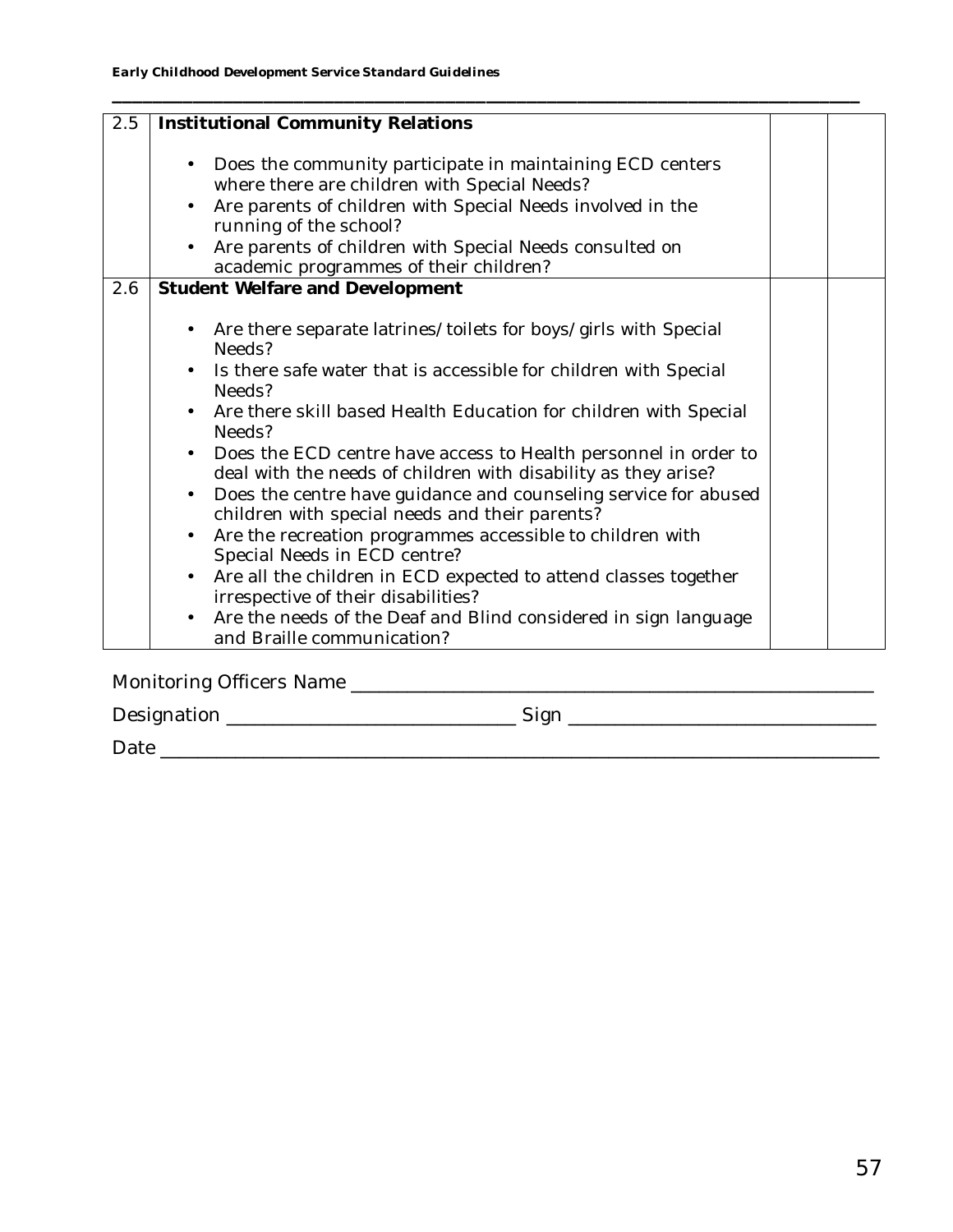| 2.5 | Institutional Community Relations                                                                                                                                                                                                                                                                                                                                                                                                                                                                                                                                                                                                                                                                                                                                                                                                                                                       |  |
|-----|-----------------------------------------------------------------------------------------------------------------------------------------------------------------------------------------------------------------------------------------------------------------------------------------------------------------------------------------------------------------------------------------------------------------------------------------------------------------------------------------------------------------------------------------------------------------------------------------------------------------------------------------------------------------------------------------------------------------------------------------------------------------------------------------------------------------------------------------------------------------------------------------|--|
|     | Does the community participate in maintaining ECD centers<br>$\bullet$<br>where there are children with Special Needs?<br>Are parents of children with Special Needs involved in the<br>$\bullet$<br>running of the school?<br>Are parents of children with Special Needs consulted on<br>academic programmes of their children?                                                                                                                                                                                                                                                                                                                                                                                                                                                                                                                                                        |  |
| 2.6 | Student Welfare and Development                                                                                                                                                                                                                                                                                                                                                                                                                                                                                                                                                                                                                                                                                                                                                                                                                                                         |  |
|     | Are there separate latrines/toilets for boys/girls with Special<br>Needs?<br>Is there safe water that is accessible for children with Special<br>$\bullet$<br>Needs?<br>Are there skill based Health Education for children with Special<br>$\bullet$<br>Needs?<br>• Does the ECD centre have access to Health personnel in order to<br>deal with the needs of children with disability as they arise?<br>Does the centre have guidance and counseling service for abused<br>$\bullet$<br>children with special needs and their parents?<br>Are the recreation programmes accessible to children with<br>$\bullet$<br>Special Needs in ECD centre?<br>Are all the children in ECD expected to attend classes together<br>$\bullet$<br>irrespective of their disabilities?<br>Are the needs of the Deaf and Blind considered in sign language<br>$\bullet$<br>and Braille communication? |  |

Monitoring Officers Name \_\_\_\_\_\_\_\_\_\_\_\_\_\_\_\_\_\_\_\_\_\_\_\_\_\_\_\_\_\_\_\_\_\_\_\_\_\_\_\_\_\_\_\_\_\_\_\_\_\_\_\_\_\_\_\_

Designation \_\_\_\_\_\_\_\_\_\_\_\_\_\_\_\_\_\_\_\_\_\_\_\_\_\_\_\_\_\_\_\_\_\_Sign \_\_\_\_\_\_\_\_\_\_\_\_\_\_\_\_\_\_\_\_\_\_\_\_\_\_\_\_\_

Date \_\_\_\_\_\_\_\_\_\_\_\_\_\_\_\_\_\_\_\_\_\_\_\_\_\_\_\_\_\_\_\_\_\_\_\_\_\_\_\_\_\_\_\_\_\_\_\_\_\_\_\_\_\_\_\_\_\_\_\_\_\_\_\_\_\_\_\_\_\_\_\_\_\_\_\_\_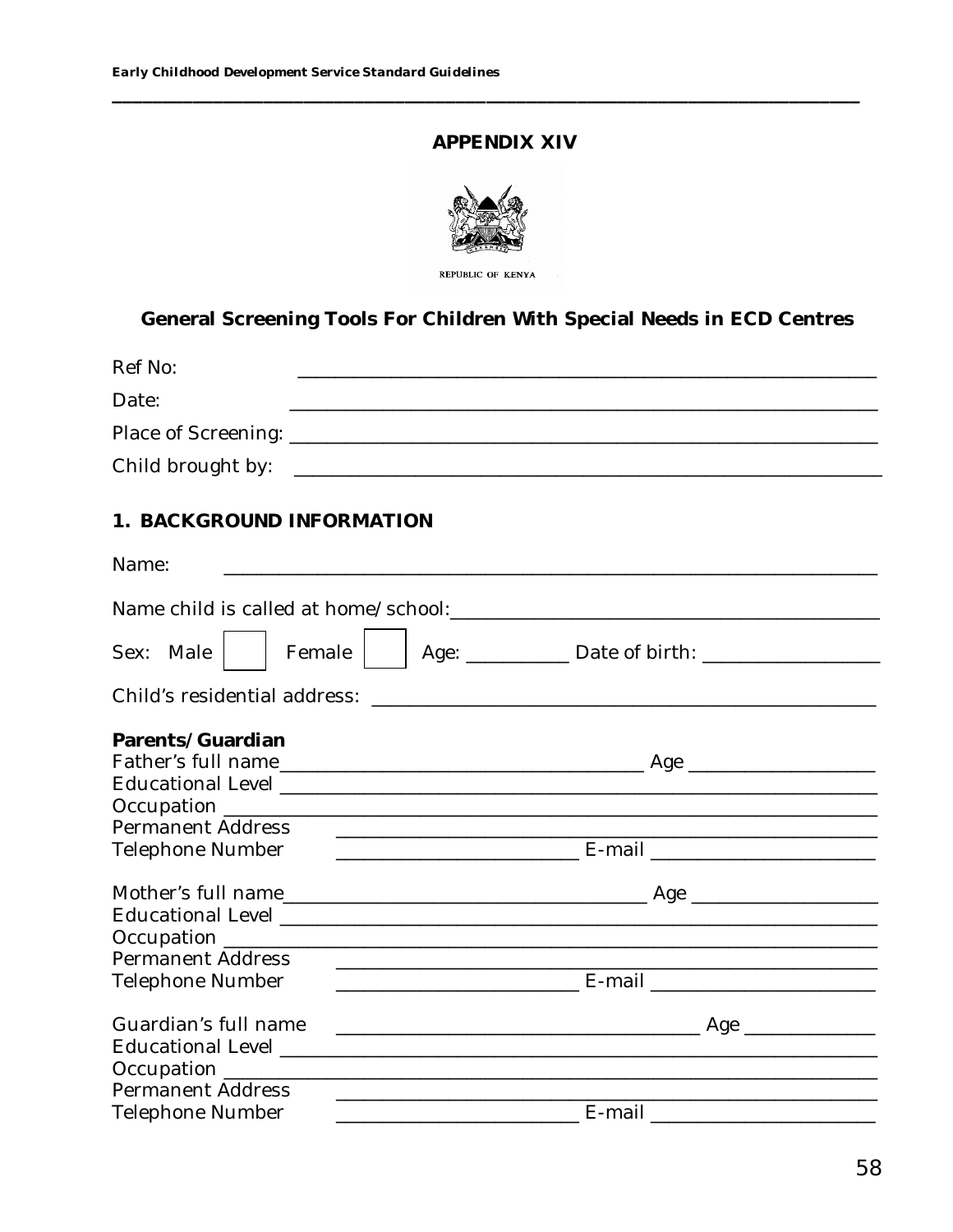## APPENDIX XIV



General Screening Tools For Children With Special Needs in ECD Centres

| Ref No:                      |                                                                                                                |
|------------------------------|----------------------------------------------------------------------------------------------------------------|
| Date:                        | <u> 1980 - Johann Barn, mars an t-Amerikaansk politiker (* 1908)</u>                                           |
|                              |                                                                                                                |
|                              |                                                                                                                |
| Child brought by:            |                                                                                                                |
| 1. BACKGROUND INFORMATION    |                                                                                                                |
| Name:                        |                                                                                                                |
|                              | Name child is called at home/school: Name child is called a structure of the structure of the Name of Talent S |
| Sex: Male<br>Female          |                                                                                                                |
| Child's residential address: |                                                                                                                |
| Parents/Guardian             |                                                                                                                |
|                              |                                                                                                                |
|                              |                                                                                                                |
| <b>Permanent Address</b>     |                                                                                                                |
| Telephone Number             |                                                                                                                |
|                              |                                                                                                                |
|                              |                                                                                                                |
|                              |                                                                                                                |
| <b>Permanent Address</b>     |                                                                                                                |
| Telephone Number             |                                                                                                                |
| Guardian's full name         |                                                                                                                |
|                              |                                                                                                                |
| <b>Permanent Address</b>     |                                                                                                                |
| <b>Telephone Number</b>      | E-mail                                                                                                         |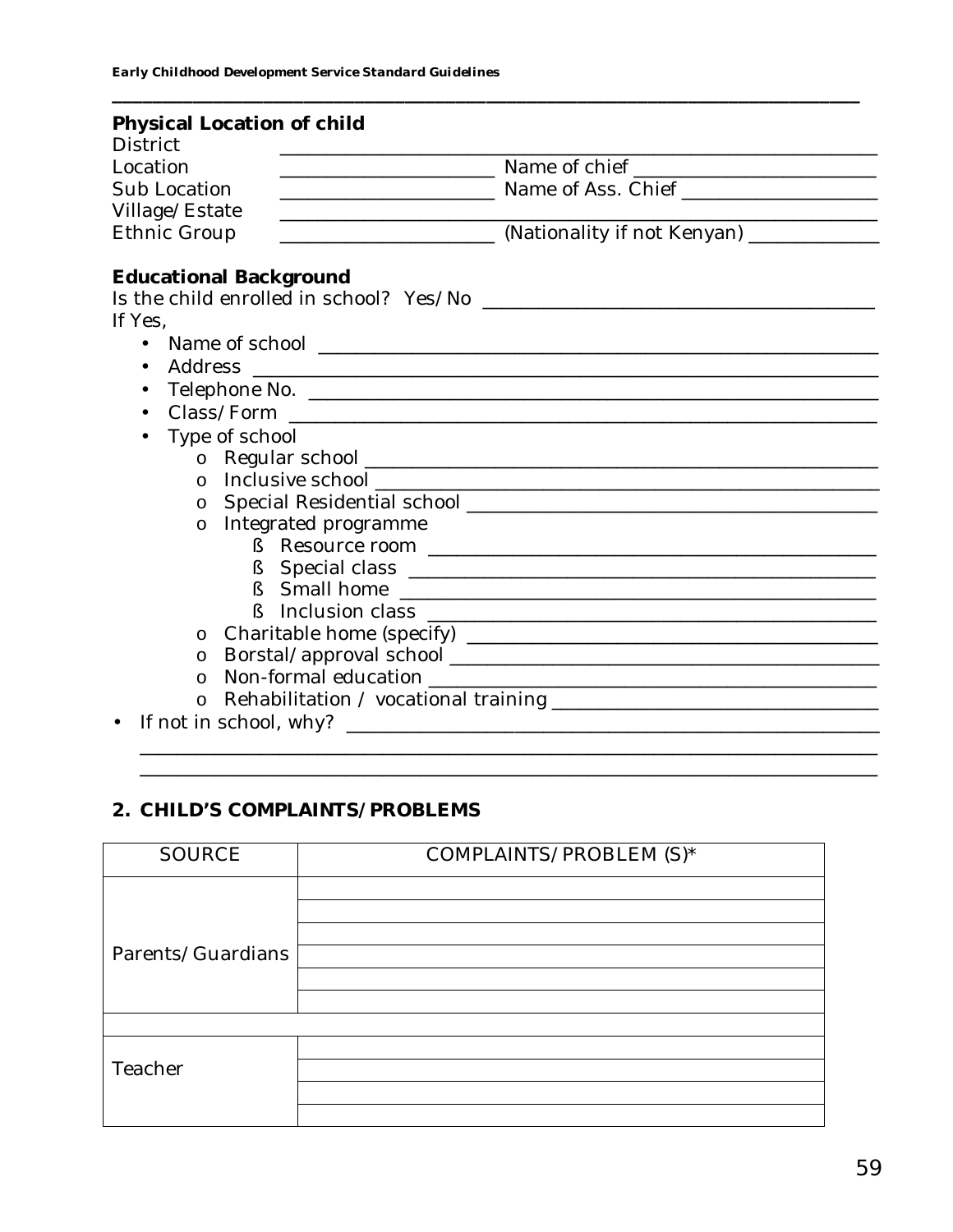| <b>District</b>      | Physical Location of child                        |                                                                                  |
|----------------------|---------------------------------------------------|----------------------------------------------------------------------------------|
| Location             |                                                   | ________________________________ Name of chief _________________________________ |
| Sub Location         |                                                   | Mame of Ass. Chief                                                               |
| Village/Estate       |                                                   |                                                                                  |
| <b>Ethnic Group</b>  | <u> 1980 - Johann Barn, mars et al. (</u> † 1900) | (Nationality if not Kenyan) _____________                                        |
|                      |                                                   |                                                                                  |
|                      | <b>Educational Background</b>                     |                                                                                  |
|                      |                                                   |                                                                                  |
| If Yes,              |                                                   |                                                                                  |
| $\bullet$            |                                                   |                                                                                  |
| Address<br>$\bullet$ |                                                   |                                                                                  |
|                      |                                                   |                                                                                  |
|                      |                                                   |                                                                                  |
|                      | Type of school                                    |                                                                                  |
| $\circ$              |                                                   |                                                                                  |
| $\Omega$             |                                                   |                                                                                  |
|                      |                                                   |                                                                                  |
| $\circ$              | Integrated programme                              |                                                                                  |
|                      | ş                                                 |                                                                                  |
|                      |                                                   |                                                                                  |
|                      |                                                   |                                                                                  |
|                      |                                                   |                                                                                  |
| $\circ$              |                                                   |                                                                                  |
| $\circ$              |                                                   |                                                                                  |
| $\Omega$             |                                                   |                                                                                  |
| O                    |                                                   |                                                                                  |
|                      |                                                   |                                                                                  |
|                      |                                                   |                                                                                  |

# 2. CHILD'S COMPLAINTS/PROBLEMS

| <b>SOURCE</b>     | COMPLAINTS/PROBLEM (S)* |  |
|-------------------|-------------------------|--|
|                   |                         |  |
| Parents/Guardians |                         |  |
|                   |                         |  |
|                   |                         |  |
|                   |                         |  |
| Teacher           |                         |  |
|                   |                         |  |
|                   |                         |  |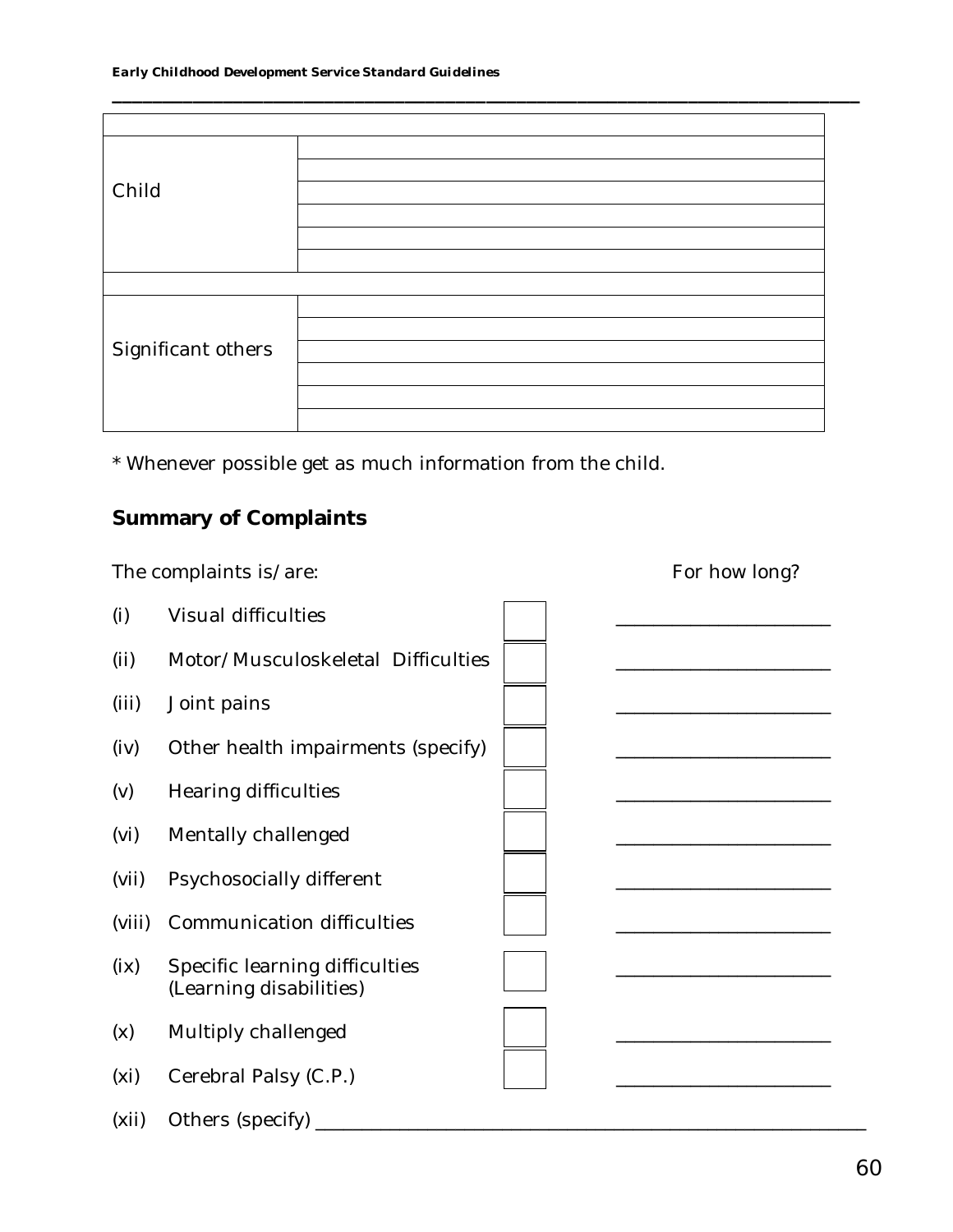| Child              |  |
|--------------------|--|
|                    |  |
|                    |  |
|                    |  |
|                    |  |
|                    |  |
|                    |  |
| Significant others |  |
|                    |  |
|                    |  |
|                    |  |

**\_\_\_\_\_\_\_\_\_\_\_\_\_\_\_\_\_\_\_\_\_\_\_\_\_\_\_\_\_\_\_\_\_\_\_\_\_\_\_\_\_\_\_\_\_\_\_\_\_\_\_\_\_\_\_\_\_\_\_\_\_\_\_\_\_\_\_\_\_\_\_\_\_\_**

\* Whenever possible get as much information from the child.

# **Summary of Complaints**

|                   | The complaints is/are:                                    | For how long? |
|-------------------|-----------------------------------------------------------|---------------|
| (i)               | Visual difficulties                                       |               |
| (i)               | Motor/Musculoskeletal Difficulties                        |               |
| (iii)             | Joint pains                                               |               |
| (iv)              | Other health impairments (specify)                        |               |
| (v)               | Hearing difficulties                                      |               |
| (vi)              | Mentally challenged                                       |               |
| (vii)             | Psychosocially different                                  |               |
| (viii)            | Communication difficulties                                |               |
| (ix)              | Specific learning difficulties<br>(Learning disabilities) |               |
| (x)               | Multiply challenged                                       |               |
| (x <sub>i</sub> ) | Cerebral Palsy (C.P.)                                     |               |
| (xii)             | Others (specify)                                          |               |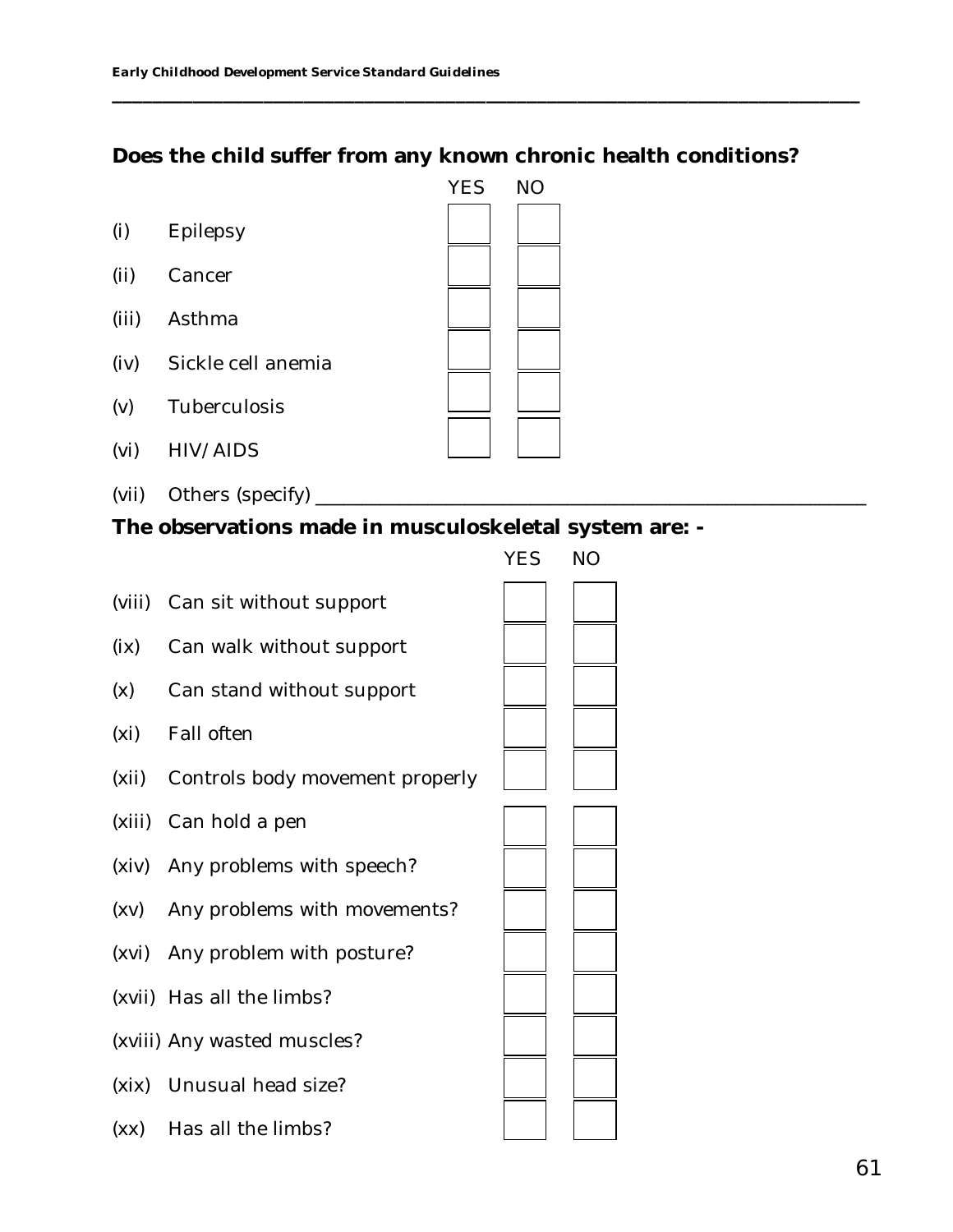# **Does the child suffer from any known chronic health conditions?**

**\_\_\_\_\_\_\_\_\_\_\_\_\_\_\_\_\_\_\_\_\_\_\_\_\_\_\_\_\_\_\_\_\_\_\_\_\_\_\_\_\_\_\_\_\_\_\_\_\_\_\_\_\_\_\_\_\_\_\_\_\_\_\_\_\_\_\_\_\_\_\_\_\_\_**

- (i) Epilepsy
- (ii) Cancer
- (iii) Asthma
- (iv) Sickle cell anemia
- (v) Tuberculosis
- (vi) HIV/AIDS
- (vii) Others (specify) \_
- **The observations made in musculoskeletal system are: -**

|                                       | <b>YES</b> | <b>NO</b> |
|---------------------------------------|------------|-----------|
| (viii) Can sit without support        |            |           |
| (ix) Can walk without support         |            |           |
| (x) Can stand without support         |            |           |
| (xi) Fall often                       |            |           |
| (xii) Controls body movement properly |            |           |
| (xiii) Can hold a pen                 |            |           |
| (xiv) Any problems with speech?       |            |           |
| (xv) Any problems with movements?     |            |           |
| (xvi) Any problem with posture?       |            |           |
| (xvii) Has all the limbs?             |            |           |
| (xviii) Any wasted muscles?           |            |           |
| (xix) Unusual head size?              |            |           |
| (xx) Has all the limbs?               |            |           |

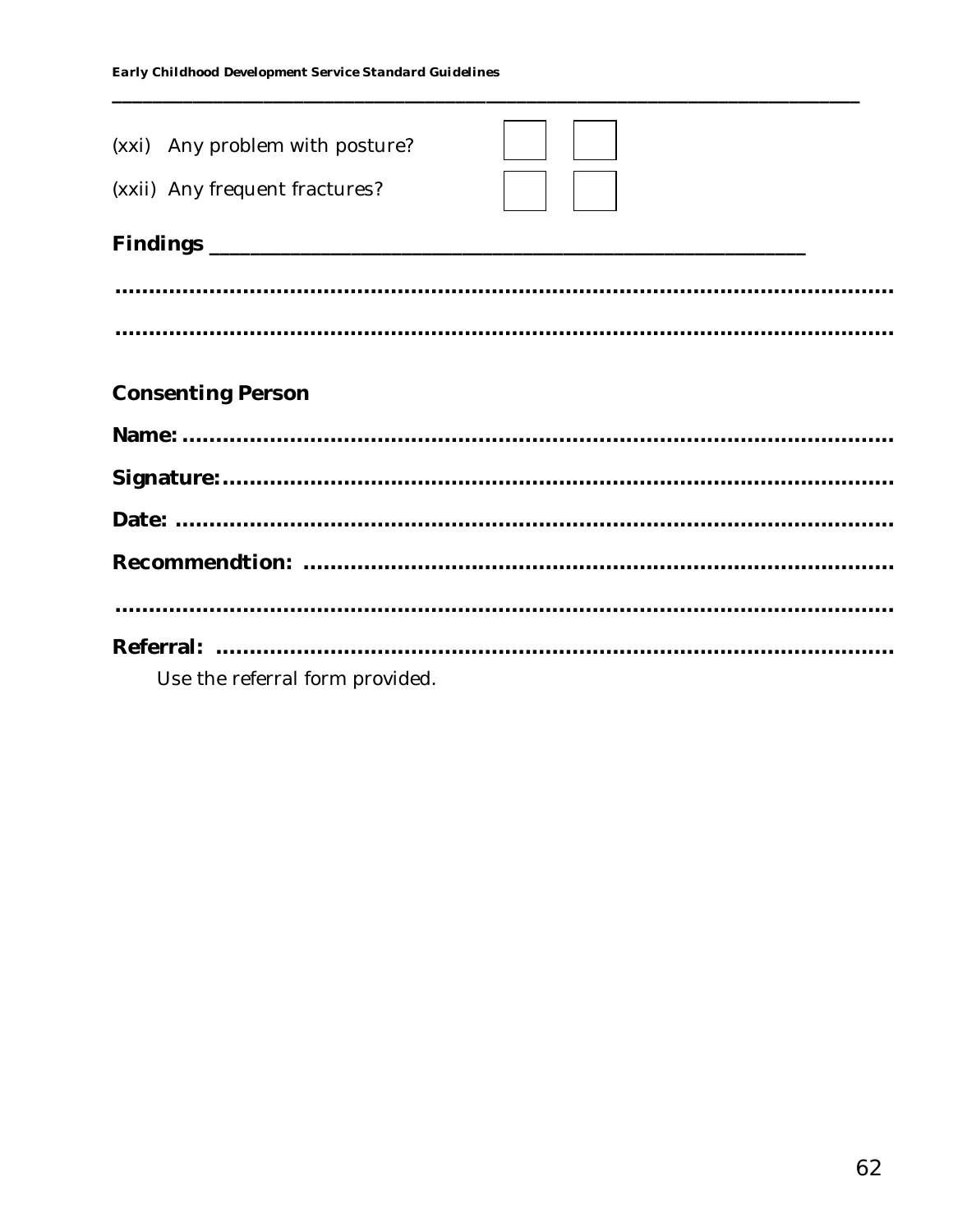| (xxi) Any problem with posture? |  |
|---------------------------------|--|
| (xxii) Any frequent fractures?  |  |
|                                 |  |
|                                 |  |
|                                 |  |
| <b>Consenting Person</b>        |  |
|                                 |  |
|                                 |  |
|                                 |  |
|                                 |  |
|                                 |  |
| Use the referral form provided. |  |